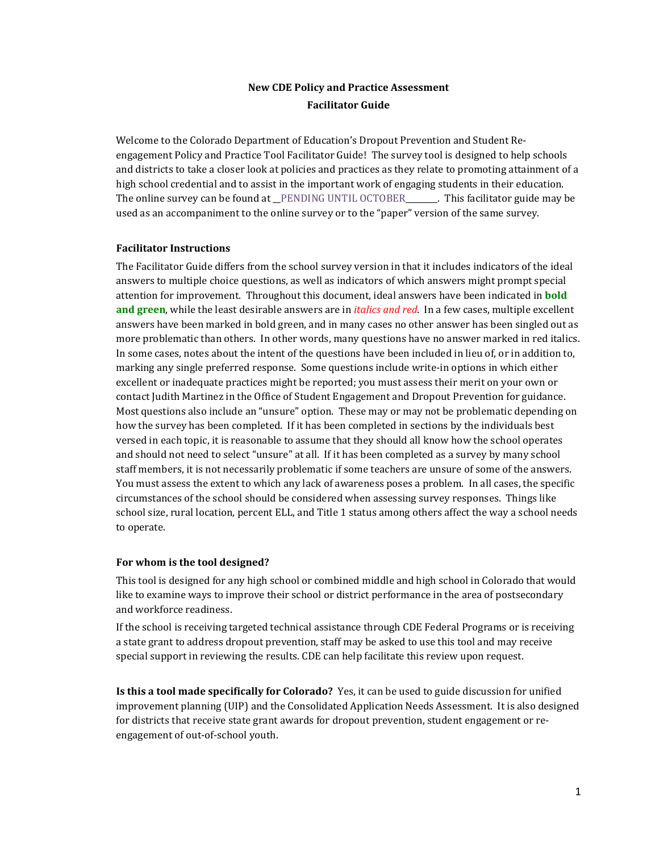# **New CDE Policy and Practice Assessment Facilitator Guide**

Welcome to the Colorado Department of Education's Dropout Prevention and Student Reengagement Policy and Practice Tool Facilitator Guide! The survey tool is designed to help schools and districts to take a closer look at policies and practices as they relate to promoting attainment of a high school credential and to assist in the important work of engaging students in their education. The online survey can be found at PENDING UNTIL OCTOBER This facilitator guide may be used as an accompaniment to the online survey or to the "paper" version of the same survey.

#### **Facilitator Instructions**

The Facilitator Guide differs from the school survey version in that it includes indicators of the ideal answers to multiple choice questions, as well as indicators of which answers might prompt special attention for improvement. Throughout this document, ideal answers have been indicated in **bold and green**, while the least desirable answers are in *italics and red*. In a few cases, multiple excellent answers have been marked in bold green, and in many cases no other answer has been singled out as more problematic than others. In other words, many questions have no answer marked in red italics. In some cases, notes about the intent of the questions have been included in lieu of, or in addition to, marking any single preferred response. Some questions include write-in options in which either excellent or inadequate practices might be reported; you must assess their merit on your own or contact Judith Martinez in the Office of Student Engagement and Dropout Prevention for guidance. Most questions also include an "unsure" option. These may or may not be problematic depending on how the survey has been completed. If it has been completed in sections by the individuals best versed in each topic, it is reasonable to assume that they should all know how the school operates and should not need to select "unsure" at all. If it has been completed as a survey by many school staff members, it is not necessarily problematic if some teachers are unsure of some of the answers. You must assess the extent to which any lack of awareness poses a problem. In all cases, the specific circumstances of the school should be considered when assessing survey responses. Things like school size, rural location, percent ELL, and Title 1 status among others affect the way a school needs to operate.

#### **For whom is the tool designed?**

This tool is designed for any high school or combined middle and high school in Colorado that would like to examine ways to improve their school or district performance in the area of postsecondary and workforce readiness.

If the school is receiving targeted technical assistance through CDE Federal Programs or is receiving a state grant to address dropout prevention, staff may be asked to use this tool and may receive special support in reviewing the results. CDE can help facilitate this review upon request.

**Is this a tool made specifically for Colorado?** Yes, it can be used to guide discussion for unified improvement planning (UIP) and the Consolidated Application Needs Assessment. It is also designed for districts that receive state grant awards for dropout prevention, student engagement or reengagement of out-of-school youth.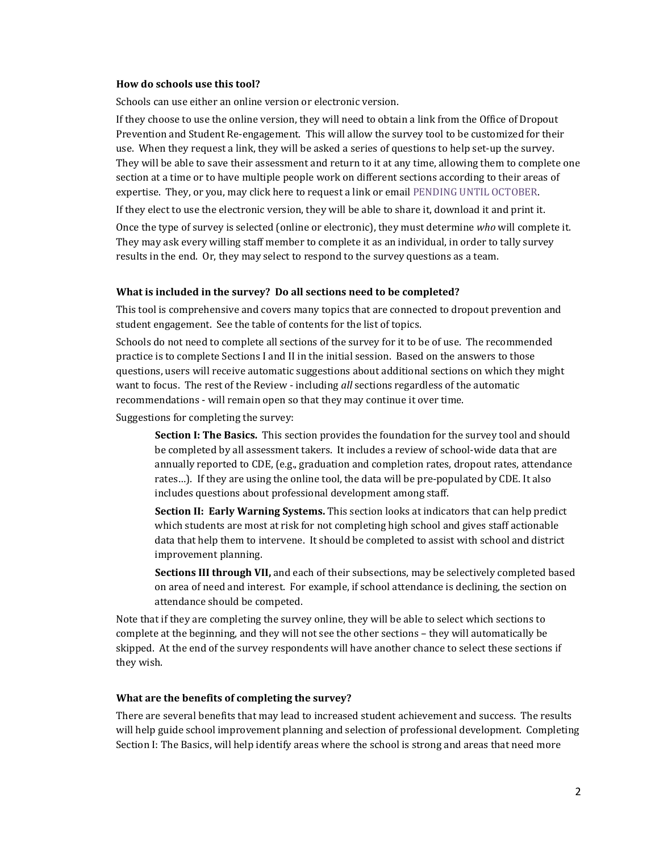#### **How do schools use this tool?**

Schools can use either an online version or electronic version.

If they choose to use the online version, they will need to obtain a link from the Office of Dropout Prevention and Student Re-engagement. This will allow the survey tool to be customized for their use. When they request a link, they will be asked a series of questions to help set-up the survey. They will be able to save their assessment and return to it at any time, allowing them to complete one section at a time or to have multiple people work on different sections according to their areas of expertise. They, or you, may click here to request a link or email PENDING UNTIL OCTOBER.

If they elect to use the electronic version, they will be able to share it, download it and print it.

Once the type of survey is selected (online or electronic), they must determine *who* will complete it. They may ask every willing staff member to complete it as an individual, in order to tally survey results in the end. Or, they may select to respond to the survey questions as a team.

#### **What is included in the survey? Do all sections need to be completed?**

This tool is comprehensive and covers many topics that are connected to dropout prevention and student engagement. See the table of contents for the list of topics.

Schools do not need to complete all sections of the survey for it to be of use. The recommended practice is to complete Sections I and II in the initial session. Based on the answers to those questions, users will receive automatic suggestions about additional sections on which they might want to focus. The rest of the Review - including *all* sections regardless of the automatic recommendations - will remain open so that they may continue it over time.

Suggestions for completing the survey:

**Section I: The Basics.** This section provides the foundation for the survey tool and should be completed by all assessment takers. It includes a review of school-wide data that are annually reported to CDE, (e.g., graduation and completion rates, dropout rates, attendance rates…). If they are using the online tool, the data will be pre-populated by CDE. It also includes questions about professional development among staff.

**Section II: Early Warning Systems.** This section looks at indicators that can help predict which students are most at risk for not completing high school and gives staff actionable data that help them to intervene. It should be completed to assist with school and district improvement planning.

**Sections III through VII,** and each of their subsections, may be selectively completed based on area of need and interest. For example, if school attendance is declining, the section on attendance should be competed.

Note that if they are completing the survey online, they will be able to select which sections to complete at the beginning, and they will not see the other sections – they will automatically be skipped. At the end of the survey respondents will have another chance to select these sections if they wish.

#### **What are the benefits of completing the survey?**

There are several benefits that may lead to increased student achievement and success. The results will help guide school improvement planning and selection of professional development. Completing Section I: The Basics, will help identify areas where the school is strong and areas that need more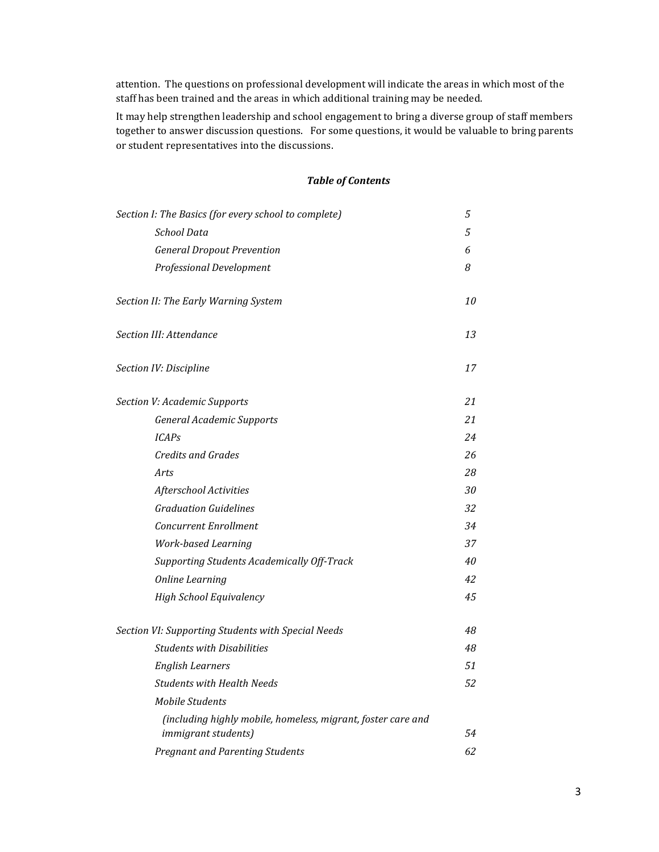attention. The questions on professional development will indicate the areas in which most of the staff has been trained and the areas in which additional training may be needed.

It may help strengthen leadership and school engagement to bring a diverse group of staff members together to answer discussion questions. For some questions, it would be valuable to bring parents or student representatives into the discussions.

# *Table of Contents*

| Section I: The Basics (for every school to complete)                                | 5   |
|-------------------------------------------------------------------------------------|-----|
| School Data                                                                         | 5   |
| <b>General Dropout Prevention</b>                                                   | 6   |
| <b>Professional Development</b>                                                     | 8   |
| Section II: The Early Warning System                                                | 10  |
| Section III: Attendance                                                             | 13  |
| Section IV: Discipline                                                              | 17  |
| Section V: Academic Supports                                                        | 21  |
| <b>General Academic Supports</b>                                                    | 21  |
| <b>ICAPs</b>                                                                        | 24  |
| Credits and Grades                                                                  | 26  |
| Arts                                                                                | 28  |
| Afterschool Activities                                                              | 30  |
| <b>Graduation Guidelines</b>                                                        | 32  |
| <b>Concurrent Enrollment</b>                                                        | 34  |
| <b>Work-based Learning</b>                                                          | 37  |
| Supporting Students Academically Off-Track                                          | 40  |
| Online Learning                                                                     | 42  |
| <b>High School Equivalency</b>                                                      | 4.5 |
| Section VI: Supporting Students with Special Needs                                  | 48  |
| <b>Students with Disabilities</b>                                                   | 48  |
| <b>English Learners</b>                                                             | 51  |
| <b>Students with Health Needs</b>                                                   | 52  |
| <b>Mobile Students</b>                                                              |     |
| (including highly mobile, homeless, migrant, foster care and<br>immigrant students) | 54  |
| Pregnant and Parenting Students                                                     | 62  |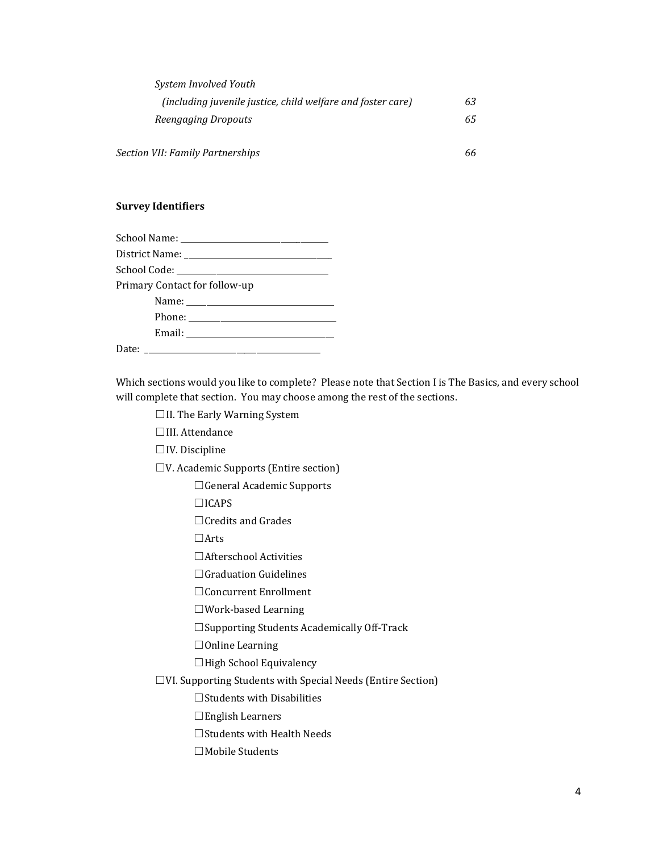| System Involved Youth                                       |    |
|-------------------------------------------------------------|----|
| (including juvenile justice, child welfare and foster care) | 63 |
| Reengaging Dropouts                                         | 65 |
| Section VII: Family Partnerships                            | 66 |

## **Survey Identifiers**

| Primary Contact for follow-up |  |  |
|-------------------------------|--|--|
|                               |  |  |
|                               |  |  |
|                               |  |  |
|                               |  |  |

Which sections would you like to complete? Please note that Section I is The Basics, and every school will complete that section. You may choose among the rest of the sections.

☐II. The Early Warning System

☐III. Attendance

☐IV. Discipline

☐V. Academic Supports (Entire section)

☐General Academic Supports

☐ICAPS

☐Credits and Grades

☐Arts

☐Afterschool Activities

□Graduation Guidelines

☐Concurrent Enrollment

☐Work-based Learning

☐Supporting Students Academically Off-Track

☐Online Learning

☐High School Equivalency

☐VI. Supporting Students with Special Needs (Entire Section)

☐Students with Disabilities

☐English Learners

☐Students with Health Needs

☐Mobile Students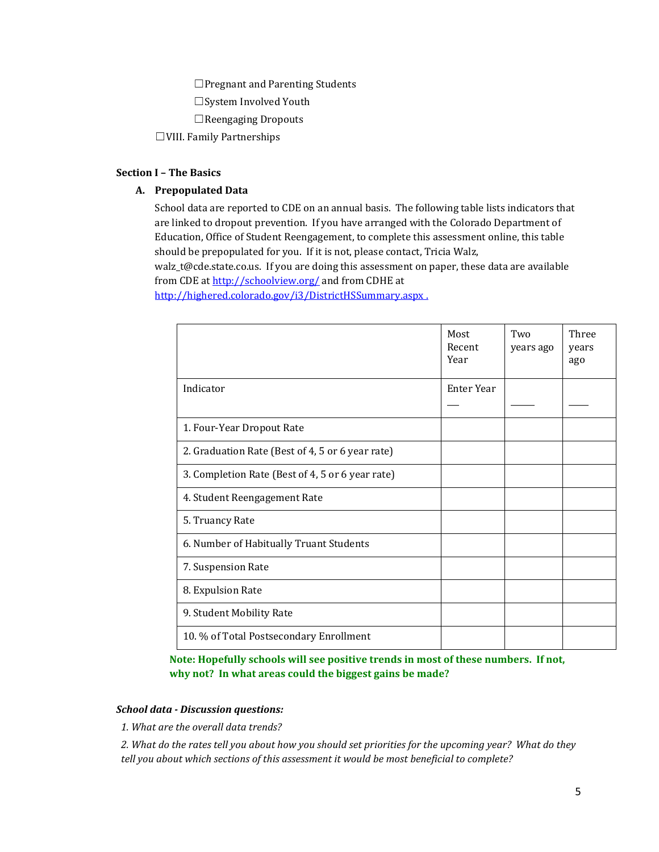□Pregnant and Parenting Students

☐System Involved Youth

☐Reengaging Dropouts

☐VIII. Family Partnerships

#### **Section I – The Basics**

## **A. Prepopulated Data**

School data are reported to CDE on an annual basis. The following table lists indicators that are linked to dropout prevention. If you have arranged with the Colorado Department of Education, Office of Student Reengagement, to complete this assessment online, this table should be prepopulated for you. If it is not, please contact, Tricia Walz, walz\_t@cde.state.co.us. If you are doing this assessment on paper, these data are available from CDE a[t http://schoolview.org/](http://schoolview.org/) and from CDHE at <http://highered.colorado.gov/i3/DistrictHSSummary.aspx> .

|                                                  | Most<br>Recent<br>Year | Two<br>years ago | Three<br>years<br>ago |
|--------------------------------------------------|------------------------|------------------|-----------------------|
| Indicator                                        | Enter Year             |                  |                       |
| 1. Four-Year Dropout Rate                        |                        |                  |                       |
| 2. Graduation Rate (Best of 4, 5 or 6 year rate) |                        |                  |                       |
| 3. Completion Rate (Best of 4, 5 or 6 year rate) |                        |                  |                       |
| 4. Student Reengagement Rate                     |                        |                  |                       |
| 5. Truancy Rate                                  |                        |                  |                       |
| 6. Number of Habitually Truant Students          |                        |                  |                       |
| 7. Suspension Rate                               |                        |                  |                       |
| 8. Expulsion Rate                                |                        |                  |                       |
| 9. Student Mobility Rate                         |                        |                  |                       |
| 10. % of Total Postsecondary Enrollment          |                        |                  |                       |

**Note: Hopefully schools will see positive trends in most of these numbers. If not, why not? In what areas could the biggest gains be made?**

#### *School data - Discussion questions:*

*1. What are the overall data trends?*

*2. What do the rates tell you about how you should set priorities for the upcoming year? What do they tell you about which sections of this assessment it would be most beneficial to complete?*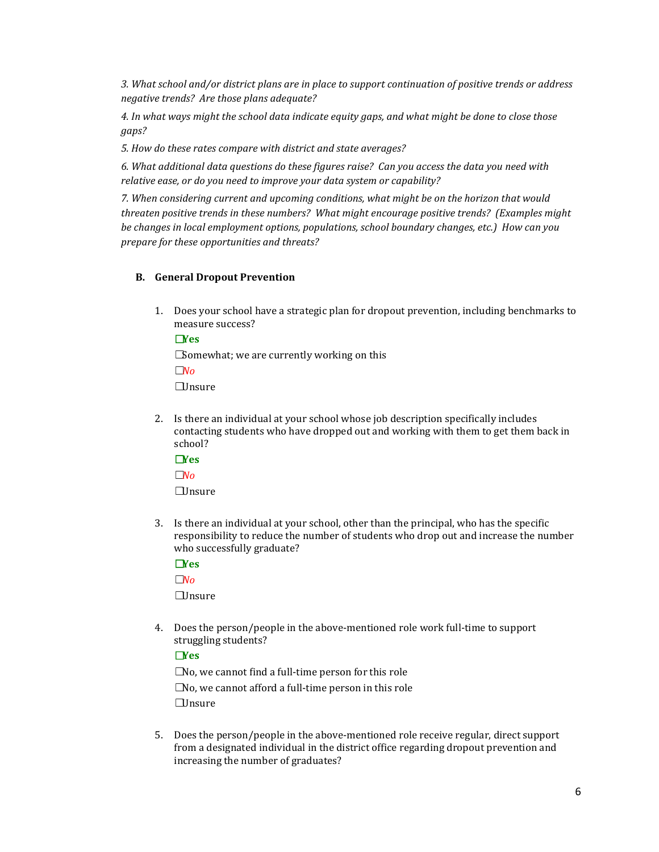*3. What school and/or district plans are in place to support continuation of positive trends or address negative trends? Are those plans adequate?*

*4. In what ways might the school data indicate equity gaps, and what might be done to close those gaps?*

*5. How do these rates compare with district and state averages?*

*6. What additional data questions do these figures raise? Can you access the data you need with relative ease, or do you need to improve your data system or capability?*

*7. When considering current and upcoming conditions, what might be on the horizon that would threaten positive trends in these numbers? What might encourage positive trends? (Examples might be changes in local employment options, populations, school boundary changes, etc.) How can you prepare for these opportunities and threats?*

## **B. General Dropout Prevention**

1. Does your school have a strategic plan for dropout prevention, including benchmarks to measure success?

## ☐**Yes**

**□Somewhat; we are currently working on this** ☐*No* ☐Unsure

2. Is there an individual at your school whose job description specifically includes contacting students who have dropped out and working with them to get them back in school?

☐**Yes** ☐*No* ☐Unsure

3. Is there an individual at your school, other than the principal, who has the specific responsibility to reduce the number of students who drop out and increase the number who successfully graduate?

# ☐**Yes**

☐*No*

☐Unsure

4. Does the person/people in the above-mentioned role work full-time to support struggling students?

# ☐**Yes**

 $\square$ No, we cannot find a full-time person for this role  $\square$ No, we cannot afford a full-time person in this role  $\Box$ Insure

5. Does the person/people in the above-mentioned role receive regular, direct support from a designated individual in the district office regarding dropout prevention and increasing the number of graduates?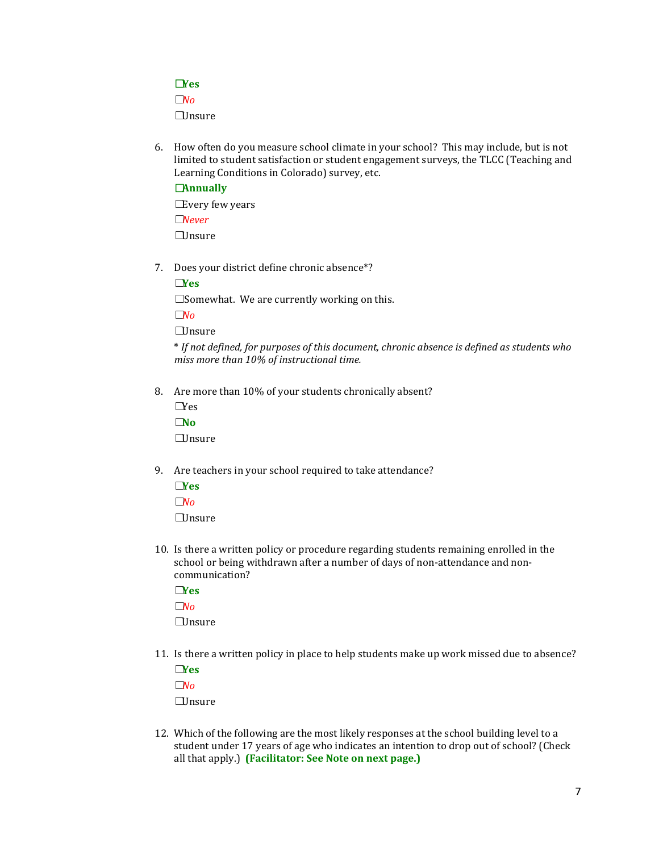# ☐**Yes**

☐*No*

☐Unsure

6. How often do you measure school climate in your school? This may include, but is not limited to student satisfaction or student engagement surveys, the TLCC (Teaching and Learning Conditions in Colorado) survey, etc.

# ☐**Annually**

**□Every few years** ☐*Never* ☐Unsure

7. Does your district define chronic absence\*?

☐**Yes**

□Somewhat. We are currently working on this.

☐*No*

☐Unsure

\* *If not defined, for purposes of this document, chronic absence is defined as students who miss more than 10% of instructional time.*

- 8. Are more than 10% of your students chronically absent?
	- $\n *Yes*\n$ ☐**No** ☐Unsure
- 9. Are teachers in your school required to take attendance?

☐**Yes** ☐*No*  $\Box$ Insure

10. Is there a written policy or procedure regarding students remaining enrolled in the school or being withdrawn after a number of days of non-attendance and noncommunication?

☐**Yes** ☐*No* ☐Unsure

11. Is there a written policy in place to help students make up work missed due to absence? ☐**Yes**

☐*No* ☐Unsure

12. Which of the following are the most likely responses at the school building level to a student under 17 years of age who indicates an intention to drop out of school? (Check all that apply.) **(Facilitator: See Note on next page.)**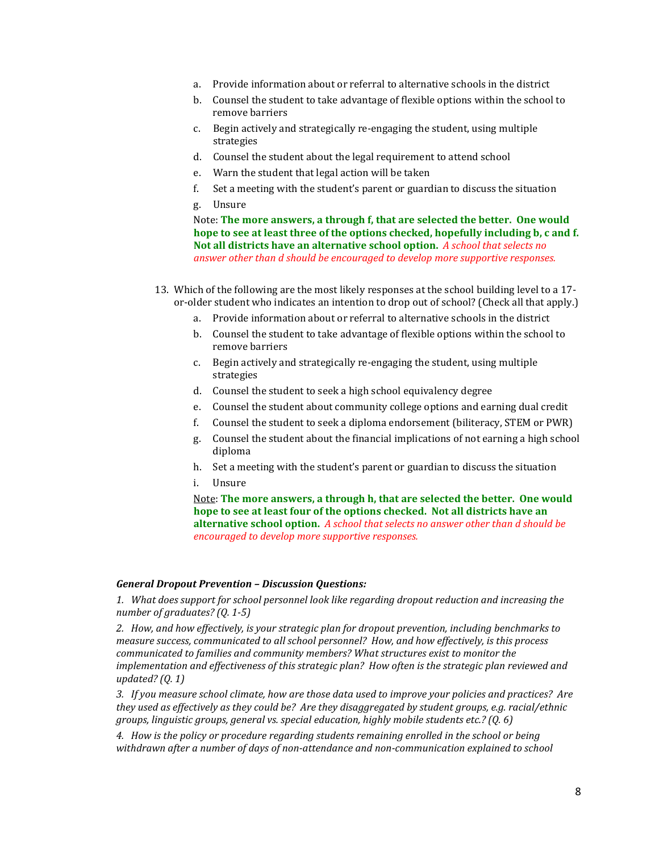- a. Provide information about or referral to alternative schools in the district
- b. Counsel the student to take advantage of flexible options within the school to remove barriers
- c. Begin actively and strategically re-engaging the student, using multiple strategies
- d. Counsel the student about the legal requirement to attend school
- e. Warn the student that legal action will be taken
- f. Set a meeting with the student's parent or guardian to discuss the situation
- g. Unsure

Note: **The more answers, a through f, that are selected the better. One would hope to see at least three of the options checked, hopefully including b, c and f. Not all districts have an alternative school option.** *A school that selects no answer other than d should be encouraged to develop more supportive responses.*

- 13. Which of the following are the most likely responses at the school building level to a 17 or-older student who indicates an intention to drop out of school? (Check all that apply.)
	- a. Provide information about or referral to alternative schools in the district
	- b. Counsel the student to take advantage of flexible options within the school to remove barriers
	- c. Begin actively and strategically re-engaging the student, using multiple strategies
	- d. Counsel the student to seek a high school equivalency degree
	- e. Counsel the student about community college options and earning dual credit
	- f. Counsel the student to seek a diploma endorsement (biliteracy, STEM or PWR)
	- g. Counsel the student about the financial implications of not earning a high school diploma
	- h. Set a meeting with the student's parent or guardian to discuss the situation
	- i. Unsure

Note: **The more answers, a through h, that are selected the better. One would hope to see at least four of the options checked. Not all districts have an alternative school option.** *A school that selects no answer other than d should be encouraged to develop more supportive responses.*

## *General Dropout Prevention – Discussion Questions:*

*1. What does support for school personnel look like regarding dropout reduction and increasing the number of graduates? (Q. 1-5)*

*2. How, and how effectively, is your strategic plan for dropout prevention, including benchmarks to measure success, communicated to all school personnel? How, and how effectively, is this process communicated to families and community members? What structures exist to monitor the implementation and effectiveness of this strategic plan? How often is the strategic plan reviewed and updated? (Q. 1)*

*3. If you measure school climate, how are those data used to improve your policies and practices? Are they used as effectively as they could be? Are they disaggregated by student groups, e.g. racial/ethnic groups, linguistic groups, general vs. special education, highly mobile students etc.? (Q. 6)*

*4. How is the policy or procedure regarding students remaining enrolled in the school or being*  withdrawn after a number of days of non-attendance and non-communication explained to school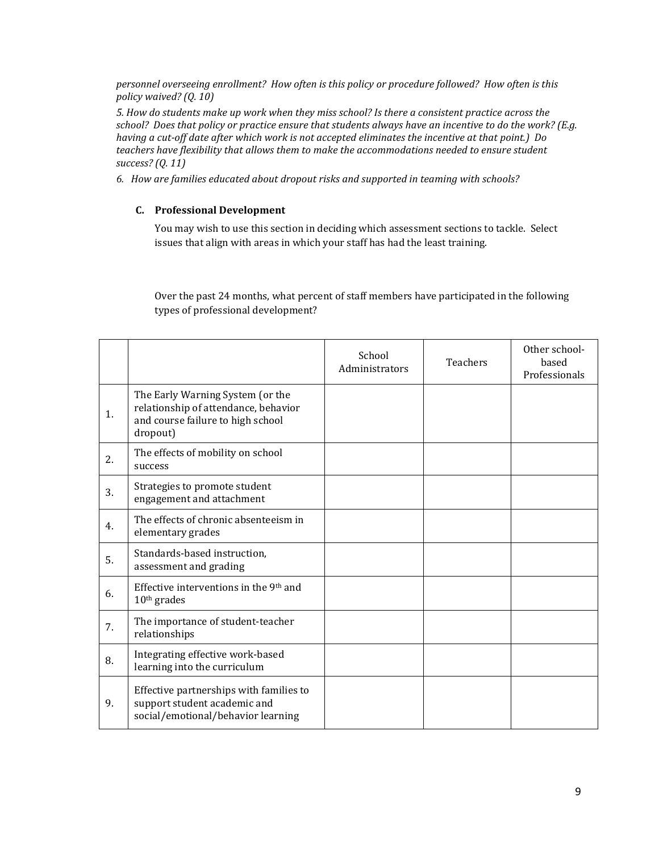*personnel overseeing enrollment? How often is this policy or procedure followed? How often is this policy waived? (Q. 10)*

*5. How do students make up work when they miss school? Is there a consistent practice across the school? Does that policy or practice ensure that students always have an incentive to do the work? (E.g. having a cut-off date after which work is not accepted eliminates the incentive at that point.) Do teachers have flexibility that allows them to make the accommodations needed to ensure student success? (Q. 11)*

*6. How are families educated about dropout risks and supported in teaming with schools?*

# **C. Professional Development**

You may wish to use this section in deciding which assessment sections to tackle. Select issues that align with areas in which your staff has had the least training.

Over the past 24 months, what percent of staff members have participated in the following types of professional development?

|    |                                                                                                                           | School<br>Administrators | <b>Teachers</b> | Other school-<br>based<br>Professionals |
|----|---------------------------------------------------------------------------------------------------------------------------|--------------------------|-----------------|-----------------------------------------|
| 1. | The Early Warning System (or the<br>relationship of attendance, behavior<br>and course failure to high school<br>dropout) |                          |                 |                                         |
| 2. | The effects of mobility on school<br>success                                                                              |                          |                 |                                         |
| 3. | Strategies to promote student<br>engagement and attachment                                                                |                          |                 |                                         |
| 4. | The effects of chronic absenteeism in<br>elementary grades                                                                |                          |                 |                                         |
| 5. | Standards-based instruction,<br>assessment and grading                                                                    |                          |                 |                                         |
| 6. | Effective interventions in the 9 <sup>th</sup> and<br>$10th$ grades                                                       |                          |                 |                                         |
| 7. | The importance of student-teacher<br>relationships                                                                        |                          |                 |                                         |
| 8. | Integrating effective work-based<br>learning into the curriculum                                                          |                          |                 |                                         |
| 9. | Effective partnerships with families to<br>support student academic and<br>social/emotional/behavior learning             |                          |                 |                                         |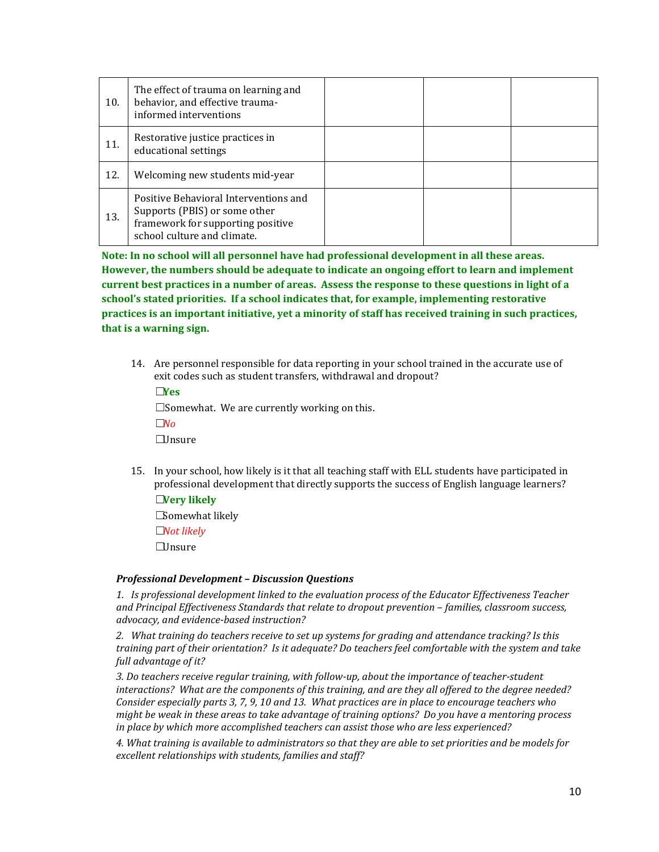| 10. | The effect of trauma on learning and<br>behavior, and effective trauma-<br>informed interventions                                          |  |  |
|-----|--------------------------------------------------------------------------------------------------------------------------------------------|--|--|
| 11. | Restorative justice practices in<br>educational settings                                                                                   |  |  |
| 12. | Welcoming new students mid-year                                                                                                            |  |  |
| 13. | Positive Behavioral Interventions and<br>Supports (PBIS) or some other<br>framework for supporting positive<br>school culture and climate. |  |  |

**Note: In no school will all personnel have had professional development in all these areas. However, the numbers should be adequate to indicate an ongoing effort to learn and implement current best practices in a number of areas. Assess the response to these questions in light of a school's stated priorities. If a school indicates that, for example, implementing restorative practices is an important initiative, yet a minority of staff has received training in such practices, that is a warning sign.** 

14. Are personnel responsible for data reporting in your school trained in the accurate use of exit codes such as student transfers, withdrawal and dropout?

☐**Yes**  $\square$  Somewhat. We are currently working on this. ☐*No* ☐Unsure

15. In your school, how likely is it that all teaching staff with ELL students have participated in professional development that directly supports the success of English language learners? ☐**Very likely**

☐Somewhat likely

☐*Not likely*

☐Unsure

## *Professional Development – Discussion Questions*

*1. Is professional development linked to the evaluation process of the Educator Effectiveness Teacher and Principal Effectiveness Standards that relate to dropout prevention – families, classroom success, advocacy, and evidence-based instruction?*

*2. What training do teachers receive to set up systems for grading and attendance tracking? Is this training part of their orientation? Is it adequate? Do teachers feel comfortable with the system and take full advantage of it?*

*3. Do teachers receive regular training, with follow-up, about the importance of teacher-student interactions? What are the components of this training, and are they all offered to the degree needed? Consider especially parts 3, 7, 9, 10 and 13. What practices are in place to encourage teachers who might be weak in these areas to take advantage of training options? Do you have a mentoring process in place by which more accomplished teachers can assist those who are less experienced?*

*4. What training is available to administrators so that they are able to set priorities and be models for excellent relationships with students, families and staff?*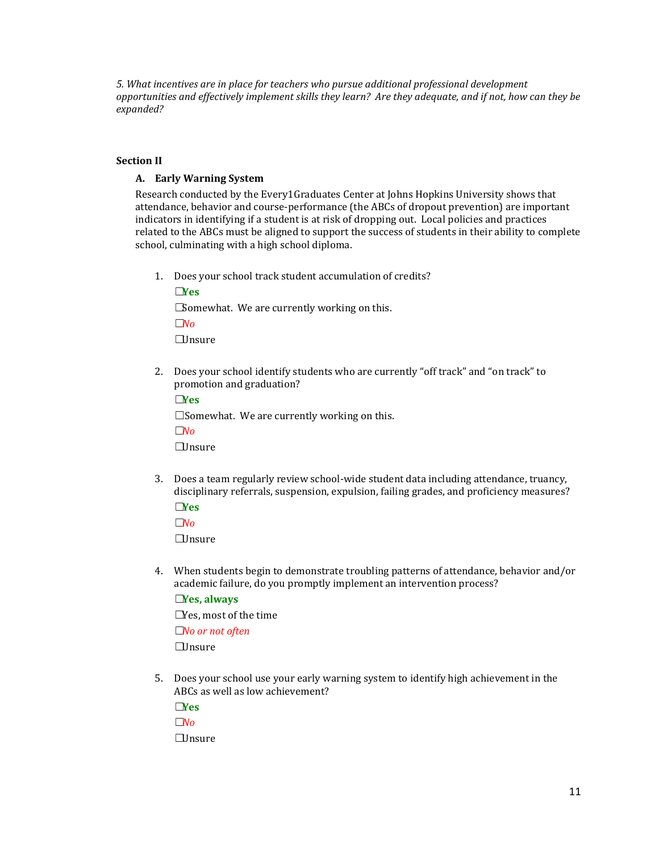*5. What incentives are in place for teachers who pursue additional professional development opportunities and effectively implement skills they learn? Are they adequate, and if not, how can they be expanded?*

#### **Section II**

#### **A. Early Warning System**

Research conducted by the Every1Graduates Center at Johns Hopkins University shows that attendance, behavior and course-performance (the ABCs of dropout prevention) are important indicators in identifying if a student is at risk of dropping out. Local policies and practices related to the ABCs must be aligned to support the success of students in their ability to complete school, culminating with a high school diploma.

1. Does your school track student accumulation of credits?

☐**Yes** □Somewhat. We are currently working on this. ☐*No*  $\Box$ Insure

2. Does your school identify students who are currently "off track" and "on track" to promotion and graduation?

☐**Yes** ☐Somewhat. We are currently working on this. ☐*No*  $\Box$ Insure

- 3. Does a team regularly review school-wide student data including attendance, truancy, disciplinary referrals, suspension, expulsion, failing grades, and proficiency measures? ☐**Yes**
	- ☐*No*

☐Unsure

4. When students begin to demonstrate troubling patterns of attendance, behavior and/or academic failure, do you promptly implement an intervention process? ☐**Yes, always**

☐Yes, most of the time ☐*No or not often* ☐Unsure

5. Does your school use your early warning system to identify high achievement in the ABCs as well as low achievement?

☐**Yes** ☐*No* ☐Unsure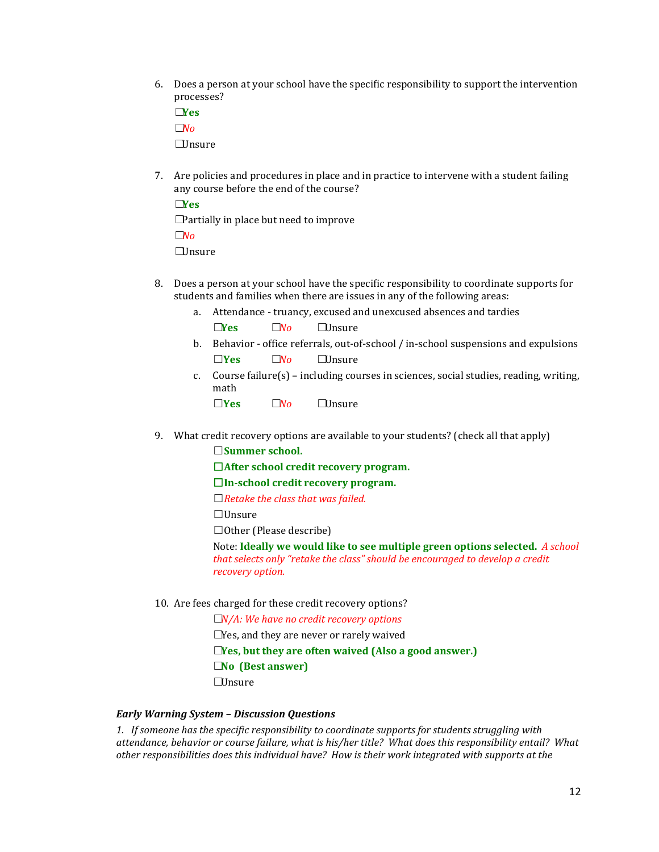6. Does a person at your school have the specific responsibility to support the intervention processes?

☐**Yes** ☐*No* ☐Unsure

7. Are policies and procedures in place and in practice to intervene with a student failing any course before the end of the course?

☐**Yes □Partially in place but need to improve** ☐*No* ☐Unsure

- 8. Does a person at your school have the specific responsibility to coordinate supports for students and families when there are issues in any of the following areas:
	- a. Attendance truancy, excused and unexcused absences and tardies

☐**Yes** ☐*No* ☐Unsure

- b. Behavior office referrals, out-of-school / in-school suspensions and expulsions ☐**Yes** ☐*No* ☐Unsure
- c. Course failure(s) including courses in sciences, social studies, reading, writing, math
	- ☐**Yes** ☐*No* ☐Unsure
- 9. What credit recovery options are available to your students? (check all that apply)

☐**Summer school.**

☐**After school credit recovery program.**

☐**In-school credit recovery program.**

☐*Retake the class that was failed.*

☐Unsure

 $\Box$ Other (Please describe)

Note: **Ideally we would like to see multiple green options selected.** *A school that selects only "retake the class" should be encouraged to develop a credit recovery option.*

10. Are fees charged for these credit recovery options?

☐*N/A: We have no credit recovery options*

 $\square$ Yes, and they are never or rarely waived

☐**Yes, but they are often waived (Also a good answer.)**

☐**No (Best answer)**

☐Unsure

#### *Early Warning System – Discussion Questions*

*1. If someone has the specific responsibility to coordinate supports for students struggling with attendance, behavior or course failure, what is his/her title? What does this responsibility entail? What other responsibilities does this individual have? How is their work integrated with supports at the*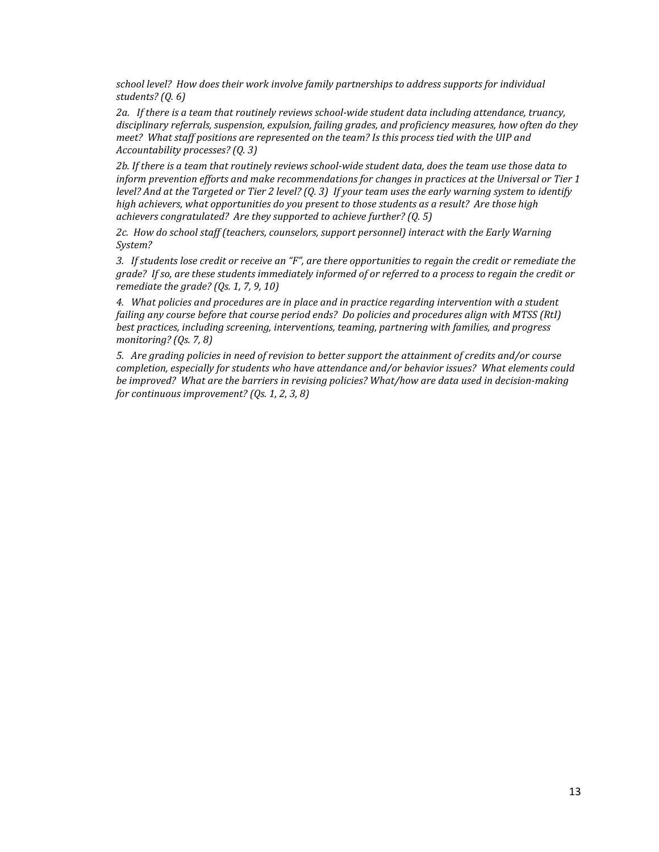*school level? How does their work involve family partnerships to address supports for individual students? (Q. 6)*

*2a. If there is a team that routinely reviews school-wide student data including attendance, truancy, disciplinary referrals, suspension, expulsion, failing grades, and proficiency measures, how often do they meet? What staff positions are represented on the team? Is this process tied with the UIP and Accountability processes? (Q. 3)*

*2b. If there is a team that routinely reviews school-wide student data, does the team use those data to inform prevention efforts and make recommendations for changes in practices at the Universal or Tier 1 level? And at the Targeted or Tier 2 level? (Q. 3) If your team uses the early warning system to identify high achievers, what opportunities do you present to those students as a result? Are those high achievers congratulated? Are they supported to achieve further? (Q. 5)*

*2c. How do school staff (teachers, counselors, support personnel) interact with the Early Warning System?*

*3. If students lose credit or receive an "F", are there opportunities to regain the credit or remediate the grade? If so, are these students immediately informed of or referred to a process to regain the credit or remediate the grade? (Qs. 1, 7, 9, 10)*

*4. What policies and procedures are in place and in practice regarding intervention with a student failing any course before that course period ends? Do policies and procedures align with MTSS (RtI) best practices, including screening, interventions, teaming, partnering with families, and progress monitoring? (Qs. 7, 8)*

*5. Are grading policies in need of revision to better support the attainment of credits and/or course completion, especially for students who have attendance and/or behavior issues? What elements could be improved? What are the barriers in revising policies? What/how are data used in decision-making for continuous improvement? (Qs. 1, 2, 3, 8)*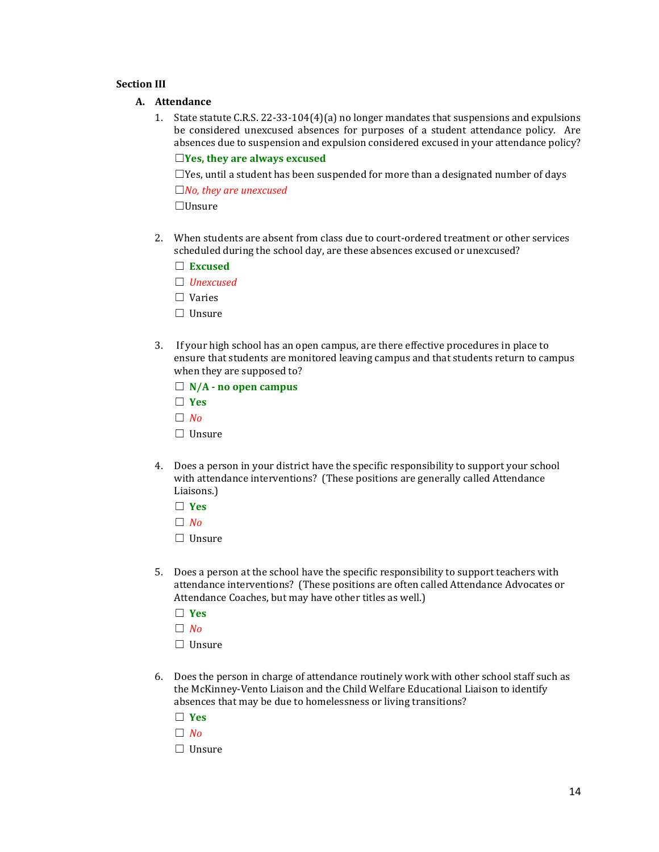#### **Section III**

#### **A. Attendance**

1. State statute C.R.S. 22-33-104(4)(a) no longer mandates that suspensions and expulsions be considered unexcused absences for purposes of a student attendance policy. Are absences due to suspension and expulsion considered excused in your attendance policy?

# ☐**Yes, they are always excused**

 $\Box$ Yes, until a student has been suspended for more than a designated number of days ☐*No, they are unexcused*

☐Unsure

- 2. When students are absent from class due to court-ordered treatment or other services scheduled during the school day, are these absences excused or unexcused?
	- ☐ **Excused**
	- ☐ *Unexcused*
	- ☐ Varies
	- ☐ Unsure
- 3. If your high school has an open campus, are there effective procedures in place to ensure that students are monitored leaving campus and that students return to campus when they are supposed to?
	- ☐ **N/A - no open campus**
	- ☐ **Yes**
	- $\Box$  *No*
	- □ Unsure
- 4. Does a person in your district have the specific responsibility to support your school with attendance interventions? (These positions are generally called Attendance Liaisons.)
	- ☐ **Yes**
	- ☐ *No*
	- ☐ Unsure
- 5. Does a person at the school have the specific responsibility to support teachers with attendance interventions? (These positions are often called Attendance Advocates or Attendance Coaches, but may have other titles as well.)
	- ☐ **Yes**
	- ☐ *No*
	- ☐ Unsure
- 6. Does the person in charge of attendance routinely work with other school staff such as the McKinney-Vento Liaison and the Child Welfare Educational Liaison to identify absences that may be due to homelessness or living transitions?
	- ☐ **Yes**
	- ☐ *No*
	- ☐ Unsure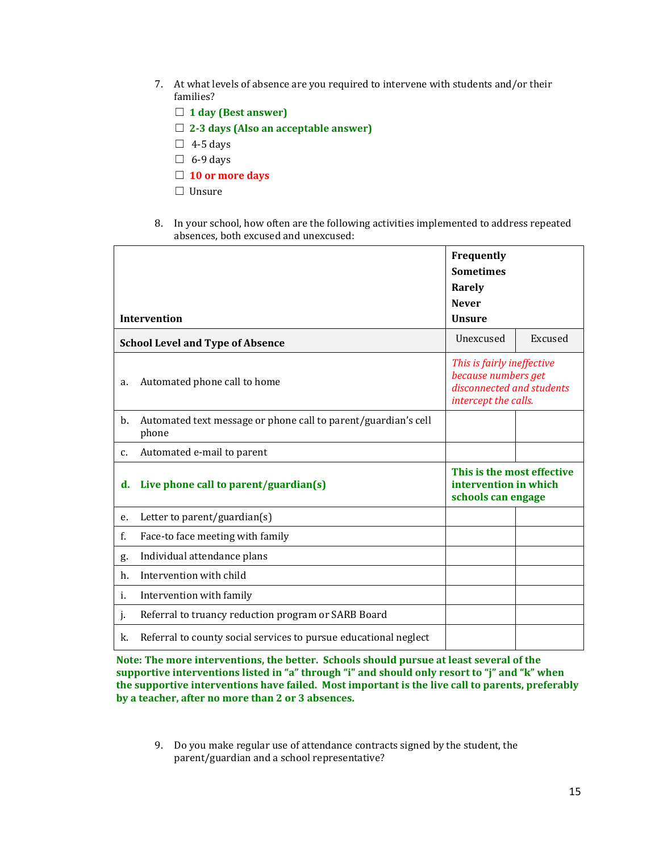- 7. At what levels of absence are you required to intervene with students and/or their families?
	- ☐ **1 day (Best answer)**
	- ☐ **2-3 days (Also an acceptable answer)**
	- $\Box$  4-5 days
	- $\Box$  6-9 days
	- ☐ **10 or more days**
	- ☐ Unsure
- 8. In your school, how often are the following activities implemented to address repeated absences, both excused and unexcused:

|                                         |                                                                         | Frequently<br><b>Sometimes</b><br>Rarely<br><b>Never</b>                                               |         |
|-----------------------------------------|-------------------------------------------------------------------------|--------------------------------------------------------------------------------------------------------|---------|
|                                         | <b>Intervention</b>                                                     | <b>Unsure</b>                                                                                          |         |
| <b>School Level and Type of Absence</b> |                                                                         | Unexcused                                                                                              | Excused |
| a.                                      | Automated phone call to home                                            | This is fairly ineffective<br>because numbers get<br>disconnected and students<br>intercept the calls. |         |
| b.                                      | Automated text message or phone call to parent/guardian's cell<br>phone |                                                                                                        |         |
| $C_{1}$                                 | Automated e-mail to parent                                              |                                                                                                        |         |
| d.                                      | Live phone call to parent/guardian(s)                                   | This is the most effective<br>intervention in which<br>schools can engage                              |         |
| е.                                      | Letter to parent/guardian(s)                                            |                                                                                                        |         |
| f.                                      | Face-to face meeting with family                                        |                                                                                                        |         |
| g.                                      | Individual attendance plans                                             |                                                                                                        |         |
| h.                                      | Intervention with child                                                 |                                                                                                        |         |
| i.                                      | Intervention with family                                                |                                                                                                        |         |
| j.                                      | Referral to truancy reduction program or SARB Board                     |                                                                                                        |         |
| k.                                      | Referral to county social services to pursue educational neglect        |                                                                                                        |         |

**Note: The more interventions, the better. Schools should pursue at least several of the supportive interventions listed in "a" through "i" and should only resort to "j" and "k" when the supportive interventions have failed. Most important is the live call to parents, preferably by a teacher, after no more than 2 or 3 absences.**

9. Do you make regular use of attendance contracts signed by the student, the parent/guardian and a school representative?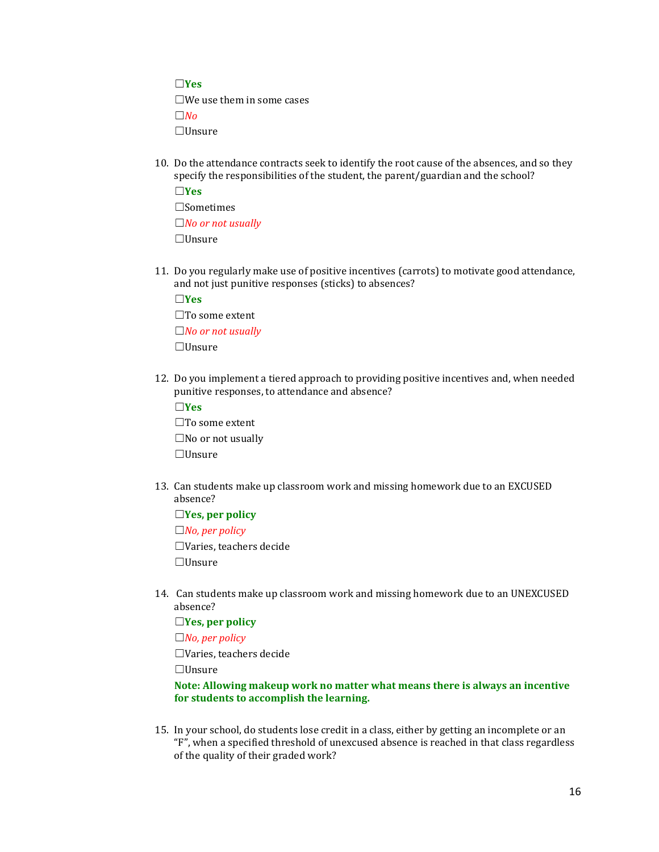☐**Yes**

 $\square$ We use them in some cases

☐*No*

☐Unsure

10. Do the attendance contracts seek to identify the root cause of the absences, and so they specify the responsibilities of the student, the parent/guardian and the school?

☐**Yes** ☐Sometimes ☐*No or not usually* ☐Unsure

11. Do you regularly make use of positive incentives (carrots) to motivate good attendance, and not just punitive responses (sticks) to absences?

☐**Yes** ☐To some extent ☐*No or not usually*

☐Unsure

12. Do you implement a tiered approach to providing positive incentives and, when needed punitive responses, to attendance and absence?

☐**Yes**

☐To some extent ☐No or not usually ☐Unsure

13. Can students make up classroom work and missing homework due to an EXCUSED absence?

☐**Yes, per policy**

☐*No, per policy*

☐Varies, teachers decide ☐Unsure

14. Can students make up classroom work and missing homework due to an UNEXCUSED absence?

☐**Yes, per policy**

☐*No, per policy*

☐Varies, teachers decide

☐Unsure

## **Note: Allowing makeup work no matter what means there is always an incentive for students to accomplish the learning.**

15. In your school, do students lose credit in a class, either by getting an incomplete or an "F", when a specified threshold of unexcused absence is reached in that class regardless of the quality of their graded work?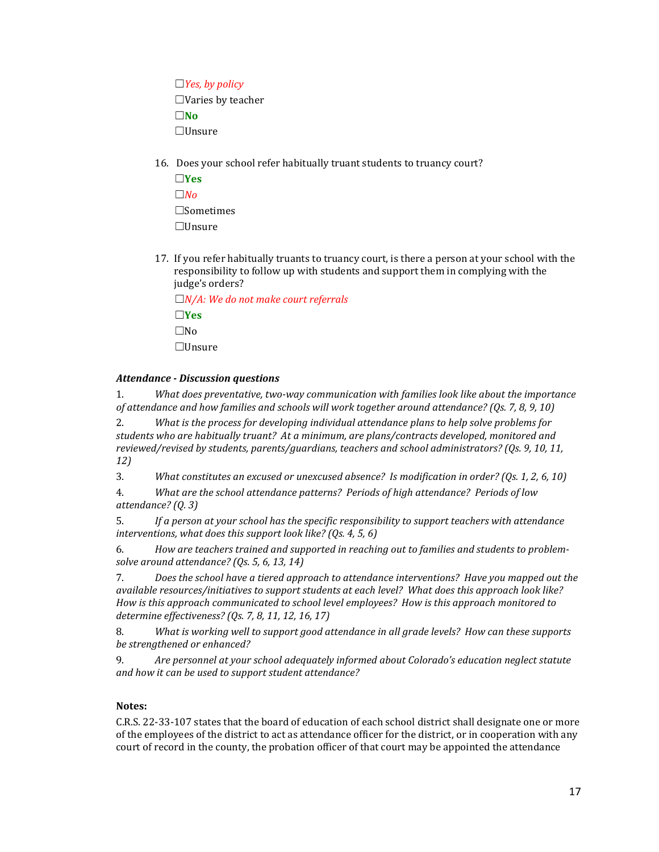☐*Yes, by policy* ☐Varies by teacher ☐**No** ☐Unsure

16. Does your school refer habitually truant students to truancy court?

☐**Yes**  $□*No*$ ☐Sometimes ☐Unsure

17. If you refer habitually truants to truancy court, is there a person at your school with the responsibility to follow up with students and support them in complying with the judge's orders?

☐*N/A: We do not make court referrals* ☐**Yes** ☐No ☐Unsure

## *Attendance - Discussion questions*

1. *What does preventative, two-way communication with families look like about the importance of attendance and how families and schools will work together around attendance? (Qs. 7, 8, 9, 10)*

2. *What is the process for developing individual attendance plans to help solve problems for students who are habitually truant? At a minimum, are plans/contracts developed, monitored and reviewed/revised by students, parents/guardians, teachers and school administrators? (Qs. 9, 10, 11, 12)*

3. *What constitutes an excused or unexcused absence? Is modification in order? (Qs. 1, 2, 6, 10)*

4. *What are the school attendance patterns? Periods of high attendance? Periods of low attendance? (Q. 3)*

5. *If a person at your school has the specific responsibility to support teachers with attendance interventions, what does this support look like? (Qs. 4, 5, 6)*

6. *How are teachers trained and supported in reaching out to families and students to problemsolve around attendance? (Qs. 5, 6, 13, 14)*

7. *Does the school have a tiered approach to attendance interventions? Have you mapped out the available resources/initiatives to support students at each level? What does this approach look like? How is this approach communicated to school level employees? How is this approach monitored to determine effectiveness? (Qs. 7, 8, 11, 12, 16, 17)*

8. *What is working well to support good attendance in all grade levels? How can these supports be strengthened or enhanced?*

9. *Are personnel at your school adequately informed about Colorado's education neglect statute and how it can be used to support student attendance?*

# **Notes:**

C.R.S. 22-33-107 states that the board of education of each school district shall designate one or more of the employees of the district to act as attendance officer for the district, or in cooperation with any court of record in the county, the probation officer of that court may be appointed the attendance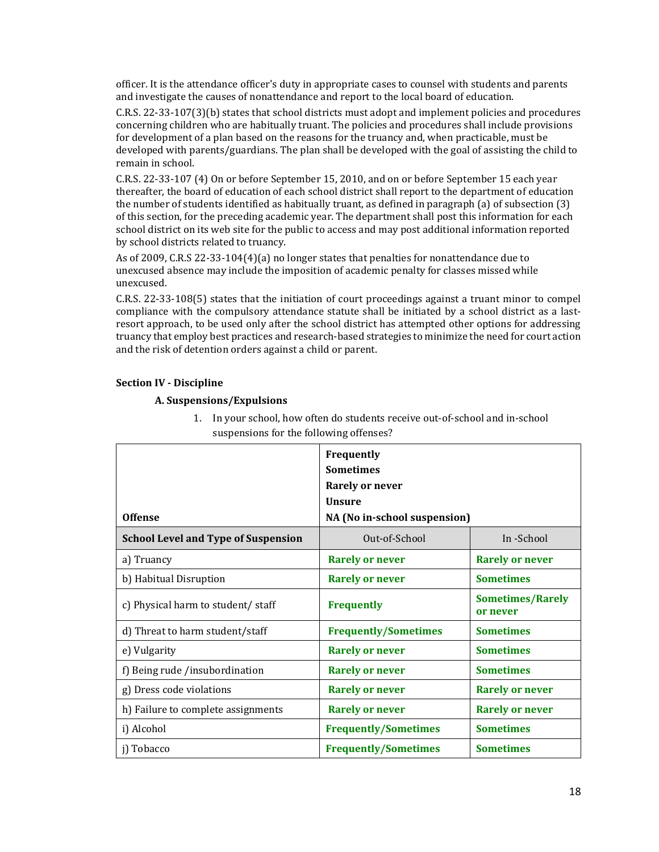officer. It is the attendance officer's duty in appropriate cases to counsel with students and parents and investigate the causes of nonattendance and report to the local board of education.

C.R.S. 22-33-107(3)(b) states that school districts must adopt and implement policies and procedures concerning children who are habitually truant. The policies and procedures shall include provisions for development of a plan based on the reasons for the truancy and, when practicable, must be developed with parents/guardians. The plan shall be developed with the goal of assisting the child to remain in school.

C.R.S. 22-33-107 (4) On or before September 15, 2010, and on or before September 15 each year thereafter, the board of education of each school district shall report to the department of education the number of students identified as habitually truant, as defined in paragraph (a) of subsection (3) of this section, for the preceding academic year. The department shall post this information for each school district on its web site for the public to access and may post additional information reported by school districts related to truancy.

As of 2009, C.R.S 22-33-104(4)(a) no longer states that penalties for nonattendance due to unexcused absence may include the imposition of academic penalty for classes missed while unexcused.

C.R.S. 22-33-108(5) states that the initiation of court proceedings against a truant minor to compel compliance with the compulsory attendance statute shall be initiated by a school district as a lastresort approach, to be used only after the school district has attempted other options for addressing truancy that employ best practices and research-based strategies to minimize the need for court action and the risk of detention orders against a child or parent.

## **Section IV - Discipline**

## **A. Suspensions/Expulsions**

| <b>Offense</b>                             | Frequently<br><b>Sometimes</b><br><b>Rarely or never</b><br><b>Unsure</b><br>NA (No in-school suspension) |                                     |
|--------------------------------------------|-----------------------------------------------------------------------------------------------------------|-------------------------------------|
| <b>School Level and Type of Suspension</b> | Out-of-School                                                                                             | In -School                          |
| a) Truancy                                 | <b>Rarely or never</b>                                                                                    | <b>Rarely or never</b>              |
| b) Habitual Disruption                     | <b>Rarely or never</b>                                                                                    | <b>Sometimes</b>                    |
| c) Physical harm to student/staff          | <b>Frequently</b>                                                                                         | <b>Sometimes/Rarely</b><br>or never |
| d) Threat to harm student/staff            | <b>Frequently/Sometimes</b>                                                                               | <b>Sometimes</b>                    |
| e) Vulgarity                               | <b>Rarely or never</b>                                                                                    | <b>Sometimes</b>                    |
| f) Being rude /insubordination             | <b>Rarely or never</b>                                                                                    | <b>Sometimes</b>                    |
| g) Dress code violations                   | <b>Rarely or never</b>                                                                                    | <b>Rarely or never</b>              |
| h) Failure to complete assignments         | <b>Rarely or never</b>                                                                                    | <b>Rarely or never</b>              |
| i) Alcohol                                 | <b>Frequently/Sometimes</b>                                                                               | <b>Sometimes</b>                    |
| j) Tobacco                                 | <b>Frequently/Sometimes</b>                                                                               | <b>Sometimes</b>                    |

1. In your school, how often do students receive out-of-school and in-school suspensions for the following offenses?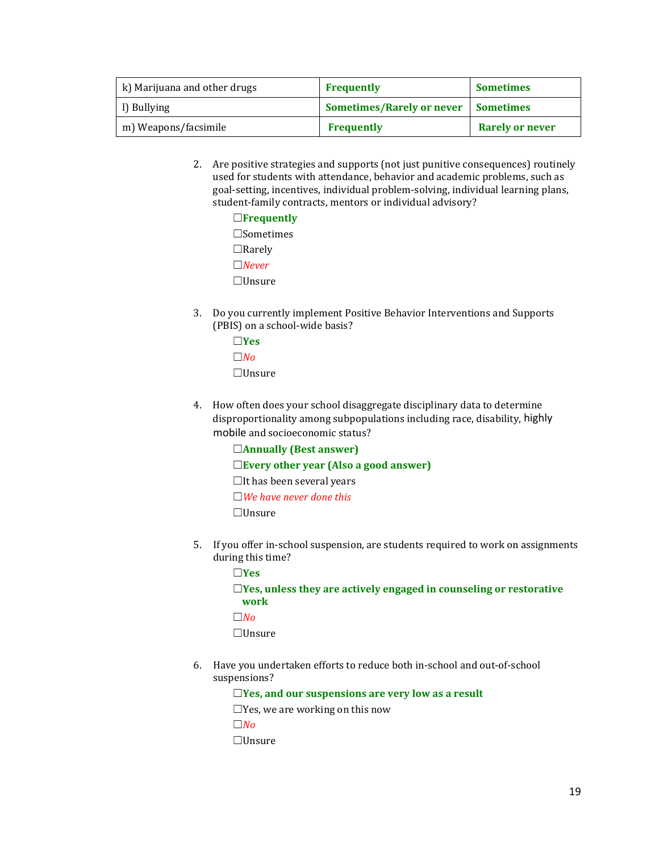| k) Marijuana and other drugs | <b>Frequently</b>                          | <b>Sometimes</b>       |
|------------------------------|--------------------------------------------|------------------------|
| l) Bullying                  | <b>Sometimes/Rarely or never Sometimes</b> |                        |
| m) Weapons/facsimile         | <b>Frequently</b>                          | <b>Rarely or never</b> |

2. Are positive strategies and supports (not just punitive consequences) routinely used for students with attendance, behavior and academic problems, such as goal-setting, incentives, individual problem-solving, individual learning plans, student-family contracts, mentors or individual advisory?

| $\Box$ Frequently |
|-------------------|
| $\Box$ Sometimes  |
| $\Box$ Rarely     |
| $\Box$ Never      |
| $\Box$ Unsure     |

3. Do you currently implement Positive Behavior Interventions and Supports (PBIS) on a school-wide basis?

| l IYes        |
|---------------|
| l INo         |
| $\Box$ Unsure |

- 4. How often does your school disaggregate disciplinary data to determine disproportionality among subpopulations including race, disability, highly mobile and socioeconomic status?
	- ☐**Annually (Best answer)**
	- ☐**Every other year (Also a good answer)**
	- $\Box$ It has been several years
	- ☐*We have never done this*

☐Unsure

5. If you offer in-school suspension, are students required to work on assignments during this time?

☐**Yes** ☐**Yes, unless they are actively engaged in counseling or restorative work** ☐*No*

☐Unsure

6. Have you undertaken efforts to reduce both in-school and out-of-school suspensions?

☐**Yes, and our suspensions are very low as a result**

☐Yes, we are working on this now

 $□ *No*$ 

☐Unsure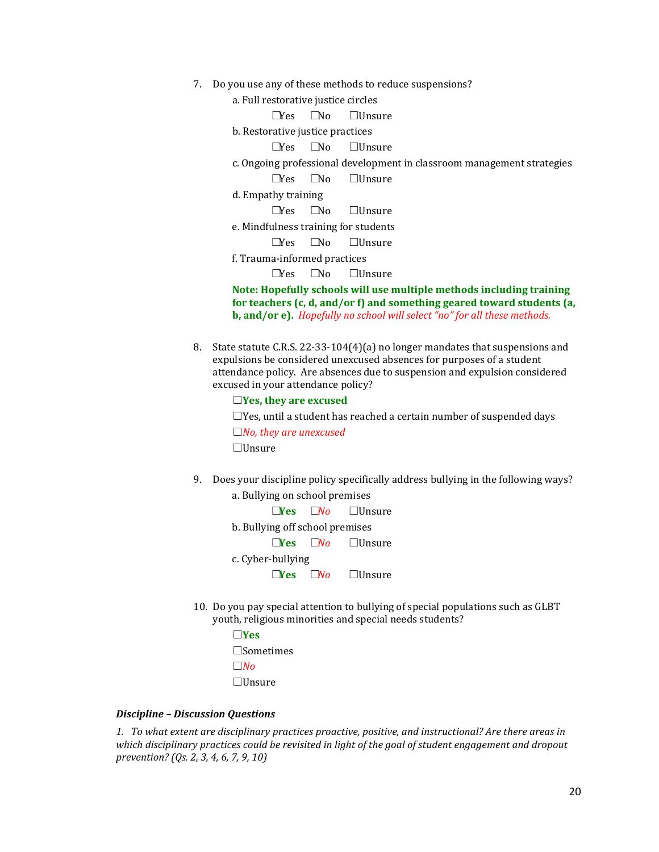- 7. Do you use any of these methods to reduce suspensions?
	- a. Full restorative justice circles

| a. Full restorative justice circles                                  |  |                                                                        |
|----------------------------------------------------------------------|--|------------------------------------------------------------------------|
|                                                                      |  | $\square$ Yes $\square$ No $\square$ Unsure                            |
| b. Restorative justice practices                                     |  |                                                                        |
|                                                                      |  | $\square$ Yes $\square$ No $\square$ Unsure                            |
|                                                                      |  | c. Ongoing professional development in classroom management strategies |
|                                                                      |  | $\square$ Yes $\square$ No $\square$ Unsure                            |
| d. Empathy training                                                  |  |                                                                        |
|                                                                      |  | $\square$ Yes $\square$ No $\square$ Unsure                            |
| e. Mindfulness training for students                                 |  |                                                                        |
|                                                                      |  | $\square$ Yes $\square$ No $\square$ Unsure                            |
| f. Trauma-informed practices                                         |  |                                                                        |
|                                                                      |  | $\square$ Yes $\square$ No $\square$ Unsure                            |
| Note: Hopefully schools will use multiple methods including training |  |                                                                        |
|                                                                      |  | for teachers (c, d, and/or f) and something geared toward students (a  |

**for teachers (c, d, and/or f) and something geared toward students (a, b, and/or e).** *Hopefully no school will select "no" for all these methods.*

8. State statute C.R.S. 22-33-104(4)(a) no longer mandates that suspensions and expulsions be considered unexcused absences for purposes of a student attendance policy. Are absences due to suspension and expulsion considered excused in your attendance policy?

☐**Yes, they are excused**

 $\Box$ Yes, until a student has reached a certain number of suspended days

☐*No, they are unexcused*

☐Unsure

9. Does your discipline policy specifically address bullying in the following ways? a. Bullying on school premises

|                                 |           | <b>Nes</b> $\Box$ <i>No</i> $\Box$ Unsure          |  |  |  |
|---------------------------------|-----------|----------------------------------------------------|--|--|--|
| b. Bullying off school premises |           |                                                    |  |  |  |
|                                 |           | $\square$ Yes $\square$ <i>No</i> $\square$ Unsure |  |  |  |
| c. Cyber-bullying               |           |                                                    |  |  |  |
| $\neg$ Yes                      | $\Box$ No | $\Box$ Unsure                                      |  |  |  |

10. Do you pay special attention to bullying of special populations such as GLBT youth, religious minorities and special needs students?

```
☐Yes
☐Sometimes
☐No
☐Unsure
```
#### *Discipline – Discussion Questions*

*1. To what extent are disciplinary practices proactive, positive, and instructional? Are there areas in which disciplinary practices could be revisited in light of the goal of student engagement and dropout prevention? (Qs. 2, 3, 4, 6, 7, 9, 10)*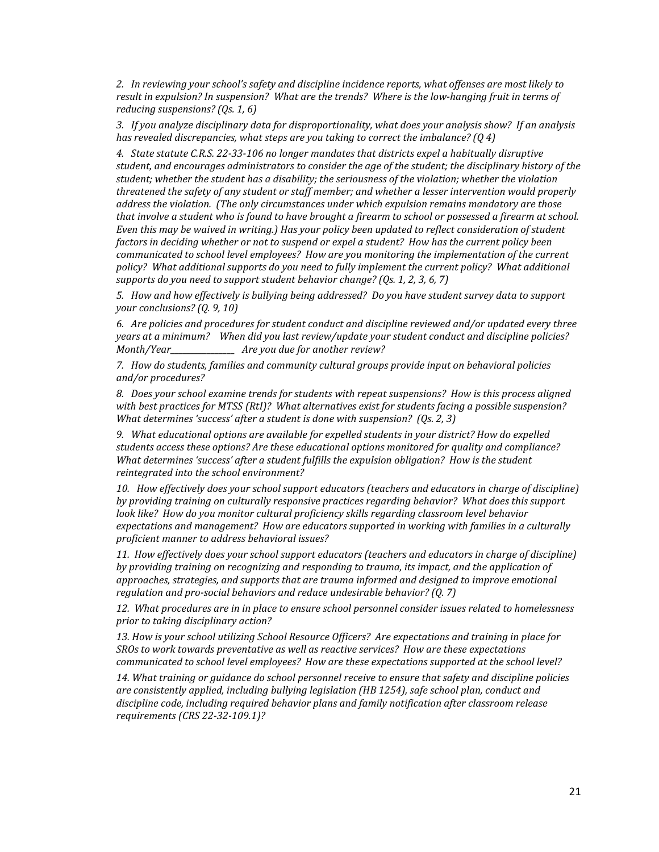*2. In reviewing your school's safety and discipline incidence reports, what offenses are most likely to result in expulsion? In suspension? What are the trends? Where is the low-hanging fruit in terms of reducing suspensions? (Qs. 1, 6)*

*3. If you analyze disciplinary data for disproportionality, what does your analysis show? If an analysis has revealed discrepancies, what steps are you taking to correct the imbalance? (Q 4)*

*4. State statute C.R.S. 22-33-106 no longer mandates that districts expel a habitually disruptive student, and encourages administrators to consider the age of the student; the disciplinary history of the student; whether the student has a disability; the seriousness of the violation; whether the violation threatened the safety of any student or staff member; and whether a lesser intervention would properly address the violation. (The only circumstances under which expulsion remains mandatory are those that involve a student who is found to have brought a firearm to school or possessed a firearm at school. Even this may be waived in writing.) Has your policy been updated to reflect consideration of student factors in deciding whether or not to suspend or expel a student? How has the current policy been communicated to school level employees? How are you monitoring the implementation of the current policy? What additional supports do you need to fully implement the current policy? What additional supports do you need to support student behavior change? (Qs. 1, 2, 3, 6, 7)*

*5. How and how effectively is bullying being addressed? Do you have student survey data to support your conclusions? (Q. 9, 10)*

*6. Are policies and procedures for student conduct and discipline reviewed and/or updated every three years at a minimum? When did you last review/update your student conduct and discipline policies? Month/Year\_\_\_\_\_\_\_\_\_\_\_\_\_\_\_\_ Are you due for another review?*

*7. How do students, families and community cultural groups provide input on behavioral policies and/or procedures?* 

*8. Does your school examine trends for students with repeat suspensions? How is this process aligned with best practices for MTSS (RtI)? What alternatives exist for students facing a possible suspension? What determines 'success' after a student is done with suspension? (Qs. 2, 3)*

*9. What educational options are available for expelled students in your district? How do expelled students access these options? Are these educational options monitored for quality and compliance? What determines 'success' after a student fulfills the expulsion obligation? How is the student reintegrated into the school environment?* 

*10. How effectively does your school support educators (teachers and educators in charge of discipline) by providing training on culturally responsive practices regarding behavior? What does this support look like? How do you monitor cultural proficiency skills regarding classroom level behavior expectations and management? How are educators supported in working with families in a culturally proficient manner to address behavioral issues?* 

*11. How effectively does your school support educators (teachers and educators in charge of discipline) by providing training on recognizing and responding to trauma, its impact, and the application of approaches, strategies, and supports that are trauma informed and designed to improve emotional regulation and pro-social behaviors and reduce undesirable behavior? (Q. 7)*

*12. What procedures are in in place to ensure school personnel consider issues related to homelessness prior to taking disciplinary action?*

*13. How is your school utilizing School Resource Officers? Are expectations and training in place for SROs to work towards preventative as well as reactive services? How are these expectations communicated to school level employees? How are these expectations supported at the school level?* 

*14. What training or guidance do school personnel receive to ensure that safety and discipline policies are consistently applied, including bullying legislation (HB 1254), safe school plan, conduct and discipline code, including required behavior plans and family notification after classroom release requirements (CRS 22-32-109.1)?*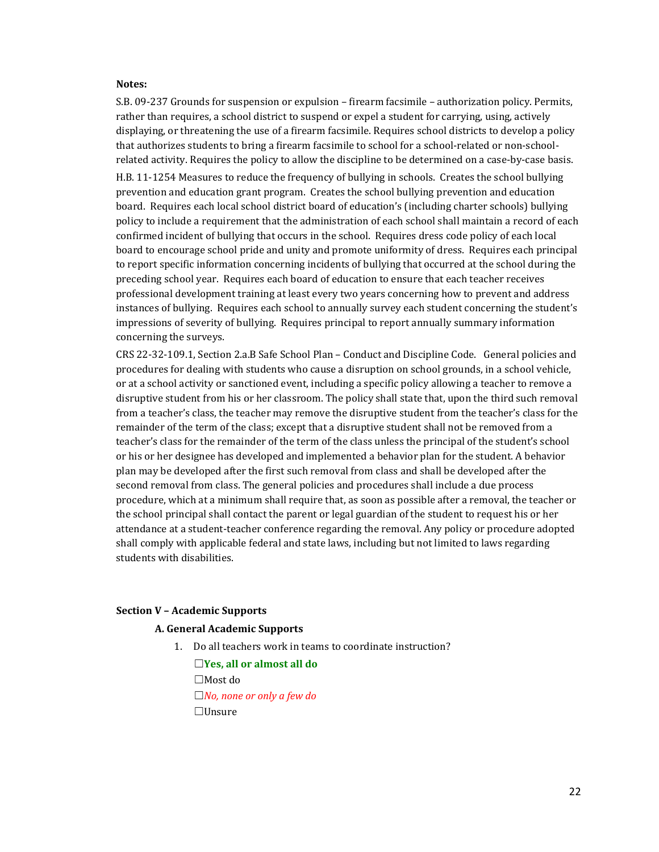#### **Notes:**

S.B. 09-237 Grounds for suspension or expulsion – firearm facsimile – authorization policy. Permits, rather than requires, a school district to suspend or expel a student for carrying, using, actively displaying, or threatening the use of a firearm facsimile. Requires school districts to develop a policy that authorizes students to bring a firearm facsimile to school for a school-related or non-schoolrelated activity. Requires the policy to allow the discipline to be determined on a case-by-case basis. H.B. 11-1254 Measures to reduce the frequency of bullying in schools. Creates the school bullying prevention and education grant program. Creates the school bullying prevention and education board. Requires each local school district board of education's (including charter schools) bullying policy to include a requirement that the administration of each school shall maintain a record of each confirmed incident of bullying that occurs in the school. Requires dress code policy of each local board to encourage school pride and unity and promote uniformity of dress. Requires each principal to report specific information concerning incidents of bullying that occurred at the school during the preceding school year. Requires each board of education to ensure that each teacher receives professional development training at least every two years concerning how to prevent and address instances of bullying. Requires each school to annually survey each student concerning the student's impressions of severity of bullying. Requires principal to report annually summary information concerning the surveys.

CRS 22-32-109.1, Section 2.a.B Safe School Plan – Conduct and Discipline Code. General policies and procedures for dealing with students who cause a disruption on school grounds, in a school vehicle, or at a school activity or sanctioned event, including a specific policy allowing a teacher to remove a disruptive student from his or her classroom. The policy shall state that, upon the third such removal from a teacher's class, the teacher may remove the disruptive student from the teacher's class for the remainder of the term of the class; except that a disruptive student shall not be removed from a teacher's class for the remainder of the term of the class unless the principal of the student's school or his or her designee has developed and implemented a behavior plan for the student. A behavior plan may be developed after the first such removal from class and shall be developed after the second removal from class. The general policies and procedures shall include a due process procedure, which at a minimum shall require that, as soon as possible after a removal, the teacher or the school principal shall contact the parent or legal guardian of the student to request his or her attendance at a student-teacher conference regarding the removal. Any policy or procedure adopted shall comply with applicable federal and state laws, including but not limited to laws regarding students with disabilities.

#### **Section V – Academic Supports**

#### **A. General Academic Supports**

1. Do all teachers work in teams to coordinate instruction?

☐**Yes, all or almost all do** ☐Most do ☐*No, none or only a few do* ☐Unsure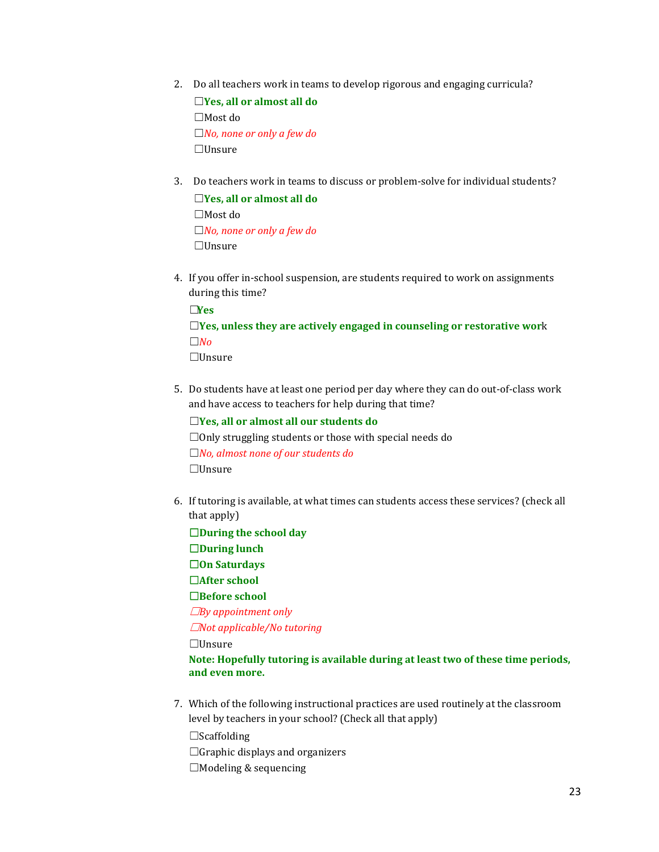2. Do all teachers work in teams to develop rigorous and engaging curricula?

☐**Yes, all or almost all do** ☐Most do ☐*No, none or only a few do* ☐Unsure

3. Do teachers work in teams to discuss or problem-solve for individual students?

☐**Yes, all or almost all do** ☐Most do ☐*No, none or only a few do* ☐Unsure

4. If you offer in-school suspension, are students required to work on assignments during this time?

☐**Yes**

# ☐**Yes, unless they are actively engaged in counseling or restorative wor**k ☐*No*

☐Unsure

5. Do students have at least one period per day where they can do out-of-class work and have access to teachers for help during that time?

☐**Yes, all or almost all our students do**

☐Only struggling students or those with special needs do ☐*No, almost none of our students do* ☐Unsure

- 6. If tutoring is available, at what times can students access these services? (check all that apply)
- ☐**During the school day** ☐**During lunch** ☐**On Saturdays** ☐**After school** ☐**Before school** ☐*By appointment only* ☐*Not applicable/No tutoring* ☐Unsure **Note: Hopefully tutoring is available during at least two of these time periods, and even more.**
- 7. Which of the following instructional practices are used routinely at the classroom level by teachers in your school? (Check all that apply)

☐Scaffolding  $\Box$ Graphic displays and organizers

 $\Box$ Modeling & sequencing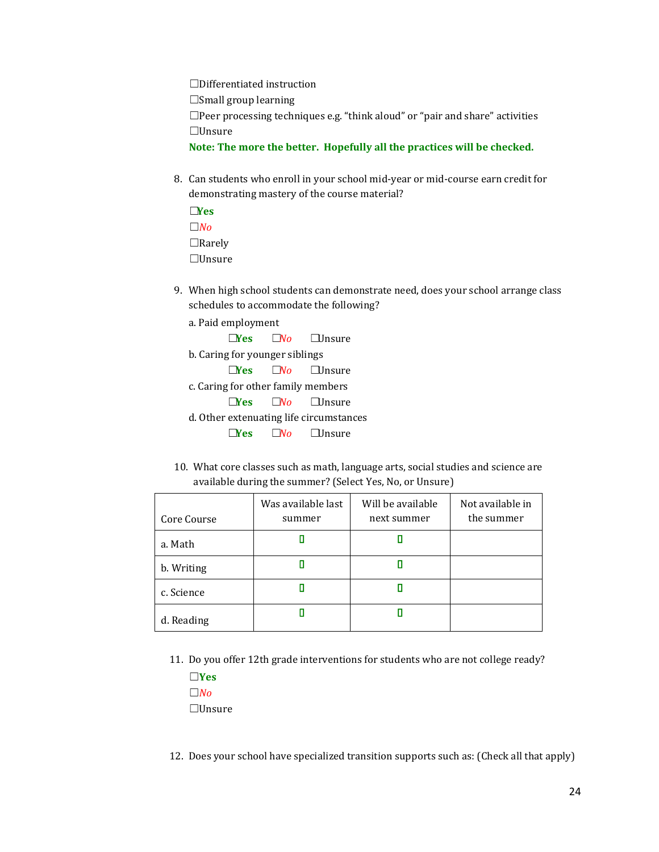☐Differentiated instruction ☐Small group learning ☐Peer processing techniques e.g. "think aloud" or "pair and share" activities ☐Unsure **Note: The more the better. Hopefully all the practices will be checked.**

- 8. Can students who enroll in your school mid-year or mid-course earn credit for demonstrating mastery of the course material?
	- ☐**Yes** ☐*No* ☐Rarely ☐Unsure
- 9. When high school students can demonstrate need, does your school arrange class schedules to accommodate the following?
	- a. Paid employment ☐**Yes** ☐*No* ☐Unsure b. Caring for younger siblings ☐**Yes** ☐*No* ☐Unsure c. Caring for other family members ☐**Yes** ☐*No* ☐Unsure d. Other extenuating life circumstances ☐**Yes** ☐*No* ☐Unsure
- 10. What core classes such as math, language arts, social studies and science are available during the summer? (Select Yes, No, or Unsure)

| Core Course | Was available last<br>summer | Will be available<br>next summer | Not available in<br>the summer |
|-------------|------------------------------|----------------------------------|--------------------------------|
| a. Math     |                              |                                  |                                |
| b. Writing  |                              |                                  |                                |
| c. Science  |                              |                                  |                                |
| d. Reading  |                              |                                  |                                |

- 11. Do you offer 12th grade interventions for students who are not college ready?
	- ☐**Yes** ☐*No* ☐Unsure

12. Does your school have specialized transition supports such as: (Check all that apply)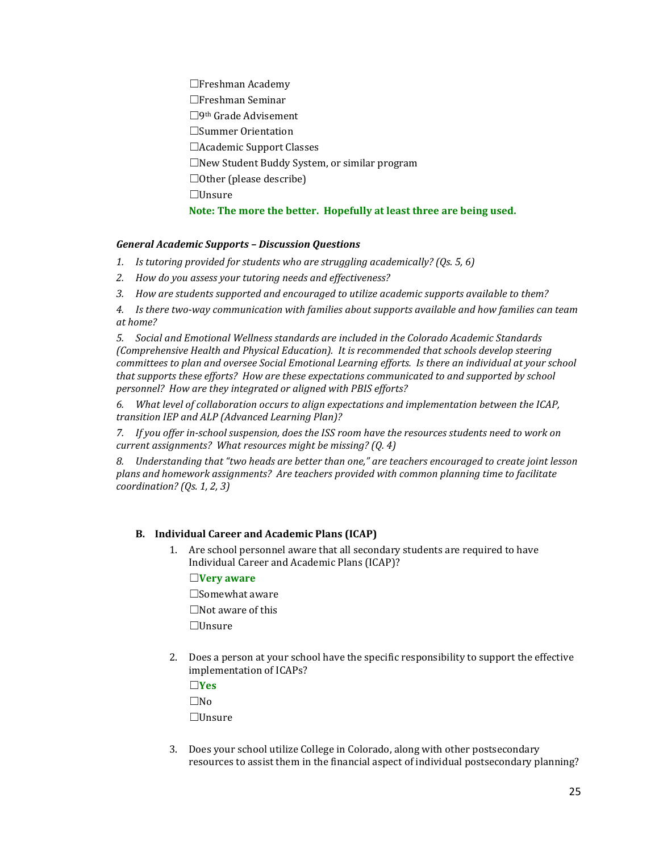☐Freshman Academy ☐Freshman Seminar ☐9th Grade Advisement ☐Summer Orientation ☐Academic Support Classes ☐New Student Buddy System, or similar program ☐Other (please describe) ☐Unsure **Note: The more the better. Hopefully at least three are being used.**

## *General Academic Supports – Discussion Questions*

- *1. Is tutoring provided for students who are struggling academically? (Qs. 5, 6)*
- *2. How do you assess your tutoring needs and effectiveness?*
- *3. How are students supported and encouraged to utilize academic supports available to them?*

*4. Is there two-way communication with families about supports available and how families can team at home?*

*5. Social and Emotional Wellness standards are included in the Colorado Academic Standards (Comprehensive Health and Physical Education). It is recommended that schools develop steering committees to plan and oversee Social Emotional Learning efforts. Is there an individual at your school that supports these efforts? How are these expectations communicated to and supported by school personnel? How are they integrated or aligned with PBIS efforts?*

*6. What level of collaboration occurs to align expectations and implementation between the ICAP, transition IEP and ALP (Advanced Learning Plan)?*

*7. If you offer in-school suspension, does the ISS room have the resources students need to work on current assignments? What resources might be missing? (Q. 4)*

*8. Understanding that "two heads are better than one," are teachers encouraged to create joint lesson plans and homework assignments? Are teachers provided with common planning time to facilitate coordination? (Qs. 1, 2, 3)*

## **B. Individual Career and Academic Plans (ICAP)**

1. Are school personnel aware that all secondary students are required to have Individual Career and Academic Plans (ICAP)?

## ☐**Very aware**

☐Somewhat aware ☐Not aware of this ☐Unsure

2. Does a person at your school have the specific responsibility to support the effective implementation of ICAPs?

☐**Yes**

 $\square$ No ☐Unsure

3. Does your school utilize College in Colorado, along with other postsecondary resources to assist them in the financial aspect of individual postsecondary planning?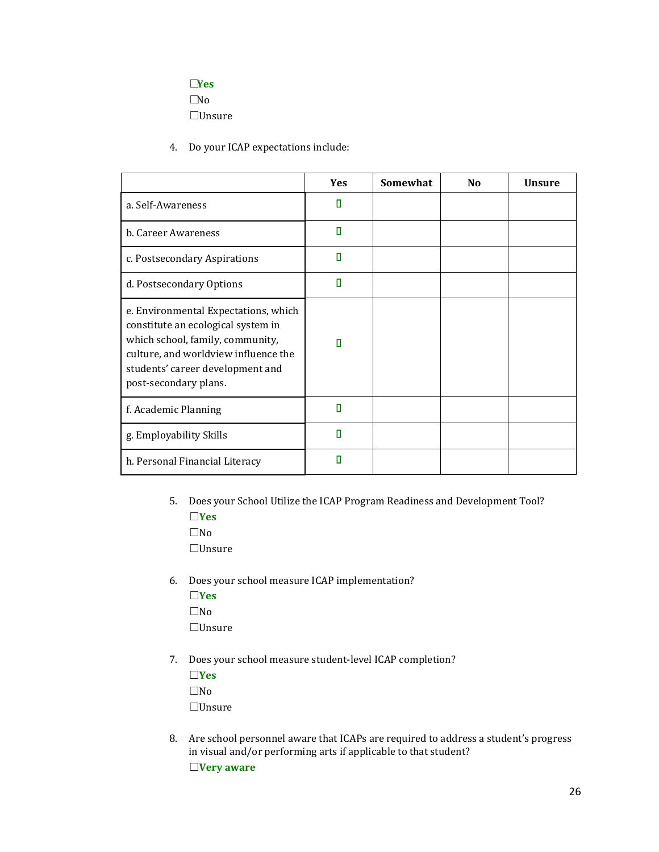# ☐**Yes**

 $\square$ No

☐Unsure

4. Do your ICAP expectations include:

|                                                                                                                                                                                                                     | <b>Yes</b> | Somewhat | N <sub>0</sub> | <b>Unsure</b> |
|---------------------------------------------------------------------------------------------------------------------------------------------------------------------------------------------------------------------|------------|----------|----------------|---------------|
| a. Self-Awareness                                                                                                                                                                                                   | П          |          |                |               |
| b. Career Awareness                                                                                                                                                                                                 | п          |          |                |               |
| c. Postsecondary Aspirations                                                                                                                                                                                        | П          |          |                |               |
| d. Postsecondary Options                                                                                                                                                                                            | п          |          |                |               |
| e. Environmental Expectations, which<br>constitute an ecological system in<br>which school, family, community,<br>culture, and worldview influence the<br>students' career development and<br>post-secondary plans. | п          |          |                |               |
| f. Academic Planning                                                                                                                                                                                                | п          |          |                |               |
| g. Employability Skills                                                                                                                                                                                             | п          |          |                |               |
| h. Personal Financial Literacy                                                                                                                                                                                      |            |          |                |               |

- 5. Does your School Utilize the ICAP Program Readiness and Development Tool? ☐**Yes**
	- ☐No

☐Unsure

6. Does your school measure ICAP implementation? ☐**Yes**  $\square$ No

☐Unsure

- 7. Does your school measure student-level ICAP completion?
	- ☐**Yes**  $\square$ No ☐Unsure
- 8. Are school personnel aware that ICAPs are required to address a student's progress in visual and/or performing arts if applicable to that student? ☐**Very aware**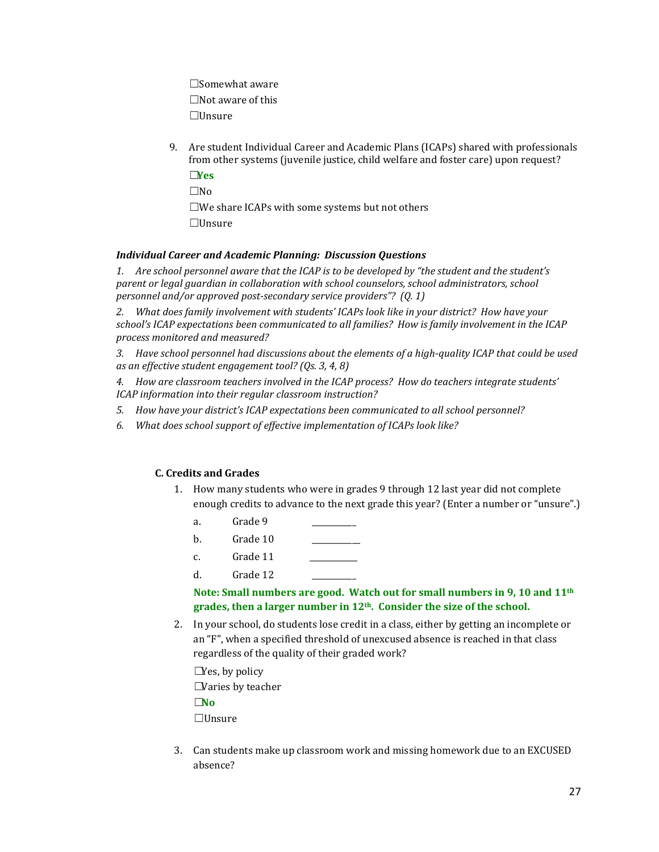☐Somewhat aware ☐Not aware of this ☐Unsure

9. Are student Individual Career and Academic Plans (ICAPs) shared with professionals from other systems (juvenile justice, child welfare and foster care) upon request? ☐**Yes**

 $\square$ No ☐We share ICAPs with some systems but not others ☐Unsure

# *Individual Career and Academic Planning: Discussion Questions*

*1. Are school personnel aware that the ICAP is to be developed by "the student and the student's parent or legal guardian in collaboration with school counselors, school administrators, school personnel and/or approved post-secondary service providers"? (Q. 1)*

*2. What does family involvement with students' ICAPs look like in your district? How have your school's ICAP expectations been communicated to all families? How is family involvement in the ICAP process monitored and measured?*

*3. Have school personnel had discussions about the elements of a high-quality ICAP that could be used as an effective student engagement tool? (Qs. 3, 4, 8)*

*4. How are classroom teachers involved in the ICAP process? How do teachers integrate students' ICAP information into their regular classroom instruction?*

- *5. How have your district's ICAP expectations been communicated to all school personnel?*
- *6. What does school support of effective implementation of ICAPs look like?*

# **C. Credits and Grades**

- 1. How many students who were in grades 9 through 12 last year did not complete enough credits to advance to the next grade this year? (Enter a number or "unsure".)
	- a. Grade 9
	- b. Grade 10
	- c. Grade 11
	- d. Grade 12

## **Note: Small numbers are good. Watch out for small numbers in 9, 10 and 11th grades, then a larger number in 12th. Consider the size of the school.**

2. In your school, do students lose credit in a class, either by getting an incomplete or an "F", when a specified threshold of unexcused absence is reached in that class regardless of the quality of their graded work?

 $\square$ Yes, by policy  $\Box$ Varies by teacher ☐**No** ☐Unsure

3. Can students make up classroom work and missing homework due to an EXCUSED absence?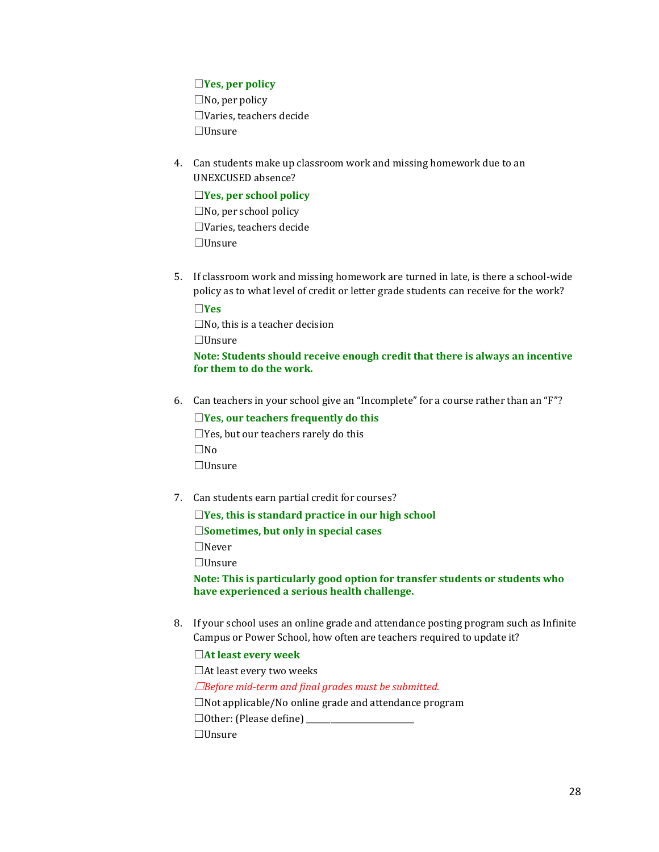## ☐**Yes, per policy**

 $\square$ No, per policy ☐Varies, teachers decide ☐Unsure

4. Can students make up classroom work and missing homework due to an UNEXCUSED absence?

# ☐**Yes, per school policy**

 $\square$ No, per school policy ☐Varies, teachers decide ☐Unsure

5. If classroom work and missing homework are turned in late, is there a school-wide policy as to what level of credit or letter grade students can receive for the work?

☐**Yes**  $\square$ No, this is a teacher decision ☐Unsure **Note: Students should receive enough credit that there is always an incentive for them to do the work.**

6. Can teachers in your school give an "Incomplete" for a course rather than an "F"?

☐**Yes, our teachers frequently do this**  $\Box$ Yes, but our teachers rarely do this ☐No ☐Unsure

7. Can students earn partial credit for courses?

☐**Yes, this is standard practice in our high school** ☐**Sometimes, but only in special cases** ☐Never ☐Unsure

**Note: This is particularly good option for transfer students or students who have experienced a serious health challenge.**

8. If your school uses an online grade and attendance posting program such as Infinite Campus or Power School, how often are teachers required to update it?

☐**At least every week** ☐At least every two weeks ☐*Before mid-term and final grades must be submitted.*  $\square$ Not applicable/No online grade and attendance program  $\Box$  Other: (Please define)  $\Box$ ☐Unsure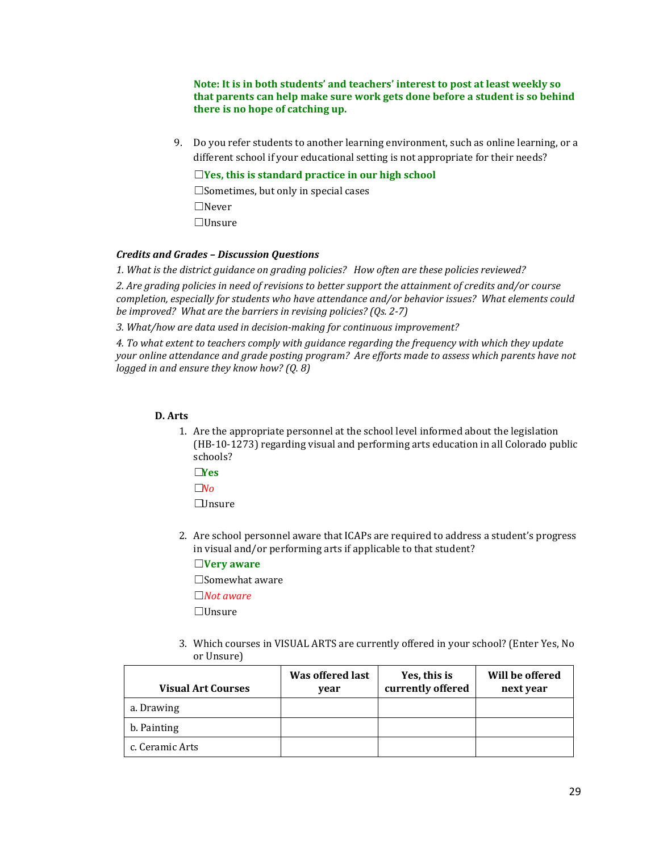**Note: It is in both students' and teachers' interest to post at least weekly so that parents can help make sure work gets done before a student is so behind there is no hope of catching up.**

9. Do you refer students to another learning environment, such as online learning, or a different school if your educational setting is not appropriate for their needs?

☐**Yes, this is standard practice in our high school**

☐Sometimes, but only in special cases ☐Never

☐Unsure

## *Credits and Grades – Discussion Questions*

*1. What is the district guidance on grading policies? How often are these policies reviewed?*

*2. Are grading policies in need of revisions to better support the attainment of credits and/or course completion, especially for students who have attendance and/or behavior issues? What elements could be improved? What are the barriers in revising policies? (Qs. 2-7)*

*3. What/how are data used in decision-making for continuous improvement?*

*4. To what extent to teachers comply with guidance regarding the frequency with which they update your online attendance and grade posting program? Are efforts made to assess which parents have not logged in and ensure they know how? (Q. 8)*

#### **D. Arts**

- 1. Are the appropriate personnel at the school level informed about the legislation (HB-10-1273) regarding visual and performing arts education in all Colorado public schools?
	- ☐**Yes**
	- ☐*No*

 $\Box$ Insure

2. Are school personnel aware that ICAPs are required to address a student's progress in visual and/or performing arts if applicable to that student?

☐**Very aware**

☐Somewhat aware ☐*Not aware*

☐Unsure

3. Which courses in VISUAL ARTS are currently offered in your school? (Enter Yes, No or Unsure)

| <b>Visual Art Courses</b> | Was offered last<br>vear | Yes, this is<br>currently offered | Will be offered<br>next year |
|---------------------------|--------------------------|-----------------------------------|------------------------------|
| a. Drawing                |                          |                                   |                              |
| b. Painting               |                          |                                   |                              |
| c. Ceramic Arts           |                          |                                   |                              |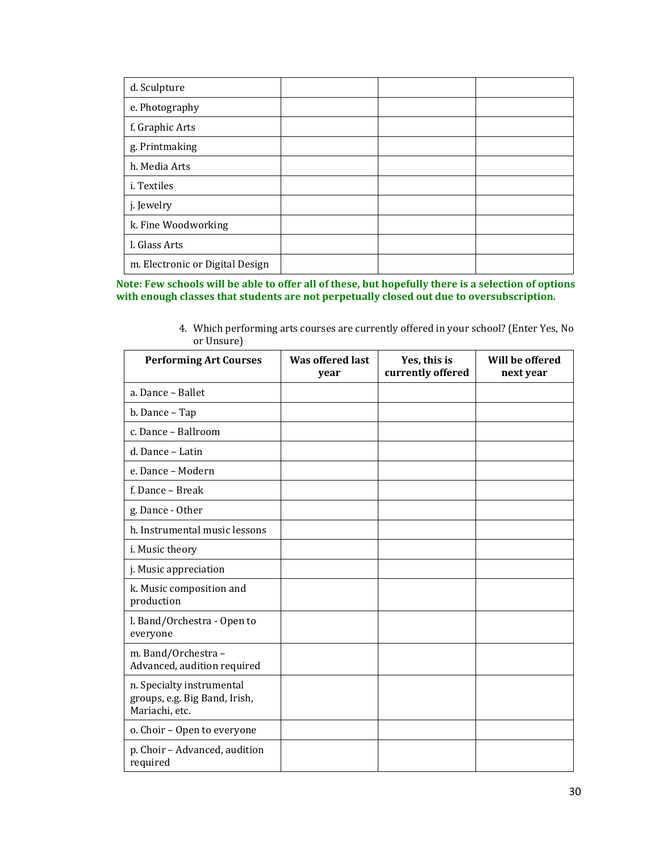| d. Sculpture                    |  |  |
|---------------------------------|--|--|
| e. Photography                  |  |  |
| f. Graphic Arts                 |  |  |
| g. Printmaking                  |  |  |
| h. Media Arts                   |  |  |
| i. Textiles                     |  |  |
| j. Jewelry                      |  |  |
| k. Fine Woodworking             |  |  |
| l. Glass Arts                   |  |  |
| m. Electronic or Digital Design |  |  |

**Note: Few schools will be able to offer all of these, but hopefully there is a selection of options with enough classes that students are not perpetually closed out due to oversubscription.**

| 4. Which performing arts courses are currently offered in your school? (Enter Yes, No |  |  |  |
|---------------------------------------------------------------------------------------|--|--|--|
| or Unsure)                                                                            |  |  |  |

| <b>Performing Art Courses</b>                                                | <b>Was offered last</b><br>year | Yes, this is<br>currently offered | Will be offered<br>next year |
|------------------------------------------------------------------------------|---------------------------------|-----------------------------------|------------------------------|
| a. Dance - Ballet                                                            |                                 |                                   |                              |
| b. Dance - Tap                                                               |                                 |                                   |                              |
| c. Dance - Ballroom                                                          |                                 |                                   |                              |
| d. Dance - Latin                                                             |                                 |                                   |                              |
| e. Dance - Modern                                                            |                                 |                                   |                              |
| f. Dance - Break                                                             |                                 |                                   |                              |
| g. Dance - Other                                                             |                                 |                                   |                              |
| h. Instrumental music lessons                                                |                                 |                                   |                              |
| i. Music theory                                                              |                                 |                                   |                              |
| j. Music appreciation                                                        |                                 |                                   |                              |
| k. Music composition and<br>production                                       |                                 |                                   |                              |
| l. Band/Orchestra - Open to<br>everyone                                      |                                 |                                   |                              |
| m. Band/Orchestra -<br>Advanced, audition required                           |                                 |                                   |                              |
| n. Specialty instrumental<br>groups, e.g. Big Band, Irish,<br>Mariachi, etc. |                                 |                                   |                              |
| o. Choir - Open to everyone                                                  |                                 |                                   |                              |
| p. Choir - Advanced, audition<br>required                                    |                                 |                                   |                              |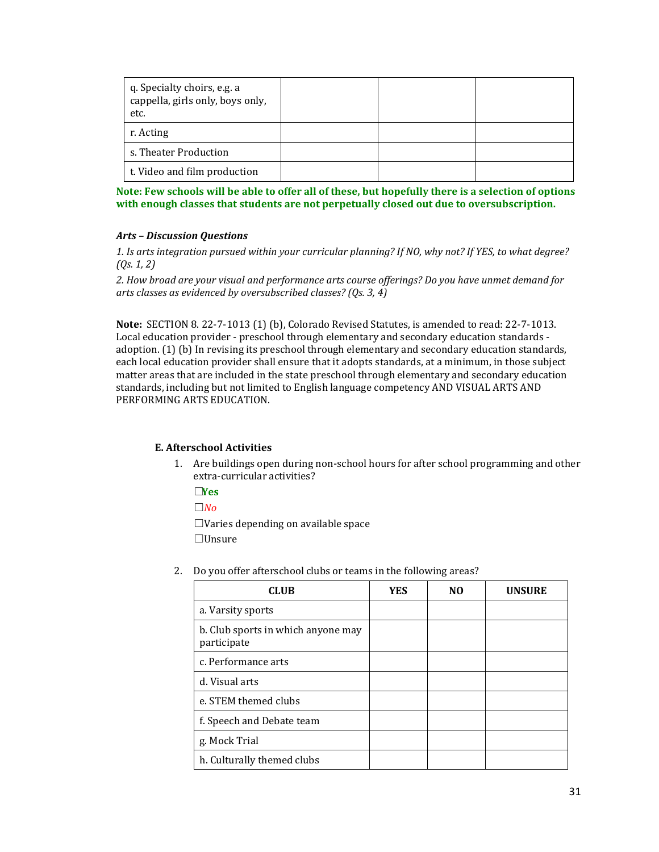| q. Specialty choirs, e.g. a<br>cappella, girls only, boys only,<br>etc. |  |  |
|-------------------------------------------------------------------------|--|--|
| r. Acting                                                               |  |  |
| s. Theater Production                                                   |  |  |
| t. Video and film production                                            |  |  |

**Note: Few schools will be able to offer all of these, but hopefully there is a selection of options with enough classes that students are not perpetually closed out due to oversubscription.**

#### *Arts – Discussion Questions*

*1. Is arts integration pursued within your curricular planning? If NO, why not? If YES, to what degree? (Qs. 1, 2)*

*2. How broad are your visual and performance arts course offerings? Do you have unmet demand for arts classes as evidenced by oversubscribed classes? (Qs. 3, 4)*

**Note:** SECTION 8. 22-7-1013 (1) (b), Colorado Revised Statutes, is amended to read: 22-7-1013. Local education provider - preschool through elementary and secondary education standards adoption. (1) (b) In revising its preschool through elementary and secondary education standards, each local education provider shall ensure that it adopts standards, at a minimum, in those subject matter areas that are included in the state preschool through elementary and secondary education standards, including but not limited to English language competency AND VISUAL ARTS AND PERFORMING ARTS EDUCATION.

## **E. Afterschool Activities**

1. Are buildings open during non-school hours for after school programming and other extra-curricular activities?

☐**Yes**

☐*No*

 $\Box$ Varies depending on available space ☐Unsure

| <b>CLUB</b>                                       | YES | NΟ | <b>UNSURE</b> |
|---------------------------------------------------|-----|----|---------------|
| a. Varsity sports                                 |     |    |               |
| b. Club sports in which anyone may<br>participate |     |    |               |
| c. Performance arts                               |     |    |               |
| d. Visual arts                                    |     |    |               |
| e. STEM themed clubs                              |     |    |               |
| f. Speech and Debate team                         |     |    |               |
| g. Mock Trial                                     |     |    |               |
| h. Culturally themed clubs                        |     |    |               |

2. Do you offer afterschool clubs or teams in the following areas?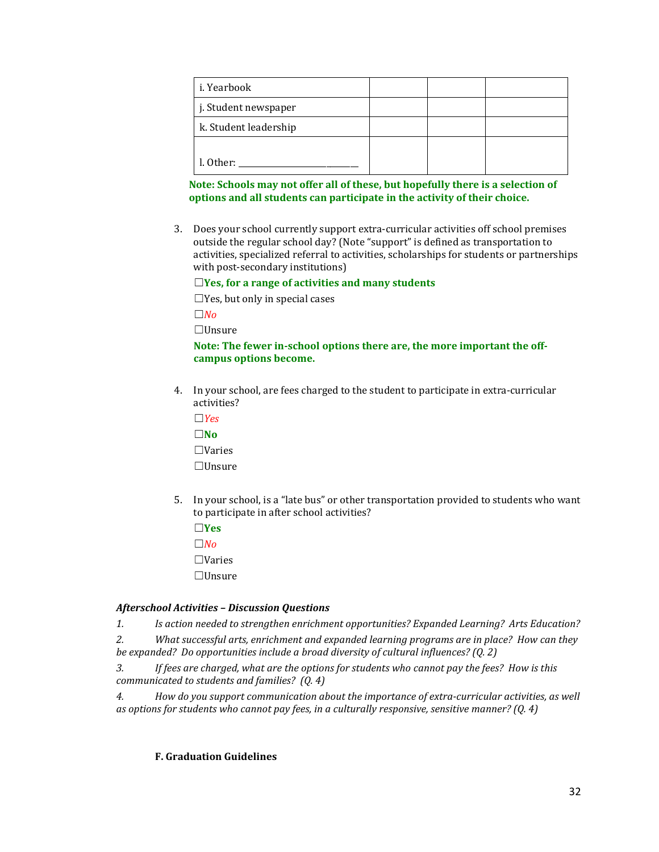| i. Yearbook           |  |  |
|-----------------------|--|--|
| j. Student newspaper  |  |  |
| k. Student leadership |  |  |
|                       |  |  |
| l. Other:             |  |  |

## **Note: Schools may not offer all of these, but hopefully there is a selection of options and all students can participate in the activity of their choice.**

3. Does your school currently support extra-curricular activities off school premises outside the regular school day? (Note "support" is defined as transportation to activities, specialized referral to activities, scholarships for students or partnerships with post-secondary institutions)

## ☐**Yes, for a range of activities and many students**

 $\Box$ Yes, but only in special cases

 $\Box$ *No* 

☐Unsure

## **Note: The fewer in-school options there are, the more important the offcampus options become.**

4. In your school, are fees charged to the student to participate in extra-curricular activities?

☐*Yes*

☐**No** ☐Varies

☐Unsure

5. In your school, is a "late bus" or other transportation provided to students who want to participate in after school activities?

☐**Yes**  $□$ *No* 

☐Varies

☐Unsure

## *Afterschool Activities – Discussion Questions*

*1. Is action needed to strengthen enrichment opportunities? Expanded Learning? Arts Education?*

*2. What successful arts, enrichment and expanded learning programs are in place? How can they be expanded? Do opportunities include a broad diversity of cultural influences? (Q. 2)*

*3. If fees are charged, what are the options for students who cannot pay the fees? How is this communicated to students and families? (Q. 4)*

*4. How do you support communication about the importance of extra-curricular activities, as well as options for students who cannot pay fees, in a culturally responsive, sensitive manner? (Q. 4)*

# **F. Graduation Guidelines**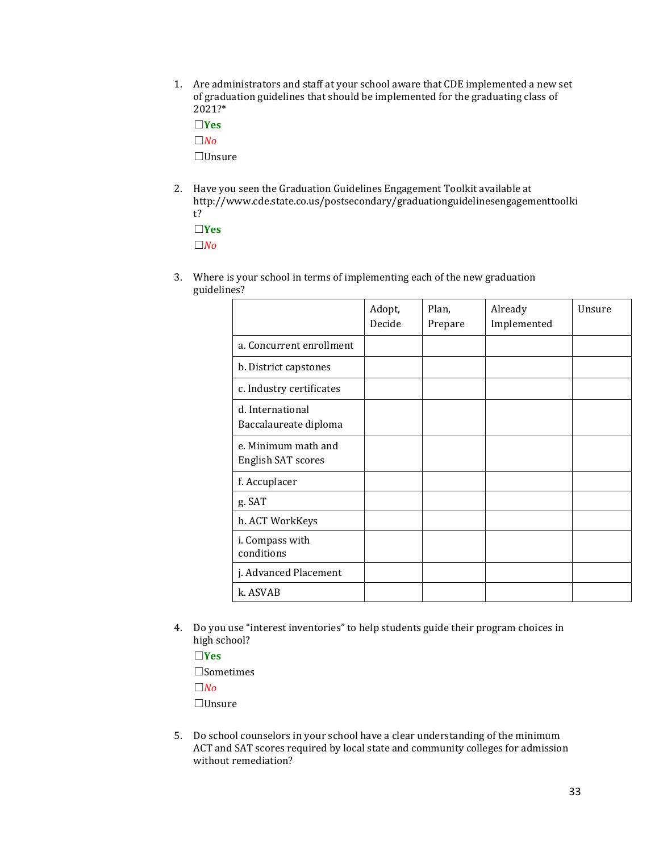1. Are administrators and staff at your school aware that CDE implemented a new set of graduation guidelines that should be implemented for the graduating class of 2021?\*

☐**Yes**

☐*No*

☐Unsure

2. Have you seen the Graduation Guidelines Engagement Toolkit available at [http://www.cde.state.co.us/postsecondary/graduationguidelinesengagementtoolki](http://www.cde.state.co.us/postsecondary/graduationguidelinesengagementtoolkit) [t?](http://www.cde.state.co.us/postsecondary/graduationguidelinesengagementtoolkit)

☐**Yes**

☐*No*

3. Where is your school in terms of implementing each of the new graduation guidelines?

|                                                  | Adopt,<br>Decide | Plan,<br>Prepare | Already<br>Implemented | Unsure |
|--------------------------------------------------|------------------|------------------|------------------------|--------|
| a. Concurrent enrollment                         |                  |                  |                        |        |
| b. District capstones                            |                  |                  |                        |        |
| c. Industry certificates                         |                  |                  |                        |        |
| d. International<br>Baccalaureate diploma        |                  |                  |                        |        |
| e. Minimum math and<br><b>English SAT scores</b> |                  |                  |                        |        |
| f. Accuplacer                                    |                  |                  |                        |        |
| g. SAT                                           |                  |                  |                        |        |
| h. ACT WorkKeys                                  |                  |                  |                        |        |
| i. Compass with<br>conditions                    |                  |                  |                        |        |
| j. Advanced Placement                            |                  |                  |                        |        |
| k. ASVAB                                         |                  |                  |                        |        |

4. Do you use "interest inventories" to help students guide their program choices in high school?

☐**Yes** ☐Sometimes ☐*No* ☐Unsure

5. Do school counselors in your school have a clear understanding of the minimum ACT and SAT scores required by local state and community colleges for admission without remediation?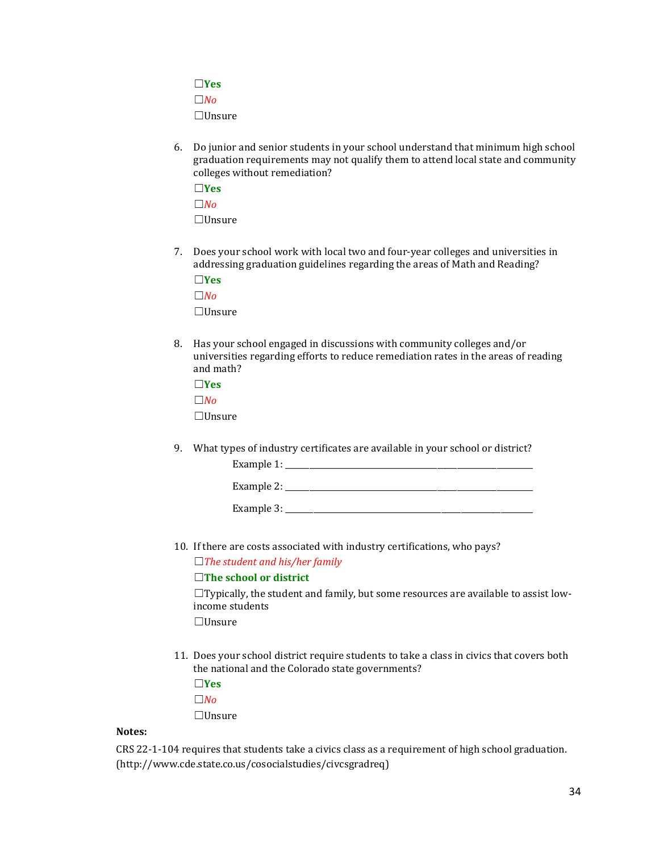☐**Yes**

☐*No*

☐Unsure

6. Do junior and senior students in your school understand that minimum high school graduation requirements may not qualify them to attend local state and community colleges without remediation?

☐**Yes**  $\Box$ *No* 

☐Unsure

7. Does your school work with local two and four-year colleges and universities in addressing graduation guidelines regarding the areas of Math and Reading?

☐**Yes**

☐*No* ☐Unsure

8. Has your school engaged in discussions with community colleges and/or universities regarding efforts to reduce remediation rates in the areas of reading and math?

☐**Yes**

 $\Box$ *No* 

☐Unsure

9. What types of industry certificates are available in your school or district? Example  $1:$ 

| Example 2:   |  |
|--------------|--|
|              |  |
| Example $3:$ |  |

10. If there are costs associated with industry certifications, who pays?

☐*The student and his/her family*

# ☐**The school or district**

 $\Box$ Typically, the student and family, but some resources are available to assist lowincome students

☐Unsure

11. Does your school district require students to take a class in civics that covers both the national and the Colorado state governments?

☐**Yes**

 $\Box$ *No* 

☐Unsure

# **Notes:**

CRS 22-1-104 requires that students take a civics class as a requirement of high school graduation. (http://www.cde.state.co.us/cosocialstudies/civcsgradreq)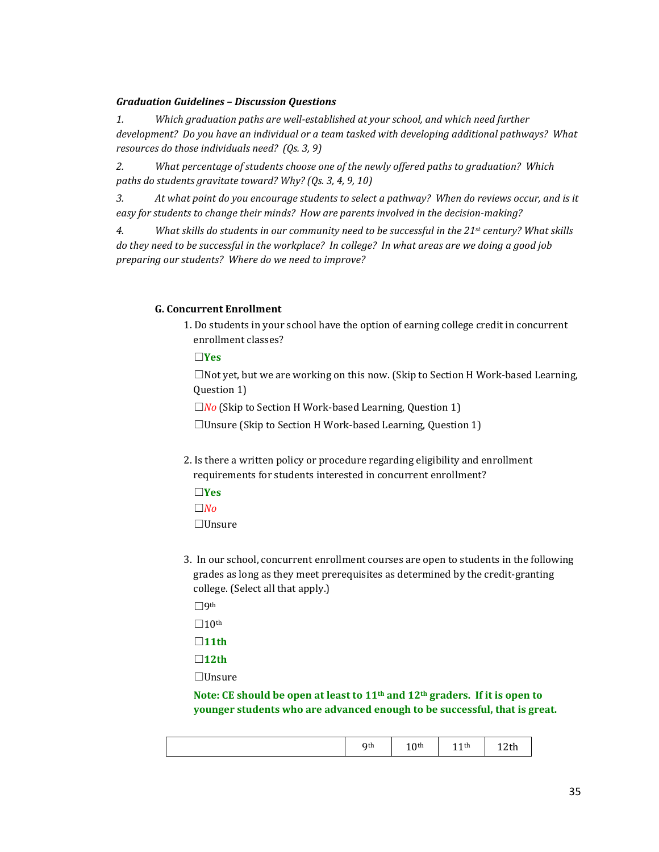## *Graduation Guidelines – Discussion Questions*

*1. Which graduation paths are well-established at your school, and which need further development? Do you have an individual or a team tasked with developing additional pathways? What resources do those individuals need? (Qs. 3, 9)*

*2. What percentage of students choose one of the newly offered paths to graduation? Which paths do students gravitate toward? Why? (Qs. 3, 4, 9, 10)*

*3. At what point do you encourage students to select a pathway? When do reviews occur, and is it easy for students to change their minds? How are parents involved in the decision-making?* 

*4. What skills do students in our community need to be successful in the 21st century? What skills do they need to be successful in the workplace? In college? In what areas are we doing a good job preparing our students? Where do we need to improve?*

## **G. Concurrent Enrollment**

1. Do students in your school have the option of earning college credit in concurrent enrollment classes?

☐**Yes**

 $\Box$ Not yet, but we are working on this now. (Skip to Section H Work-based Learning, Question 1)

☐*No* (Skip to Section H Work-based Learning, Question 1)

☐Unsure (Skip to Section H Work-based Learning, Question 1)

- 2. Is there a written policy or procedure regarding eligibility and enrollment requirements for students interested in concurrent enrollment?
	- ☐**Yes**
	- ☐*No*

☐Unsure

3. In our school, concurrent enrollment courses are open to students in the following grades as long as they meet prerequisites as determined by the credit-granting college. (Select all that apply.)

☐9th

 $\Box 10^{\text{th}}$ 

- ☐**11th**
- ☐**12th**

☐Unsure

**Note: CE should be open at least to 11th and 12th graders. If it is open to younger students who are advanced enough to be successful, that is great.**

| Qth<br>Q <sub>th</sub><br>u<br>ັ<br>1401<br>. .<br>$\sim$ $\sim$ |
|------------------------------------------------------------------|
|------------------------------------------------------------------|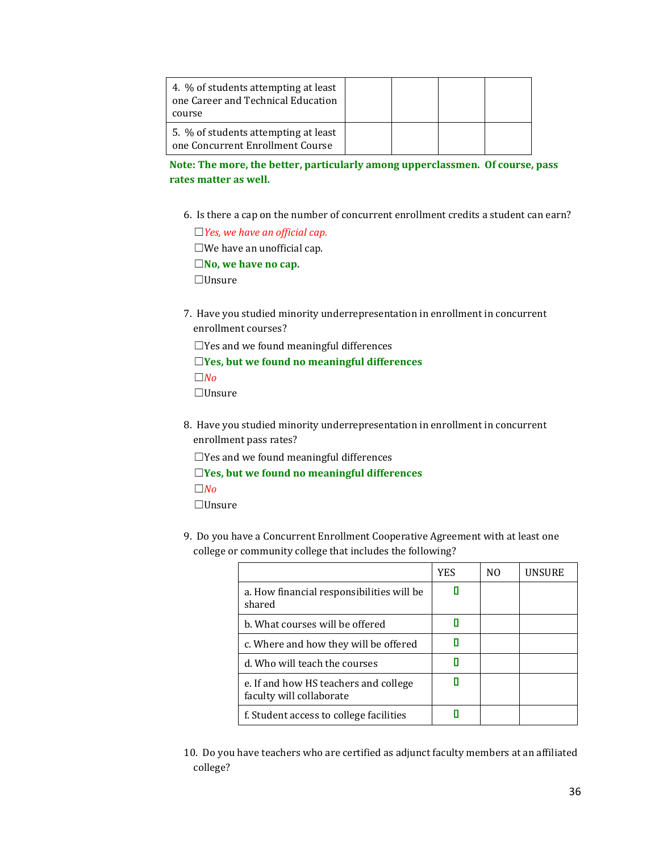| 4. % of students attempting at least<br>one Career and Technical Education<br>course |  |  |
|--------------------------------------------------------------------------------------|--|--|
| 5. % of students attempting at least<br>one Concurrent Enrollment Course             |  |  |

**Note: The more, the better, particularly among upperclassmen. Of course, pass rates matter as well.**

6. Is there a cap on the number of concurrent enrollment credits a student can earn?

☐*Yes, we have an official cap.* ☐We have an unofficial cap. ☐**No, we have no cap.** ☐Unsure

7. Have you studied minority underrepresentation in enrollment in concurrent enrollment courses?

 $\Box$ Yes and we found meaningful differences

☐**Yes, but we found no meaningful differences**

☐*No*

☐Unsure

8. Have you studied minority underrepresentation in enrollment in concurrent enrollment pass rates?

 $\Box$ Yes and we found meaningful differences

☐**Yes, but we found no meaningful differences**

☐*No*

☐Unsure

9. Do you have a Concurrent Enrollment Cooperative Agreement with at least one college or community college that includes the following?

|                                                                   | YES | NΟ | <b>UNSURE</b> |
|-------------------------------------------------------------------|-----|----|---------------|
| a. How financial responsibilities will be<br>shared               |     |    |               |
| b. What courses will be offered                                   |     |    |               |
| c. Where and how they will be offered                             |     |    |               |
| d. Who will teach the courses                                     |     |    |               |
| e. If and how HS teachers and college<br>faculty will collaborate |     |    |               |
| f. Student access to college facilities                           |     |    |               |

10. Do you have teachers who are certified as adjunct faculty members at an affiliated college?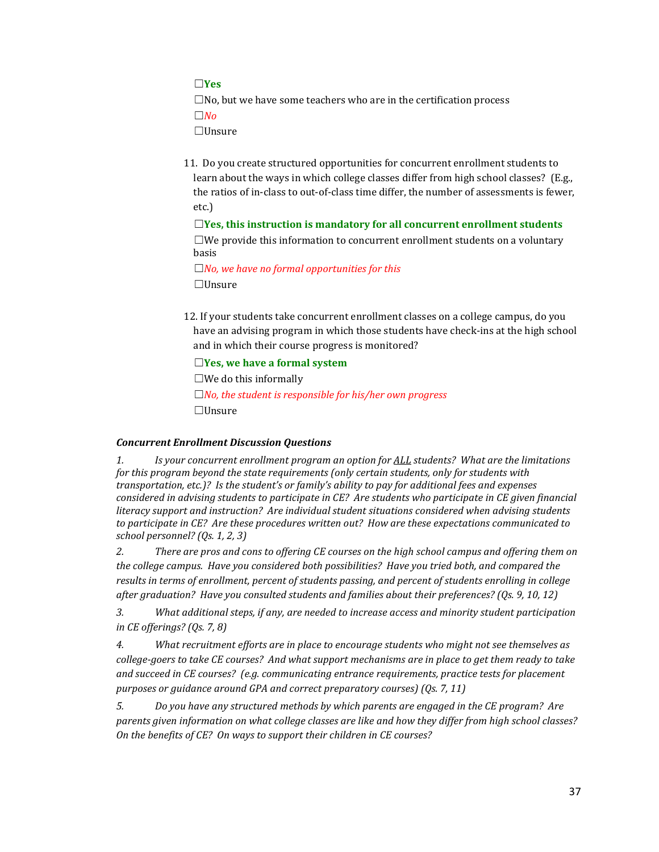☐**Yes**

 $\square$ No, but we have some teachers who are in the certification process

 $\Box$ *No* 

☐Unsure

11. Do you create structured opportunities for concurrent enrollment students to learn about the ways in which college classes differ from high school classes? (E.g., the ratios of in-class to out-of-class time differ, the number of assessments is fewer, etc.)

☐**Yes, this instruction is mandatory for all concurrent enrollment students**  $\square$ We provide this information to concurrent enrollment students on a voluntary basis

☐*No, we have no formal opportunities for this* ☐Unsure

12. If your students take concurrent enrollment classes on a college campus, do you have an advising program in which those students have check-ins at the high school and in which their course progress is monitored?

☐**Yes, we have a formal system**

 $\square$ We do this informally

☐*No, the student is responsible for his/her own progress* ☐Unsure

## *Concurrent Enrollment Discussion Questions*

*1. Is your concurrent enrollment program an option for ALL students? What are the limitations for this program beyond the state requirements (only certain students, only for students with transportation, etc.)? Is the student's or family's ability to pay for additional fees and expenses considered in advising students to participate in CE? Are students who participate in CE given financial literacy support and instruction? Are individual student situations considered when advising students to participate in CE? Are these procedures written out? How are these expectations communicated to school personnel? (Qs. 1, 2, 3)*

*2. There are pros and cons to offering CE courses on the high school campus and offering them on the college campus. Have you considered both possibilities? Have you tried both, and compared the results in terms of enrollment, percent of students passing, and percent of students enrolling in college after graduation? Have you consulted students and families about their preferences? (Qs. 9, 10, 12)*

*3. What additional steps, if any, are needed to increase access and minority student participation in CE offerings? (Qs. 7, 8)*

*4. What recruitment efforts are in place to encourage students who might not see themselves as college-goers to take CE courses? And what support mechanisms are in place to get them ready to take and succeed in CE courses? (e.g. communicating entrance requirements, practice tests for placement purposes or guidance around GPA and correct preparatory courses) (Qs. 7, 11)*

*5. Do you have any structured methods by which parents are engaged in the CE program? Are parents given information on what college classes are like and how they differ from high school classes? On the benefits of CE? On ways to support their children in CE courses?*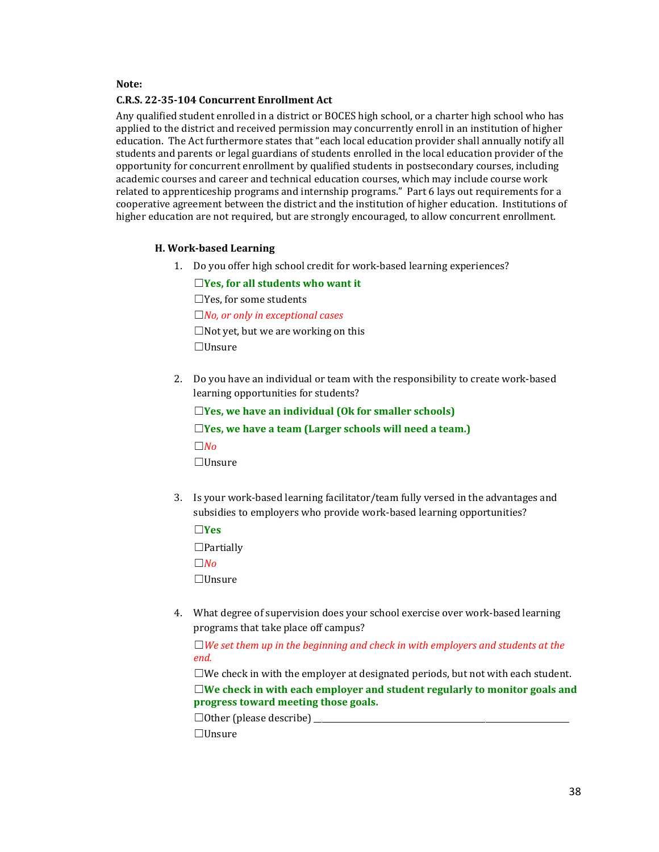#### **Note:**

#### **C.R.S. 22-35-104 Concurrent Enrollment Act**

Any qualified student enrolled in a district or BOCES high school, or a charter high school who has applied to the district and received permission may concurrently enroll in an institution of higher education. The Act furthermore states that "each local education provider shall annually notify all students and parents or legal guardians of students enrolled in the local education provider of the opportunity for concurrent enrollment by qualified students in postsecondary courses, including academic courses and career and technical education courses, which may include course work related to apprenticeship programs and internship programs." Part 6 lays out requirements for a cooperative agreement between the district and the institution of higher education. Institutions of higher education are not required, but are strongly encouraged, to allow concurrent enrollment.

#### **H. Work-based Learning**

1. Do you offer high school credit for work-based learning experiences?

☐**Yes, for all students who want it** ☐Yes, for some students ☐*No, or only in exceptional cases*

☐Not yet, but we are working on this ☐Unsure

2. Do you have an individual or team with the responsibility to create work-based learning opportunities for students?

☐**Yes, we have an individual (Ok for smaller schools)** ☐**Yes, we have a team (Larger schools will need a team.)**  $□*No*$ ☐Unsure

3. Is your work-based learning facilitator/team fully versed in the advantages and subsidies to employers who provide work-based learning opportunities?

☐**Yes**  $\Box$ Partially ☐*No* ☐Unsure

4. What degree of supervision does your school exercise over work-based learning programs that take place off campus?

☐*We set them up in the beginning and check in with employers and students at the end.*

☐We check in with the employer at designated periods, but not with each student. ☐**We check in with each employer and student regularly to monitor goals and progress toward meeting those goals.**

 $\Box$  Other (please describe)

☐Unsure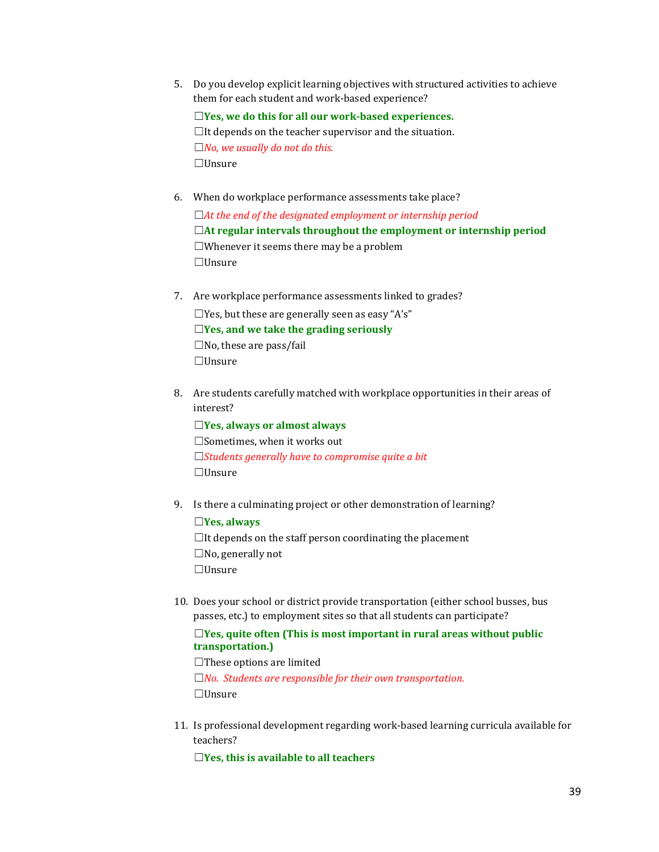5. Do you develop explicit learning objectives with structured activities to achieve them for each student and work-based experience?

☐**Yes, we do this for all our work-based experiences.**  $\Box$ It depends on the teacher supervisor and the situation. ☐*No, we usually do not do this.* ☐Unsure

- 6. When do workplace performance assessments take place? ☐*At the end of the designated employment or internship period* ☐**At regular intervals throughout the employment or internship period**  $\Box$ Whenever it seems there may be a problem ☐Unsure
- 7. Are workplace performance assessments linked to grades?  $\square$ Yes, but these are generally seen as easy "A's" ☐**Yes, and we take the grading seriously**  $\square$ No, these are pass/fail ☐Unsure
- 8. Are students carefully matched with workplace opportunities in their areas of interest?

☐**Yes, always or almost always** ☐Sometimes, when it works out ☐*Students generally have to compromise quite a bit* ☐Unsure

9. Is there a culminating project or other demonstration of learning?

☐**Yes, always**  $\Box$ It depends on the staff person coordinating the placement  $\square$ No, generally not ☐Unsure

10. Does your school or district provide transportation (either school busses, bus passes, etc.) to employment sites so that all students can participate?

## ☐**Yes, quite often (This is most important in rural areas without public transportation.)**

 $\Box$ These options are limited

☐*No. Students are responsible for their own transportation.* ☐Unsure

11. Is professional development regarding work-based learning curricula available for teachers?

☐**Yes, this is available to all teachers**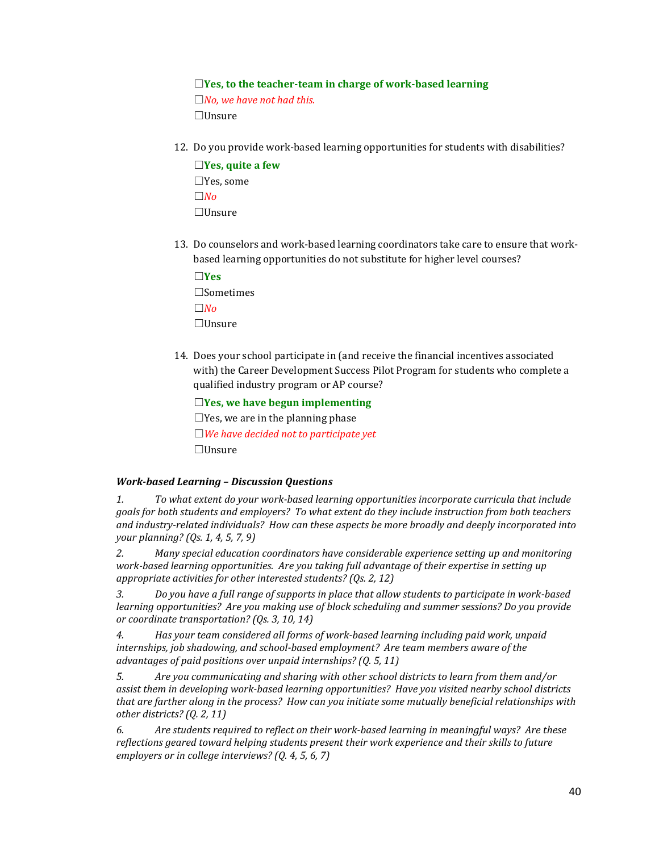## ☐**Yes, to the teacher-team in charge of work-based learning**

☐*No, we have not had this.* ☐Unsure

12. Do you provide work-based learning opportunities for students with disabilities?

☐**Yes, quite a few** ☐Yes, some ☐*No* ☐Unsure

13. Do counselors and work-based learning coordinators take care to ensure that workbased learning opportunities do not substitute for higher level courses?

☐**Yes** ☐Sometimes ☐*No* ☐Unsure

14. Does your school participate in (and receive the financial incentives associated with) the Career Development Success Pilot Program for students who complete a qualified industry program or AP course?

☐**Yes, we have begun implementing**

 $\Box$ Yes, we are in the planning phase ☐*We have decided not to participate yet* ☐Unsure

## *Work-based Learning – Discussion Questions*

*1. To what extent do your work-based learning opportunities incorporate curricula that include goals for both students and employers? To what extent do they include instruction from both teachers and industry-related individuals? How can these aspects be more broadly and deeply incorporated into your planning? (Qs. 1, 4, 5, 7, 9)*

*2. Many special education coordinators have considerable experience setting up and monitoring work-based learning opportunities. Are you taking full advantage of their expertise in setting up appropriate activities for other interested students? (Qs. 2, 12)*

*3. Do you have a full range of supports in place that allow students to participate in work-based learning opportunities? Are you making use of block scheduling and summer sessions? Do you provide or coordinate transportation? (Qs. 3, 10, 14)*

*4. Has your team considered all forms of work-based learning including paid work, unpaid internships, job shadowing, and school-based employment? Are team members aware of the advantages of paid positions over unpaid internships? (Q. 5, 11)*

*5. Are you communicating and sharing with other school districts to learn from them and/or assist them in developing work-based learning opportunities? Have you visited nearby school districts that are farther along in the process? How can you initiate some mutually beneficial relationships with other districts? (Q. 2, 11)*

*6. Are students required to reflect on their work-based learning in meaningful ways? Are these reflections geared toward helping students present their work experience and their skills to future employers or in college interviews? (Q. 4, 5, 6, 7)*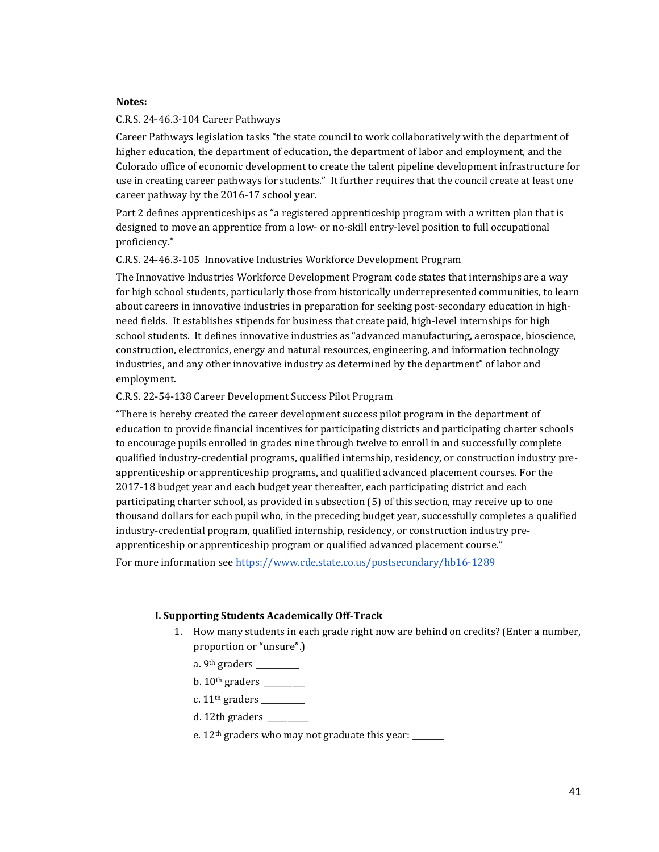#### **Notes:**

#### C.R.S. 24-46.3-104 Career Pathways

Career Pathways legislation tasks "the state council to work collaboratively with the department of higher education, the department of education, the department of labor and employment, and the Colorado office of economic development to create the talent pipeline development infrastructure for use in creating career pathways for students." It further requires that the council create at least one career pathway by the 2016-17 school year.

Part 2 defines apprenticeships as "a registered apprenticeship program with a written plan that is designed to move an apprentice from a low- or no-skill entry-level position to full occupational proficiency."

#### C.R.S. 24-46.3-105 Innovative Industries Workforce Development Program

The Innovative Industries Workforce Development Program code states that internships are a way for high school students, particularly those from historically underrepresented communities, to learn about careers in innovative industries in preparation for seeking post-secondary education in highneed fields. It establishes stipends for business that create paid, high-level internships for high school students. It defines innovative industries as "advanced manufacturing, aerospace, bioscience, construction, electronics, energy and natural resources, engineering, and information technology industries, and any other innovative industry as determined by the department" of labor and employment.

## C.R.S. 22-54-138 Career Development Success Pilot Program

"There is hereby created the career development success pilot program in the department of education to provide financial incentives for participating districts and participating charter schools to encourage pupils enrolled in grades nine through twelve to enroll in and successfully complete qualified industry-credential programs, qualified internship, residency, or construction industry preapprenticeship or apprenticeship programs, and qualified advanced placement courses. For the 2017-18 budget year and each budget year thereafter, each participating district and each participating charter school, as provided in subsection (5) of this section, may receive up to one thousand dollars for each pupil who, in the preceding budget year, successfully completes a qualified industry-credential program, qualified internship, residency, or construction industry preapprenticeship or apprenticeship program or qualified advanced placement course."

For more information se[e https://www.cde.state.co.us/postsecondary/hb16-1289](https://www.cde.state.co.us/postsecondary/hb16-1289)

## **I. Supporting Students Academically Off-Track**

- 1. How many students in each grade right now are behind on credits? (Enter a number, proportion or "unsure".)
	- a. 9th graders \_\_\_\_\_\_\_\_\_\_\_
	- b.  $10^{th}$  graders
	- c.  $11<sup>th</sup>$  graders
	- d. 12th graders \_\_\_\_\_\_\_\_\_\_
	- e.  $12<sup>th</sup>$  graders who may not graduate this year: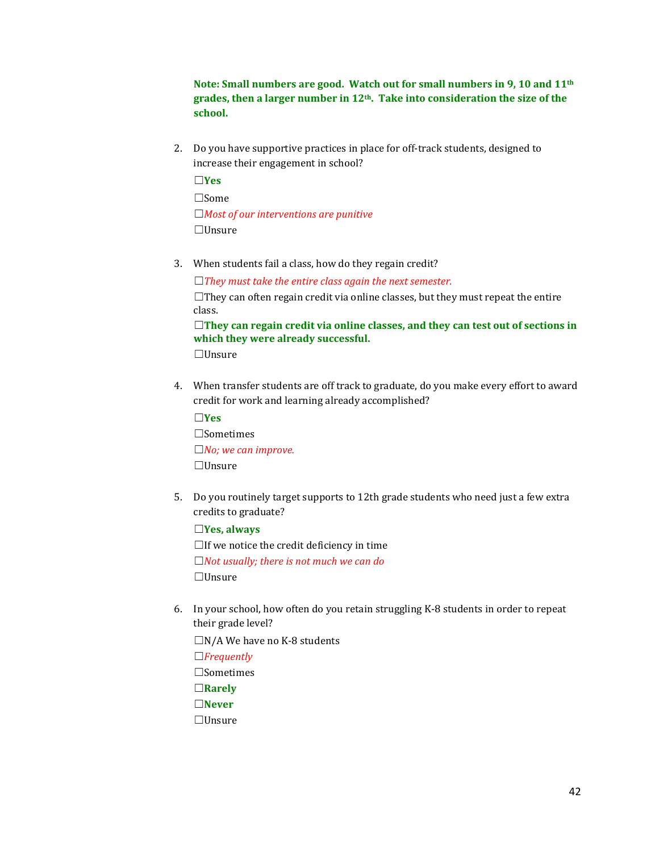**Note: Small numbers are good. Watch out for small numbers in 9, 10 and 11th grades, then a larger number in 12th. Take into consideration the size of the school.**

2. Do you have supportive practices in place for off-track students, designed to increase their engagement in school?

☐**Yes** ☐Some ☐*Most of our interventions are punitive* ☐Unsure

3. When students fail a class, how do they regain credit?

☐*They must take the entire class again the next semester.*

 $\Box$ They can often regain credit via online classes, but they must repeat the entire class.

☐**They can regain credit via online classes, and they can test out of sections in which they were already successful.**

☐Unsure

4. When transfer students are off track to graduate, do you make every effort to award credit for work and learning already accomplished?

☐**Yes** ☐Sometimes ☐*No; we can improve.* ☐Unsure

5. Do you routinely target supports to 12th grade students who need just a few extra credits to graduate?

☐**Yes, always**  $\Box$ If we notice the credit deficiency in time ☐*Not usually; there is not much we can do* ☐Unsure

6. In your school, how often do you retain struggling K-8 students in order to repeat their grade level?

 $\Box N/A$  We have no K-8 students

☐*Frequently* ☐Sometimes ☐**Rarely** ☐**Never** ☐Unsure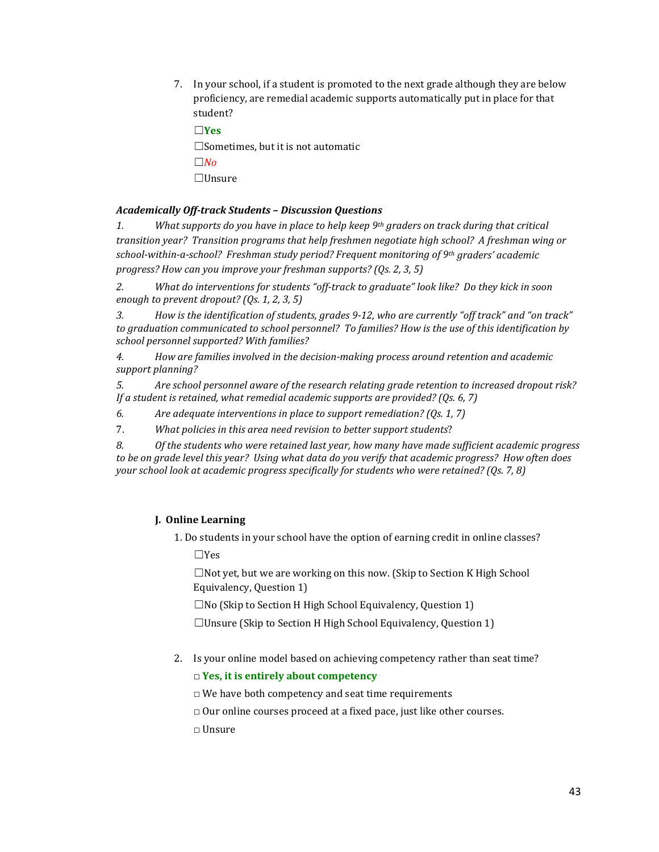7. In your school, if a student is promoted to the next grade although they are below proficiency, are remedial academic supports automatically put in place for that student?

☐**Yes**  $\square$ Sometimes, but it is not automatic ☐*No* ☐Unsure

# *Academically Off-track Students – Discussion Questions*

*1. What supports do you have in place to help keep 9th graders on track during that critical transition year? Transition programs that help freshmen negotiate high school? A freshman wing or school-within-a-school? Freshman study period? Frequent monitoring of 9th graders' academic progress? How can you improve your freshman supports? (Qs. 2, 3, 5)*

*2. What do interventions for students "off-track to graduate" look like? Do they kick in soon enough to prevent dropout? (Qs. 1, 2, 3, 5)*

*3. How is the identification of students, grades 9-12, who are currently "off track" and "on track" to graduation communicated to school personnel? To families? How is the use of this identification by school personnel supported? With families?*

*4. How are families involved in the decision-making process around retention and academic support planning?*

*5. Are school personnel aware of the research relating grade retention to increased dropout risk? If a student is retained, what remedial academic supports are provided? (Qs. 6, 7)*

*6. Are adequate interventions in place to support remediation? (Qs. 1, 7)*

7. *What policies in this area need revision to better support students*?

*8. Of the students who were retained last year, how many have made sufficient academic progress to be on grade level this year? Using what data do you verify that academic progress? How often does your school look at academic progress specifically for students who were retained? (Qs. 7, 8)*

## **J. Online Learning**

1. Do students in your school have the option of earning credit in online classes? ☐Yes

☐Not yet, but we are working on this now. (Skip to Section K High School Equivalency, Question 1)

☐No (Skip to Section H High School Equivalency, Question 1)

 $\Box$ Unsure (Skip to Section H High School Equivalency, Question 1)

2. Is your online model based on achieving competency rather than seat time?

□ **Yes, it is entirely about competency**

 $\Box$  We have both competency and seat time requirements

 $\Box$  Our online courses proceed at a fixed pace, just like other courses.

□ Unsure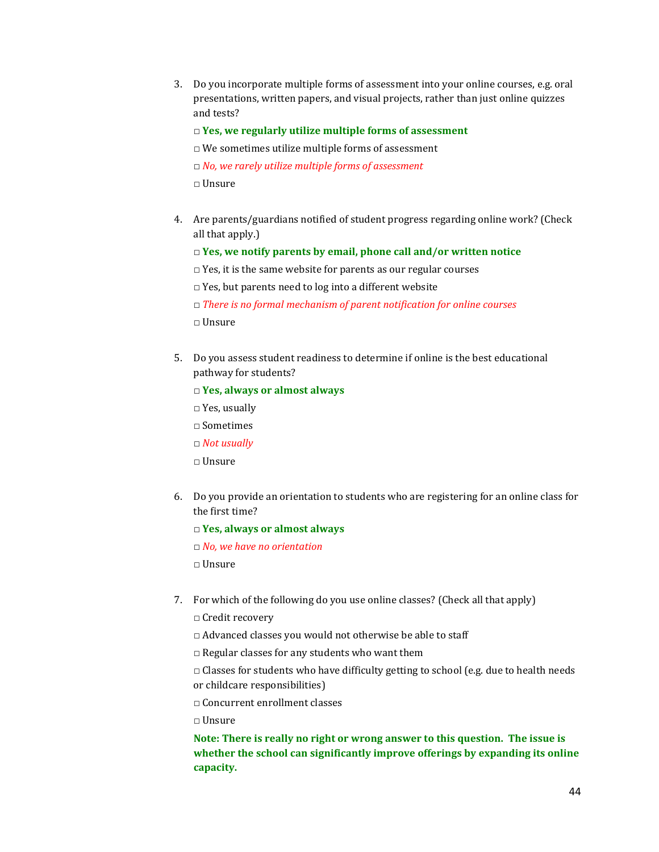3. Do you incorporate multiple forms of assessment into your online courses, e.g. oral presentations, written papers, and visual projects, rather than just online quizzes and tests?

#### □ **Yes, we regularly utilize multiple forms of assessment**

- $\square$  <br> We sometimes utilize multiple forms of assessment
- □ *No, we rarely utilize multiple forms of assessment*

□ Unsure

- 4. Are parents/guardians notified of student progress regarding online work? (Check all that apply.)
	- □ **Yes, we notify parents by email, phone call and/or written notice**
	- $\Box$  Yes, it is the same website for parents as our regular courses
	- $\Box$  Yes, but parents need to log into a different website
	- □ *There is no formal mechanism of parent notification for online courses*

□ Unsure

- 5. Do you assess student readiness to determine if online is the best educational pathway for students?
	- □ **Yes, always or almost always**
	- □ Yes, usually
	- $\square$  Sometimes
	- □ *Not usually*
	- □ Unsure
- 6. Do you provide an orientation to students who are registering for an online class for the first time?
	- □ **Yes, always or almost always**
	- □ *No, we have no orientation*
	- □ Unsure
- 7. For which of the following do you use online classes? (Check all that apply)
	- □ Credit recovery
	- □ Advanced classes you would not otherwise be able to staff
	- $\Box$  Regular classes for any students who want them
	- $\Box$  Classes for students who have difficulty getting to school (e.g. due to health needs or childcare responsibilities)
	- □ Concurrent enrollment classes
	- □ Unsure

**Note: There is really no right or wrong answer to this question. The issue is whether the school can significantly improve offerings by expanding its online capacity.**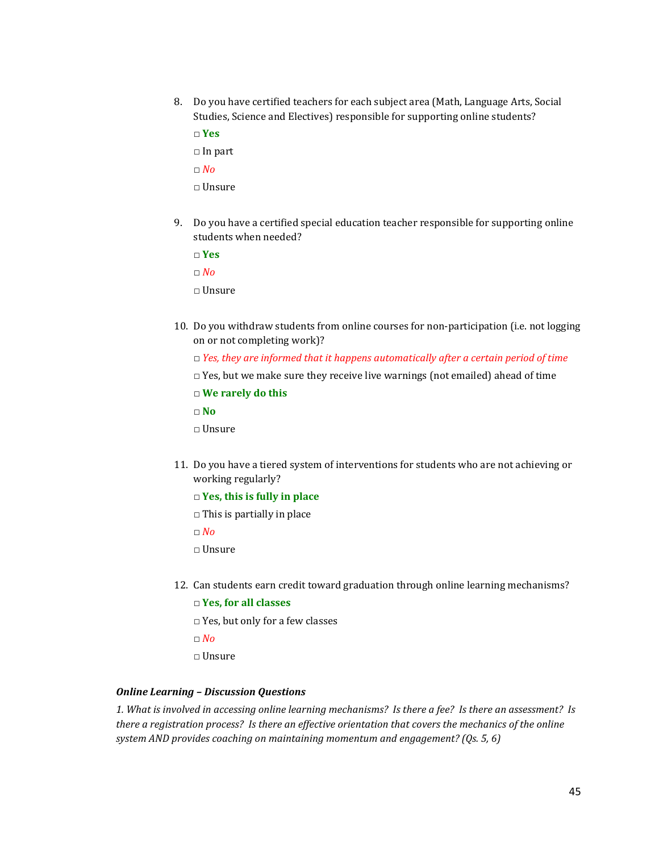8. Do you have certified teachers for each subject area (Math, Language Arts, Social Studies, Science and Electives) responsible for supporting online students?

□ **Yes**

□ In part

□ *No*

□ Unsure

9. Do you have a certified special education teacher responsible for supporting online students when needed?

□ **Yes**

□ *No*

- □ Unsure
- 10. Do you withdraw students from online courses for non-participation (i.e. not logging on or not completing work)?
	- □ *Yes, they are informed that it happens automatically after a certain period of time*
	- $\Box$  Yes, but we make sure they receive live warnings (not emailed) ahead of time
	- □ **We rarely do this**
	- □ **No**
	- □ Unsure
- 11. Do you have a tiered system of interventions for students who are not achieving or working regularly?
	- □ **Yes, this is fully in place**
	- $\Box$  This is partially in place
	- □ *No*
	- □ Unsure
- 12. Can students earn credit toward graduation through online learning mechanisms?

```
□ Yes, for all classes
```
- □ Yes, but only for a few classes
- □ *No*
- □ Unsure

## *Online Learning – Discussion Questions*

*1. What is involved in accessing online learning mechanisms? Is there a fee? Is there an assessment? Is there a registration process? Is there an effective orientation that covers the mechanics of the online system AND provides coaching on maintaining momentum and engagement? (Qs. 5, 6)*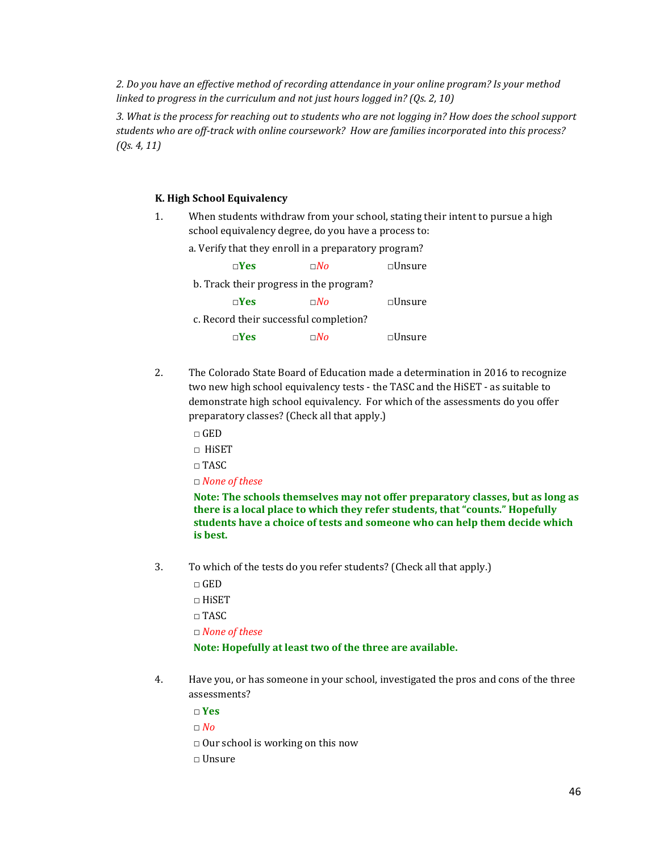*2. Do you have an effective method of recording attendance in your online program? Is your method linked to progress in the curriculum and not just hours logged in? (Qs. 2, 10)*

*3. What is the process for reaching out to students who are not logging in? How does the school support students who are off-track with online coursework? How are families incorporated into this process? (Qs. 4, 11)*

#### **K. High School Equivalency**

1. When students withdraw from your school, stating their intent to pursue a high school equivalency degree, do you have a process to:

|  |  |  |  |  |  |  |  |  | a. Verify that they enroll in a preparatory program? |
|--|--|--|--|--|--|--|--|--|------------------------------------------------------|
|--|--|--|--|--|--|--|--|--|------------------------------------------------------|

| $\neg$ Yes                              | $\sqcap$ No | $\square$ Unsure |
|-----------------------------------------|-------------|------------------|
| b. Track their progress in the program? |             |                  |
| $\square$ Yes                           | $\sqcap No$ | $\square$ Unsure |
| c. Record their successful completion?  |             |                  |
| $\neg Yes$                              | $\sqcap No$ | $\square$ Unsure |

- 2. The Colorado State Board of Education made a determination in 2016 to recognize two new high school equivalency tests - the TASC and the HiSET - as suitable to demonstrate high school equivalency. For which of the assessments do you offer preparatory classes? (Check all that apply.)
	- □ GED
	- $\neg$  HiSET
	- □ TASC

□ *None of these*

**Note: The schools themselves may not offer preparatory classes, but as long as there is a local place to which they refer students, that "counts." Hopefully students have a choice of tests and someone who can help them decide which is best.**

- 3. To which of the tests do you refer students? (Check all that apply.)
	- □ GED
	- $\Box$  HiSET
	- □ TASC
	- □ *None of these*

#### **Note: Hopefully at least two of the three are available.**

- 4. Have you, or has someone in your school, investigated the pros and cons of the three assessments?
	- □ **Yes**
	- □ *No*
	- $\Box$  Our school is working on this now
	- □ Unsure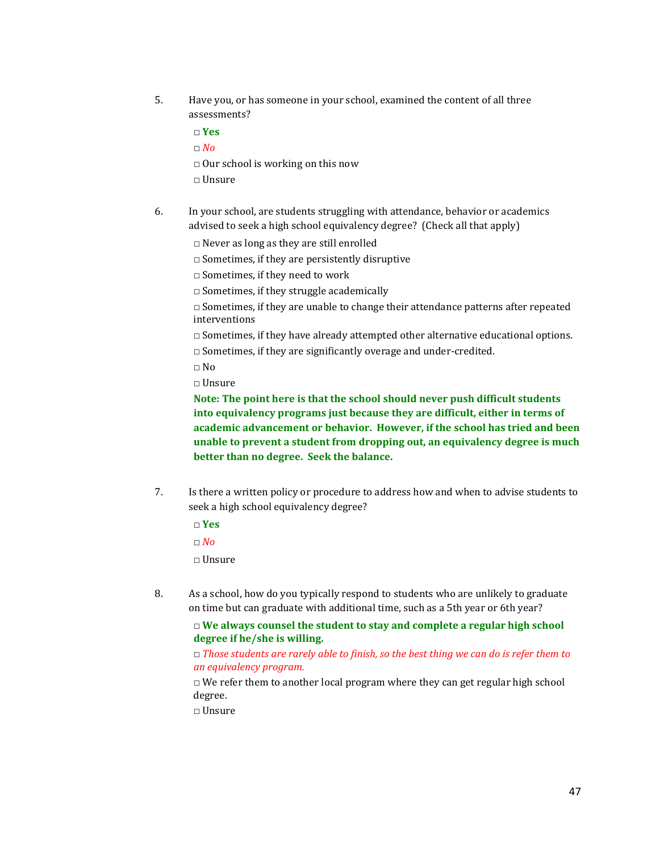5. Have you, or has someone in your school, examined the content of all three assessments?

□ **Yes**

□ *No*

- $\Box$  Our school is working on this now
- □ Unsure
- 6. In your school, are students struggling with attendance, behavior or academics advised to seek a high school equivalency degree? (Check all that apply)
	- □ Never as long as they are still enrolled
	- □ Sometimes, if they are persistently disruptive

□ Sometimes, if they need to work

 $\Box$  Sometimes, if they struggle academically

 $\Box$  Sometimes, if they are unable to change their attendance patterns after repeated interventions

 $\Box$  Sometimes, if they have already attempted other alternative educational options.

- $\Box$  Sometimes, if they are significantly overage and under-credited.
- □ No
- □ Unsure

**Note: The point here is that the school should never push difficult students into equivalency programs just because they are difficult, either in terms of academic advancement or behavior. However, if the school has tried and been unable to prevent a student from dropping out, an equivalency degree is much better than no degree. Seek the balance.**

7. Is there a written policy or procedure to address how and when to advise students to seek a high school equivalency degree?

□ **Yes**

□ *No*

□ Unsure

8. As a school, how do you typically respond to students who are unlikely to graduate on time but can graduate with additional time, such as a 5th year or 6th year?

□ **We always counsel the student to stay and complete a regular high school degree if he/she is willing.**

## □ *Those students are rarely able to finish, so the best thing we can do is refer them to an equivalency program.*

 $\Box$  We refer them to another local program where they can get regular high school degree.

□ Unsure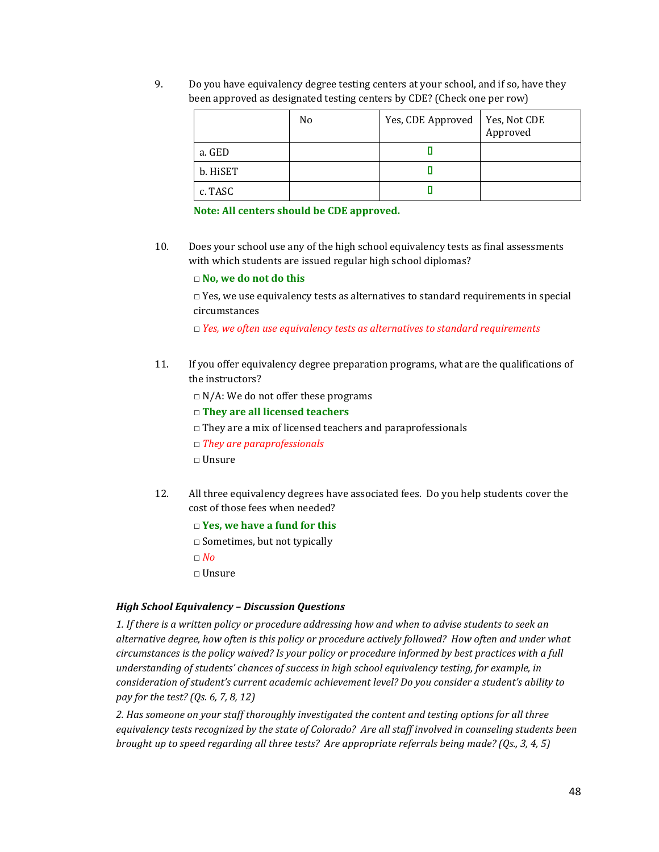9. Do you have equivalency degree testing centers at your school, and if so, have they been approved as designated testing centers by CDE? (Check one per row)

|          | No | Yes, CDE Approved | Yes, Not CDE<br>Approved |
|----------|----|-------------------|--------------------------|
| a. GED   |    |                   |                          |
| b. HiSET |    |                   |                          |
| c. TASC  |    |                   |                          |

**Note: All centers should be CDE approved.**

10. Does your school use any of the high school equivalency tests as final assessments with which students are issued regular high school diplomas?

#### □ **No, we do not do this**

 $\square$  Yes, we use equivalency tests as alternatives to standard requirements in special circumstances

□ *Yes, we often use equivalency tests as alternatives to standard requirements*

- 11. If you offer equivalency degree preparation programs, what are the qualifications of the instructors?
	- $\square$  N/A: We do not offer these programs
	- □ **They are all licensed teachers**
	- $\Box$  They are a mix of licensed teachers and paraprofessionals
	- □ *They are paraprofessionals*
	- □ Unsure
- 12. All three equivalency degrees have associated fees. Do you help students cover the cost of those fees when needed?
	- □ **Yes, we have a fund for this**
	- □ Sometimes, but not typically
	- □ *No*
	- □ Unsure

## *High School Equivalency – Discussion Questions*

*1. If there is a written policy or procedure addressing how and when to advise students to seek an alternative degree, how often is this policy or procedure actively followed? How often and under what circumstances is the policy waived? Is your policy or procedure informed by best practices with a full understanding of students' chances of success in high school equivalency testing, for example, in consideration of student's current academic achievement level? Do you consider a student's ability to pay for the test? (Qs. 6, 7, 8, 12)*

*2. Has someone on your staff thoroughly investigated the content and testing options for all three equivalency tests recognized by the state of Colorado? Are all staff involved in counseling students been brought up to speed regarding all three tests? Are appropriate referrals being made? (Qs., 3, 4, 5)*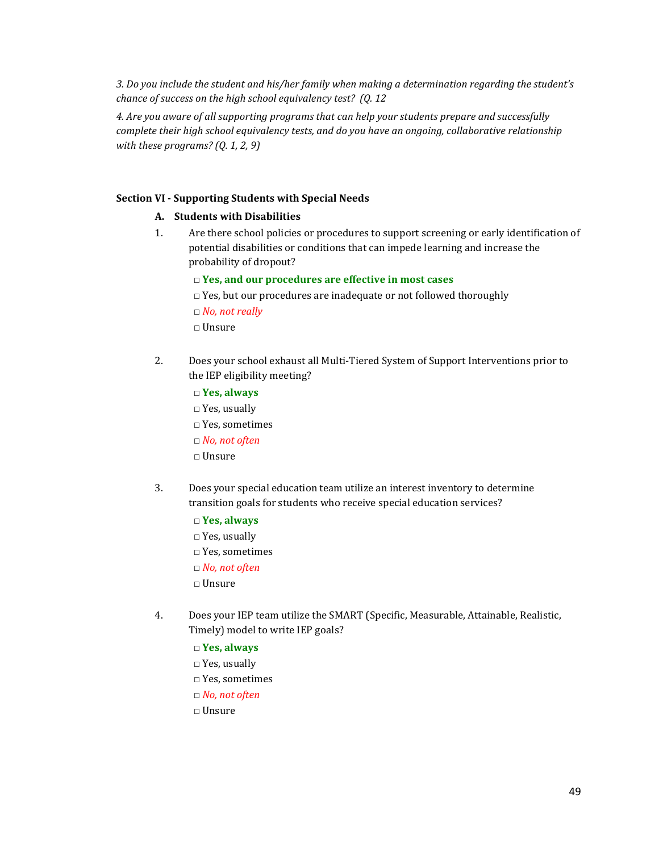*3. Do you include the student and his/her family when making a determination regarding the student's chance of success on the high school equivalency test? (Q. 12*

*4. Are you aware of all supporting programs that can help your students prepare and successfully complete their high school equivalency tests, and do you have an ongoing, collaborative relationship with these programs? (Q. 1, 2, 9)*

#### **Section VI - Supporting Students with Special Needs**

#### **A. Students with Disabilities**

- 1. Are there school policies or procedures to support screening or early identification of potential disabilities or conditions that can impede learning and increase the probability of dropout?
	- □ **Yes, and our procedures are effective in most cases**
	- □ Yes, but our procedures are inadequate or not followed thoroughly

- □ Unsure
- 2. Does your school exhaust all Multi-Tiered System of Support Interventions prior to the IEP eligibility meeting?
	- □ **Yes, always** □ Yes, usually □ Yes, sometimes □ *No, not often* □ Unsure
- 3. Does your special education team utilize an interest inventory to determine transition goals for students who receive special education services?
	- □ **Yes, always**
	- $\square$  Yes, usually
	- □ Yes, sometimes
	- □ *No, not often*
	- □ Unsure
- 4. Does your IEP team utilize the SMART (Specific, Measurable, Attainable, Realistic, Timely) model to write IEP goals?
	- □ **Yes, always**
	- $\square$  Yes, usually
	- □ Yes, sometimes
	- □ *No, not often*
	- □ Unsure

<sup>□</sup> *No, not really*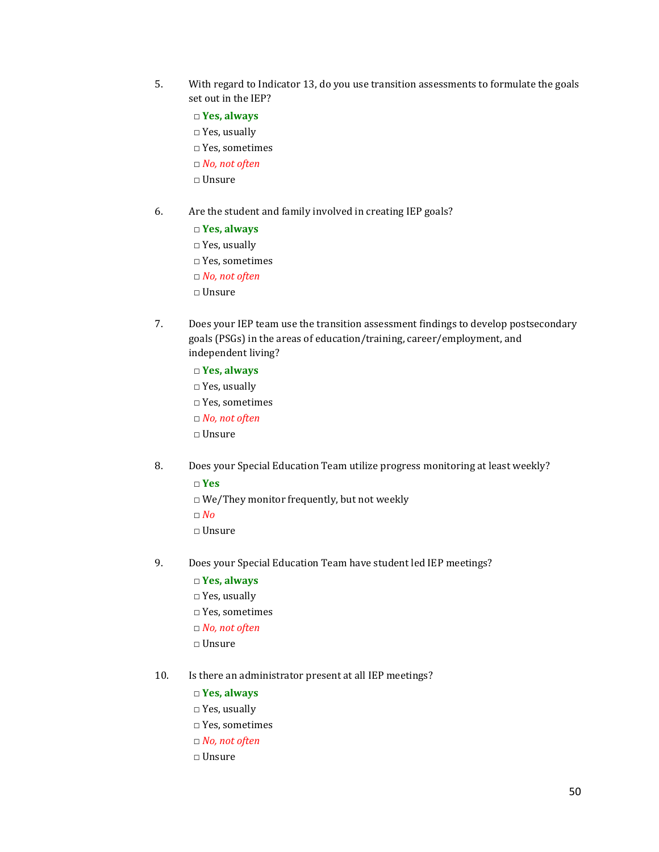- 5. With regard to Indicator 13, do you use transition assessments to formulate the goals set out in the IEP?
	- □ **Yes, always**
	- □ Yes, usually
	- $\Box$  Yes, sometimes
	- □ *No, not often*
	- □ Unsure
- 6. Are the student and family involved in creating IEP goals?
	- □ **Yes, always**
	- □ Yes, usually
	- □ Yes, sometimes
	- □ *No, not often*
	- □ Unsure
- 7. Does your IEP team use the transition assessment findings to develop postsecondary goals (PSGs) in the areas of education/training, career/employment, and independent living?
	- □ **Yes, always**
	- □ Yes, usually
	- □ Yes, sometimes
	- □ *No, not often*
	- $\Box$  Unsure
- 8. Does your Special Education Team utilize progress monitoring at least weekly?
	- □ **Yes**
	- □ We/They monitor frequently, but not weekly
	- □ *No*
	- □ Unsure
- 9. Does your Special Education Team have student led IEP meetings?
	- □ **Yes, always**
	- □ Yes, usually
	- □ Yes, sometimes
	- □ *No, not often*
	- □ Unsure
- 10. Is there an administrator present at all IEP meetings?
	- □ **Yes, always**
	- □ Yes, usually
	- □ Yes, sometimes
	- □ *No, not often*
	- □ Unsure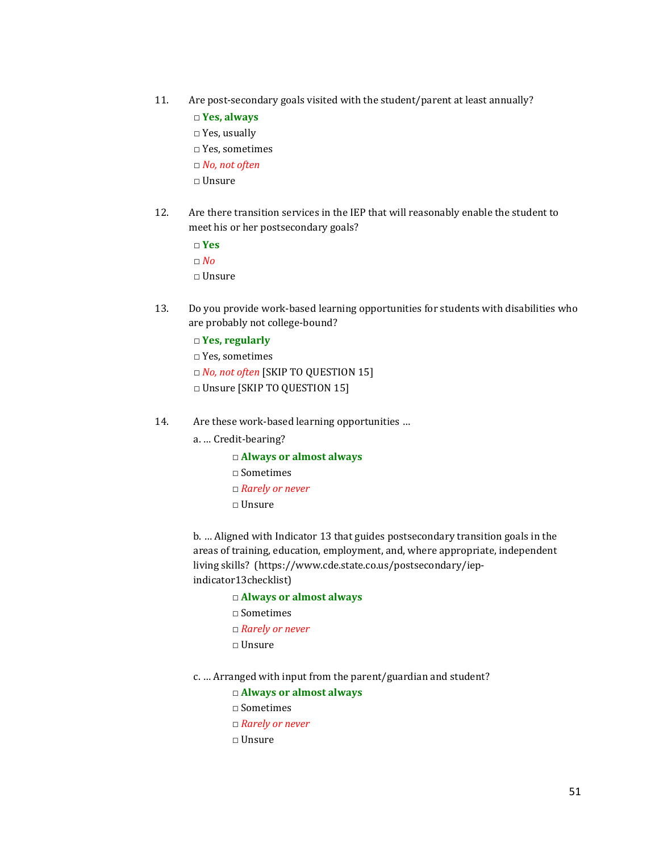- 11. Are post-secondary goals visited with the student/parent at least annually?
	- □ **Yes, always**
	- □ Yes, usually
	- □ Yes, sometimes
	- □ *No, not often*
	- $\Box$  Unsure
- 12. Are there transition services in the IEP that will reasonably enable the student to meet his or her postsecondary goals?
	- □ **Yes**

□ *No*

- □ Unsure
- 13. Do you provide work-based learning opportunities for students with disabilities who are probably not college-bound?
	- □ **Yes, regularly**
	- □ Yes, sometimes
	- □ *No, not often* [SKIP TO QUESTION 15]
	- □ Unsure [SKIP TO QUESTION 15]
- 14. Are these work-based learning opportunities …
	- a. … Credit-bearing?
		- □ **Always or almost always**  $\Box$  Sometimes
		- □ *Rarely or never*
		- □ Unsure

b. … Aligned with Indicator 13 that guides postsecondary transition goals in the areas of training, education, employment, and, where appropriate, independent living skills? (https://www.cde.state.co.us/postsecondary/iepindicator13checklist)

- □ **Always or almost always**
- $\Box$  Sometimes
- □ *Rarely or never*
- □ Unsure
- c. … Arranged with input from the parent/guardian and student?
	- □ **Always or almost always**
	- $\Box$  Sometimes
	- □ *Rarely or never*
	- □ Unsure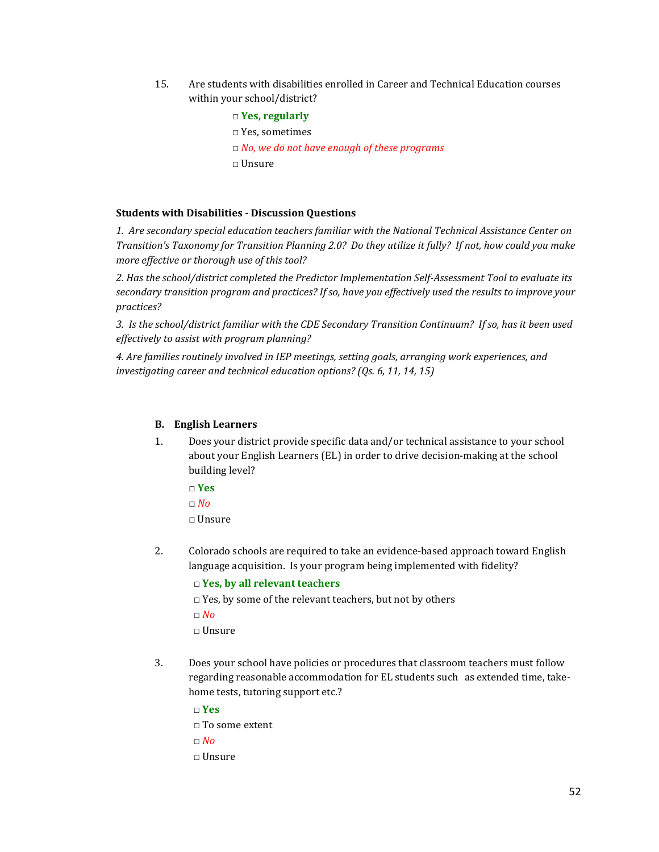15. Are students with disabilities enrolled in Career and Technical Education courses within your school/district?

# □ **Yes, regularly**

- □ Yes, sometimes
- □ *No, we do not have enough of these programs*
- $\Box$  Unsure

#### **Students with Disabilities - Discussion Questions**

*1. Are secondary special education teachers familiar with the National Technical Assistance Center on Transition's Taxonomy for Transition Planning 2.0? Do they utilize it fully? If not, how could you make more effective or thorough use of this tool?*

*2. Has the school/district completed the Predictor Implementation Self-Assessment Tool to evaluate its secondary transition program and practices? If so, have you effectively used the results to improve your practices?*

*3. Is the school/district familiar with the CDE Secondary Transition Continuum? If so, has it been used effectively to assist with program planning?*

*4. Are families routinely involved in IEP meetings, setting goals, arranging work experiences, and investigating career and technical education options? (Qs. 6, 11, 14, 15)*

#### **B. English Learners**

- 1. Does your district provide specific data and/or technical assistance to your school about your English Learners (EL) in order to drive decision-making at the school building level?
	- □ **Yes**
	- $\Box$  *No*
	- □ Unsure
- 2. Colorado schools are required to take an evidence-based approach toward English language acquisition. Is your program being implemented with fidelity?

#### □ **Yes, by all relevant teachers**

- $\Box$  Yes, by some of the relevant teachers, but not by others
- □ *No*
- $\Box$  Unsure
- 3. Does your school have policies or procedures that classroom teachers must follow regarding reasonable accommodation for EL students such as extended time, takehome tests, tutoring support etc.?
	- □ **Yes**

```
\Box To some extent
```
- □ *No*
- □ Unsure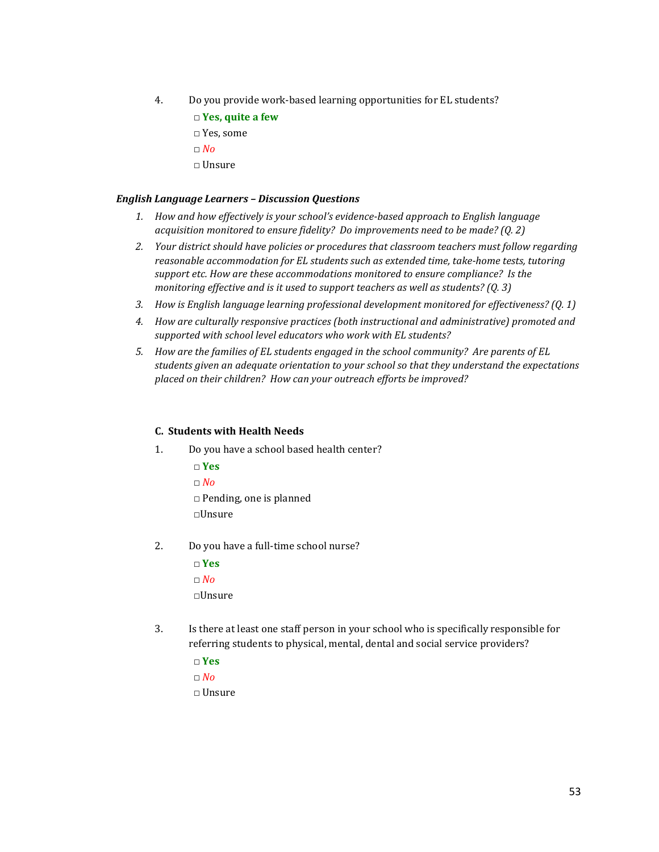- 4. Do you provide work-based learning opportunities for EL students?
	- □ **Yes, quite a few**
	- □ Yes, some
	- □ *No*
	- □ Unsure

#### *English Language Learners – Discussion Questions*

- *1. How and how effectively is your school's evidence-based approach to English language acquisition monitored to ensure fidelity? Do improvements need to be made? (Q. 2)*
- *2. Your district should have policies or procedures that classroom teachers must follow regarding reasonable accommodation for EL students such as extended time, take-home tests, tutoring support etc. How are these accommodations monitored to ensure compliance? Is the monitoring effective and is it used to support teachers as well as students? (Q. 3)*
- *3. How is English language learning professional development monitored for effectiveness? (Q. 1)*
- *4. How are culturally responsive practices (both instructional and administrative) promoted and supported with school level educators who work with EL students?*
- *5. How are the families of EL students engaged in the school community? Are parents of EL students given an adequate orientation to your school so that they understand the expectations placed on their children? How can your outreach efforts be improved?*

#### **C. Students with Health Needs**

- 1. Do you have a school based health center?
	- □ **Yes**
	- $\Box$  *No*
	- □ Pending, one is planned
	- □Unsure
- 2. Do you have a full-time school nurse?
	- □ **Yes** □ *No*
	- □Unsure
- 3. Is there at least one staff person in your school who is specifically responsible for referring students to physical, mental, dental and social service providers?
	- □ **Yes**
	- $\Box$  *No*
	- □ Unsure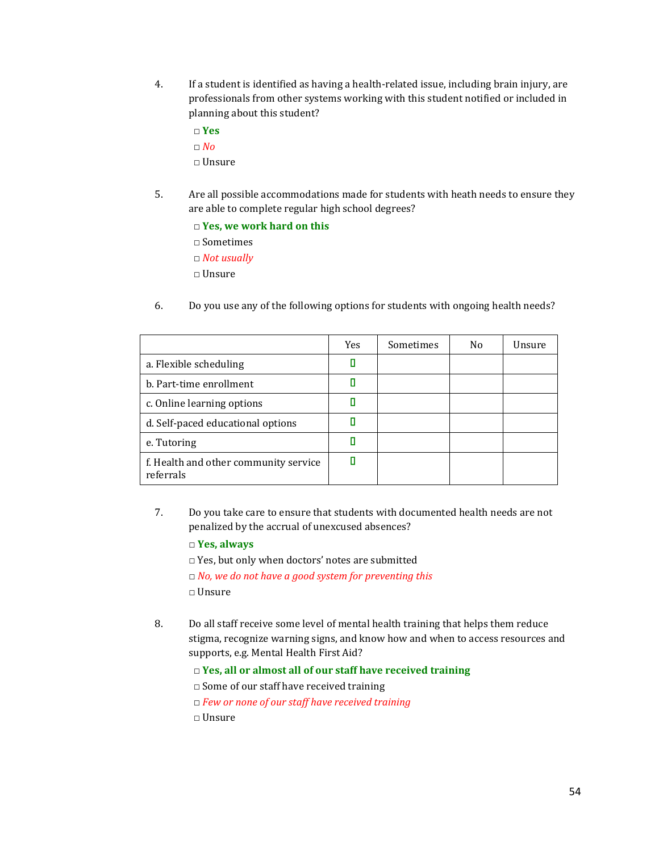- 4. If a student is identified as having a health-related issue, including brain injury, are professionals from other systems working with this student notified or included in planning about this student?
	- □ **Yes**
	- □ *No*
	- □ Unsure
- 5. Are all possible accommodations made for students with heath needs to ensure they are able to complete regular high school degrees?
	- □ **Yes, we work hard on this**
	- □ Sometimes
	- □ *Not usually*
	- □ Unsure
- 6. Do you use any of the following options for students with ongoing health needs?

|                                                    | Yes | Sometimes | N <sub>0</sub> | Unsure |
|----------------------------------------------------|-----|-----------|----------------|--------|
| a. Flexible scheduling                             |     |           |                |        |
| b. Part-time enrollment                            |     |           |                |        |
| c. Online learning options                         |     |           |                |        |
| d. Self-paced educational options                  |     |           |                |        |
| e. Tutoring                                        |     |           |                |        |
| f. Health and other community service<br>referrals |     |           |                |        |

7. Do you take care to ensure that students with documented health needs are not penalized by the accrual of unexcused absences?

## □ **Yes, always**

- □ Yes, but only when doctors' notes are submitted
- □ *No, we do not have a good system for preventing this*
- □ Unsure
- 8. Do all staff receive some level of mental health training that helps them reduce stigma, recognize warning signs, and know how and when to access resources and supports, e.g. Mental Health First Aid?
	- □ **Yes, all or almost all of our staff have received training**
	- □ Some of our staff have received training
	- □ *Few or none of our staff have received training*
	- □ Unsure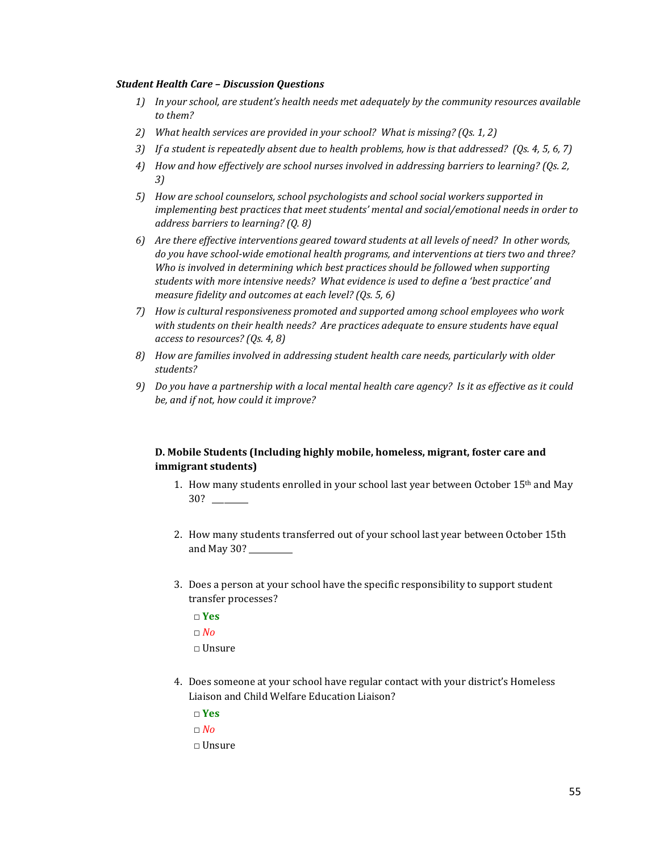#### *Student Health Care – Discussion Questions*

- *1) In your school, are student's health needs met adequately by the community resources available to them?*
- *2) What health services are provided in your school? What is missing? (Qs. 1, 2)*
- *3) If a student is repeatedly absent due to health problems, how is that addressed? (Qs. 4, 5, 6, 7)*
- *4) How and how effectively are school nurses involved in addressing barriers to learning? (Qs. 2, 3)*
- *5) How are school counselors, school psychologists and school social workers supported in implementing best practices that meet students' mental and social/emotional needs in order to address barriers to learning? (Q. 8)*
- *6) Are there effective interventions geared toward students at all levels of need? In other words, do you have school-wide emotional health programs, and interventions at tiers two and three? Who is involved in determining which best practices should be followed when supporting students with more intensive needs? What evidence is used to define a 'best practice' and measure fidelity and outcomes at each level? (Qs. 5, 6)*
- *7) How is cultural responsiveness promoted and supported among school employees who work with students on their health needs? Are practices adequate to ensure students have equal access to resources? (Qs. 4, 8)*
- *8) How are families involved in addressing student health care needs, particularly with older students?*
- *9) Do you have a partnership with a local mental health care agency? Is it as effective as it could be, and if not, how could it improve?*

# **D. Mobile Students (Including highly mobile, homeless, migrant, foster care and immigrant students)**

- 1. How many students enrolled in your school last year between October 15<sup>th</sup> and May 30? \_\_\_\_\_\_\_\_\_
- 2. How many students transferred out of your school last year between October 15th and May 30? \_\_\_\_\_\_\_\_\_\_\_
- 3. Does a person at your school have the specific responsibility to support student transfer processes?
	- □ **Yes**
	- □ *No*
	- $\Box$  Unsure
- 4. Does someone at your school have regular contact with your district's Homeless Liaison and Child Welfare Education Liaison?
	- □ **Yes**
	- □ *No*
	- □ Unsure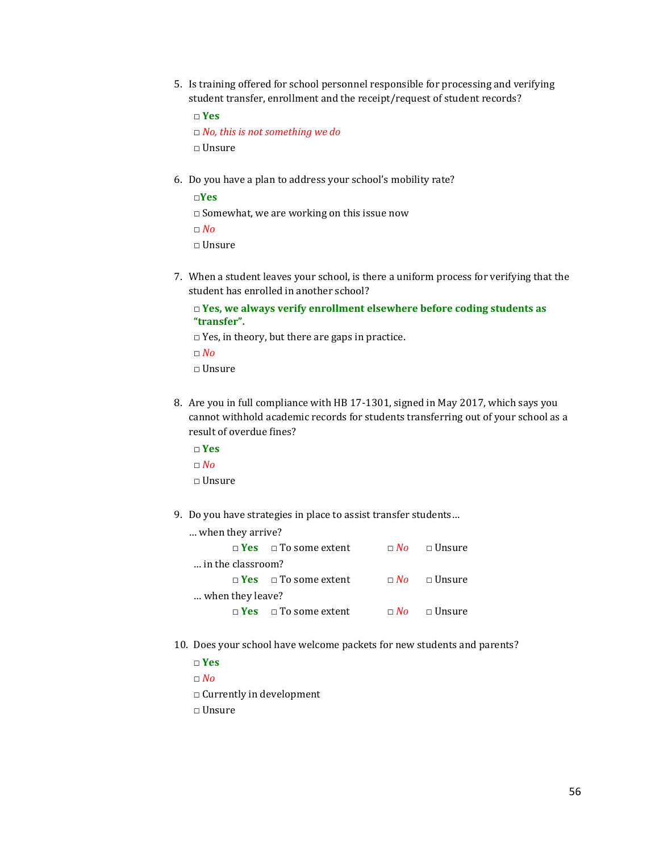5. Is training offered for school personnel responsible for processing and verifying student transfer, enrollment and the receipt/request of student records?

```
□ Yes
□ No, this is not something we do
□ Unsure
```
6. Do you have a plan to address your school's mobility rate?

□**Yes**  $\Box$  Somewhat, we are working on this issue now □ *No* □ Unsure

7. When a student leaves your school, is there a uniform process for verifying that the student has enrolled in another school?

```
□ Yes, we always verify enrollment elsewhere before coding students as 
"transfer".
```
- $\square$  Yes, in theory, but there are gaps in practice.
- □ *No* □ Unsure
- 8. Are you in full compliance with HB 17-1301, signed in May 2017, which says you cannot withhold academic records for students transferring out of your school as a result of overdue fines?
	- □ **Yes** □ *No* □ Unsure
- 9. Do you have strategies in place to assist transfer students…

| when they arrive? |                                         |                         |
|-------------------|-----------------------------------------|-------------------------|
|                   | $\Box$ Yes $\Box$ To some extent        | $\Box$ No $\Box$ Unsure |
| in the classroom? |                                         |                         |
|                   | $\Box$ Yes $\Box$ To some extent        | $\Box$ No $\Box$ Unsure |
| when they leave?  |                                         |                         |
|                   | $\Box$ <b>Yes</b> $\Box$ To some extent | $\Box$ No $\Box$ Unsure |

10. Does your school have welcome packets for new students and parents?

□ **Yes**

□ *No*

- □ Currently in development
- □ Unsure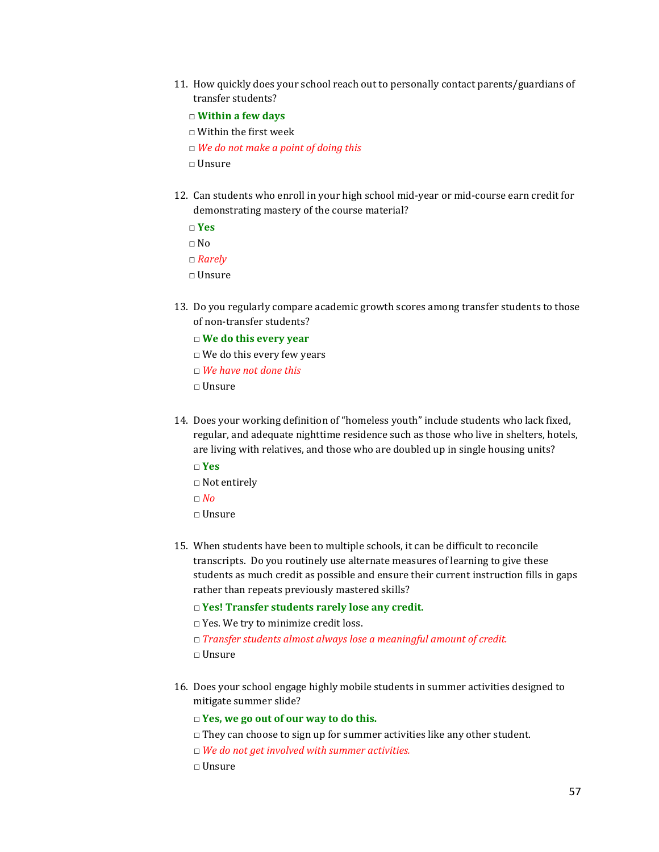- 11. How quickly does your school reach out to personally contact parents/guardians of transfer students?
	- □ **Within a few days**
	- □ Within the first week

□ *We do not make a point of doing this*

- □ Unsure
- 12. Can students who enroll in your high school mid-year or mid-course earn credit for demonstrating mastery of the course material?
	- □ **Yes**
	- $\square$  <br>No
	- □ *Rarely*
	- $\Box$  Unsure
- 13. Do you regularly compare academic growth scores among transfer students to those of non-transfer students?
	- □ **We do this every year**
	- $\Box$  We do this every few years
	- □ *We have not done this*
	- $\Box$  Unsure
- 14. Does your working definition of "homeless youth" include students who lack fixed, regular, and adequate nighttime residence such as those who live in shelters, hotels, are living with relatives, and those who are doubled up in single housing units?
	- □ **Yes**
	- □ Not entirely
	- □ *No*
	- □ Unsure
- 15. When students have been to multiple schools, it can be difficult to reconcile transcripts. Do you routinely use alternate measures of learning to give these students as much credit as possible and ensure their current instruction fills in gaps rather than repeats previously mastered skills?
	- □ **Yes! Transfer students rarely lose any credit.**
	- □ Yes. We try to minimize credit loss.
	- □ *Transfer students almost always lose a meaningful amount of credit.*
	- □ Unsure
- 16. Does your school engage highly mobile students in summer activities designed to mitigate summer slide?
	- □ **Yes, we go out of our way to do this.**
	- $\Box$  They can choose to sign up for summer activities like any other student.
	- □ *We do not get involved with summer activities.*
	- $\Box$  Unsure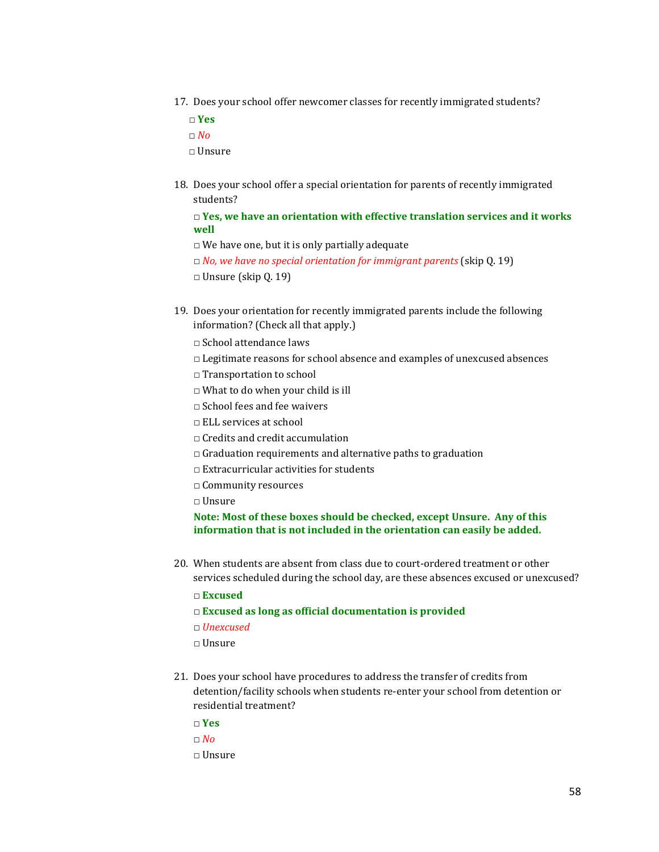17. Does your school offer newcomer classes for recently immigrated students?

□ **Yes**

□ *No*

 $\Box$  Unsure

18. Does your school offer a special orientation for parents of recently immigrated students?

□ **Yes, we have an orientation with effective translation services and it works well**

- $\Box$  We have one, but it is only partially adequate
- □ *No, we have no special orientation for immigrant parents* (skip Q. 19)
- □ Unsure (skip Q. 19)
- 19. Does your orientation for recently immigrated parents include the following information? (Check all that apply.)
	- □ School attendance laws
	- □ Legitimate reasons for school absence and examples of unexcused absences
	- □ Transportation to school
	- □ What to do when your child is ill
	- □ School fees and fee waivers
	- □ ELL services at school
	- □ Credits and credit accumulation
	- $\Box$  Graduation requirements and alternative paths to graduation
	- $\Box$  Extracurricular activities for students
	- □ Community resources
	- $\Box$  Unsure

## **Note: Most of these boxes should be checked, except Unsure. Any of this information that is not included in the orientation can easily be added.**

20. When students are absent from class due to court-ordered treatment or other services scheduled during the school day, are these absences excused or unexcused?

□ **Excused**

- □ **Excused as long as official documentation is provided**
- □ *Unexcused*
- $\Box$  Unsure
- 21. Does your school have procedures to address the transfer of credits from detention/facility schools when students re-enter your school from detention or residential treatment?
	- □ **Yes**
	- □ *No*
	- □ Unsure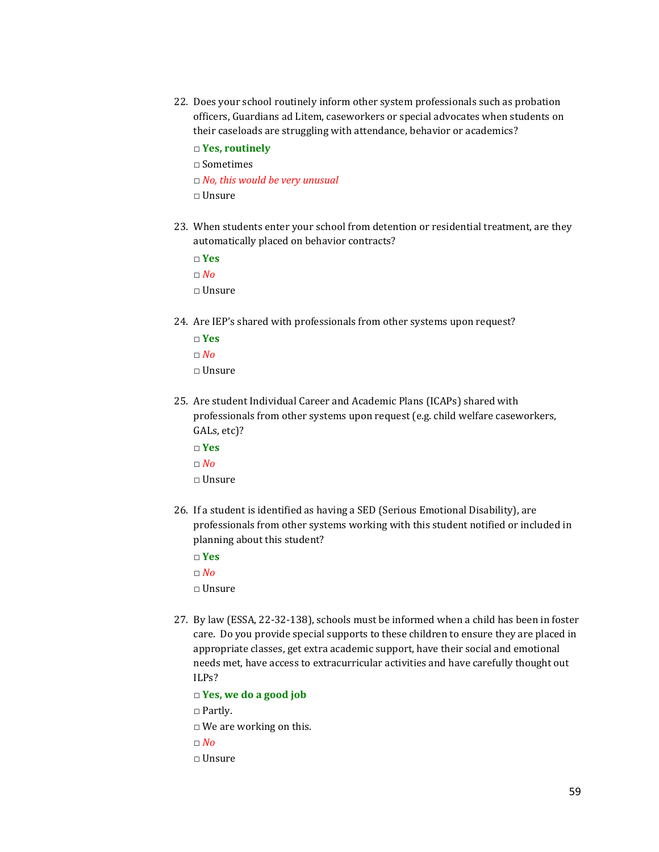- 22. Does your school routinely inform other system professionals such as probation officers, Guardians ad Litem, caseworkers or special advocates when students on their caseloads are struggling with attendance, behavior or academics?
	- □ **Yes, routinely**

□ Sometimes

- □ *No, this would be very unusual*
- □ Unsure
- 23. When students enter your school from detention or residential treatment, are they automatically placed on behavior contracts?
	- □ **Yes**
	- □ *No*
	- □ Unsure
- 24. Are IEP's shared with professionals from other systems upon request?
	- □ **Yes**
	- □ *No*
	- □ Unsure
- 25. Are student Individual Career and Academic Plans (ICAPs) shared with professionals from other systems upon request (e.g. child welfare caseworkers, GALs, etc)?
	- □ **Yes** □ *No* □ Unsure
- 26. If a student is identified as having a SED (Serious Emotional Disability), are professionals from other systems working with this student notified or included in planning about this student?
	- □ **Yes**
	- $\Box$  *No*
	- $\Box$  Unsure
- 27. By law (ESSA, 22-32-138), schools must be informed when a child has been in foster care. Do you provide special supports to these children to ensure they are placed in appropriate classes, get extra academic support, have their social and emotional needs met, have access to extracurricular activities and have carefully thought out ILPs?

□ **Yes, we do a good job**

- □ Partly.
- □ We are working on this.
- □ *No*
- □ Unsure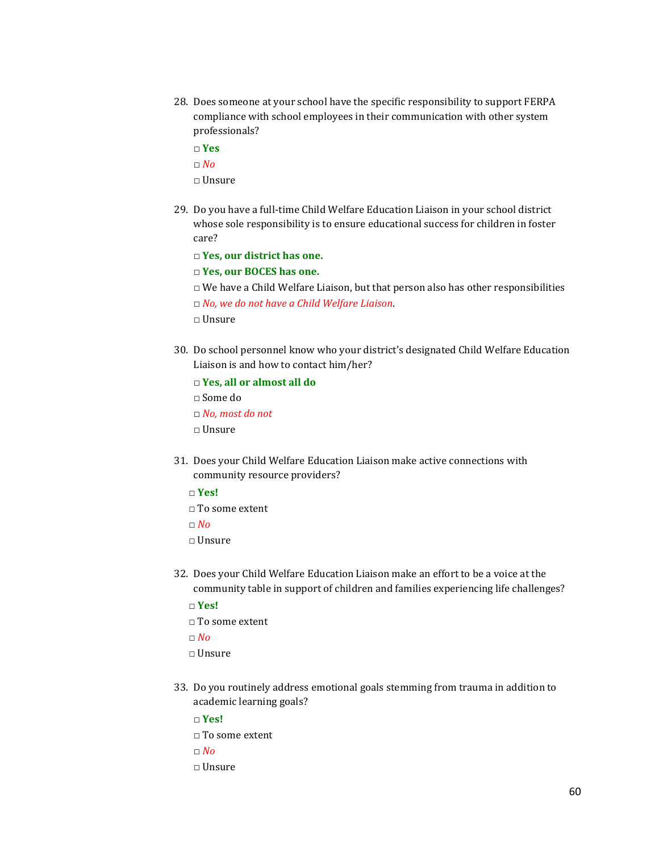- 28. Does someone at your school have the specific responsibility to support FERPA compliance with school employees in their communication with other system professionals?
	- □ **Yes**
	- □ *No*
	- □ Unsure
- 29. Do you have a full-time Child Welfare Education Liaison in your school district whose sole responsibility is to ensure educational success for children in foster care?

□ **Yes, our district has one.**

□ **Yes, our BOCES has one.**

 $\Box$  We have a Child Welfare Liaison, but that person also has other responsibilities

□ *No, we do not have a Child Welfare Liaison*.

- □ Unsure
- 30. Do school personnel know who your district's designated Child Welfare Education Liaison is and how to contact him/her?

□ **Yes, all or almost all do**

- □ Some do
- □ *No, most do not*
- □ Unsure
- 31. Does your Child Welfare Education Liaison make active connections with community resource providers?
	- □ **Yes!**
	- □ To some extent
	- □ *No*
	- □ Unsure
- 32. Does your Child Welfare Education Liaison make an effort to be a voice at the community table in support of children and families experiencing life challenges?
	- □ **Yes!**
	- □ To some extent
	- □ *No*
	- □ Unsure
- 33. Do you routinely address emotional goals stemming from trauma in addition to academic learning goals?
	- □ **Yes!**
	- □ To some extent
	- □ *No*
	- □ Unsure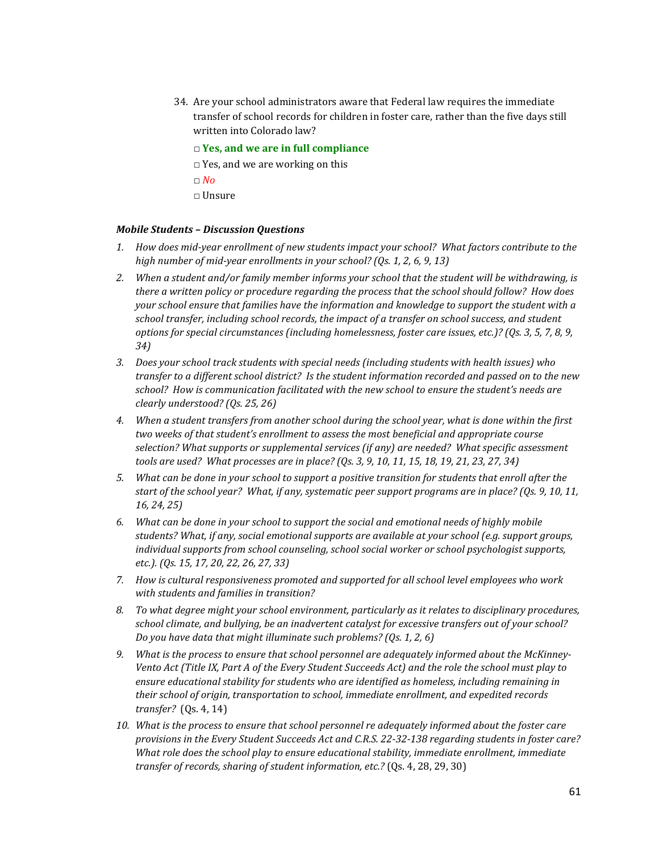- 34. Are your school administrators aware that Federal law requires the immediate transfer of school records for children in foster care, rather than the five days still written into Colorado law?
	- □ **Yes, and we are in full compliance**
	- □ Yes, and we are working on this
	- □ *No*
	- □ Unsure

#### *Mobile Students – Discussion Questions*

- *1. How does mid-year enrollment of new students impact your school? What factors contribute to the high number of mid-year enrollments in your school? (Qs. 1, 2, 6, 9, 13)*
- *2. When a student and/or family member informs your school that the student will be withdrawing, is there a written policy or procedure regarding the process that the school should follow? How does your school ensure that families have the information and knowledge to support the student with a school transfer, including school records, the impact of a transfer on school success, and student options for special circumstances (including homelessness, foster care issues, etc.)? (Qs. 3, 5, 7, 8, 9, 34)*
- *3. Does your school track students with special needs (including students with health issues) who transfer to a different school district? Is the student information recorded and passed on to the new school? How is communication facilitated with the new school to ensure the student's needs are clearly understood? (Qs. 25, 26)*
- *4. When a student transfers from another school during the school year, what is done within the first two weeks of that student's enrollment to assess the most beneficial and appropriate course selection? What supports or supplemental services (if any) are needed? What specific assessment tools are used? What processes are in place? (Qs. 3, 9, 10, 11, 15, 18, 19, 21, 23, 27, 34)*
- *5. What can be done in your school to support a positive transition for students that enroll after the start of the school year? What, if any, systematic peer support programs are in place? (Qs. 9, 10, 11, 16, 24, 25)*
- *6. What can be done in your school to support the social and emotional needs of highly mobile students? What, if any, social emotional supports are available at your school (e.g. support groups, individual supports from school counseling, school social worker or school psychologist supports, etc.). (Qs. 15, 17, 20, 22, 26, 27, 33)*
- *7. How is cultural responsiveness promoted and supported for all school level employees who work with students and families in transition?*
- *8. To what degree might your school environment, particularly as it relates to disciplinary procedures, school climate, and bullying, be an inadvertent catalyst for excessive transfers out of your school? Do you have data that might illuminate such problems? (Qs. 1, 2, 6)*
- *9. What is the process to ensure that school personnel are adequately informed about the McKinney-Vento Act (Title IX, Part A of the Every Student Succeeds Act) and the role the school must play to ensure educational stability for students who are identified as homeless, including remaining in their school of origin, transportation to school, immediate enrollment, and expedited records transfer?* (Qs. 4, 14)
- *10. What is the process to ensure that school personnel re adequately informed about the foster care provisions in the Every Student Succeeds Act and C.R.S. 22-32-138 regarding students in foster care? What role does the school play to ensure educational stability, immediate enrollment, immediate transfer of records, sharing of student information, etc.?* (Qs. 4, 28, 29, 30)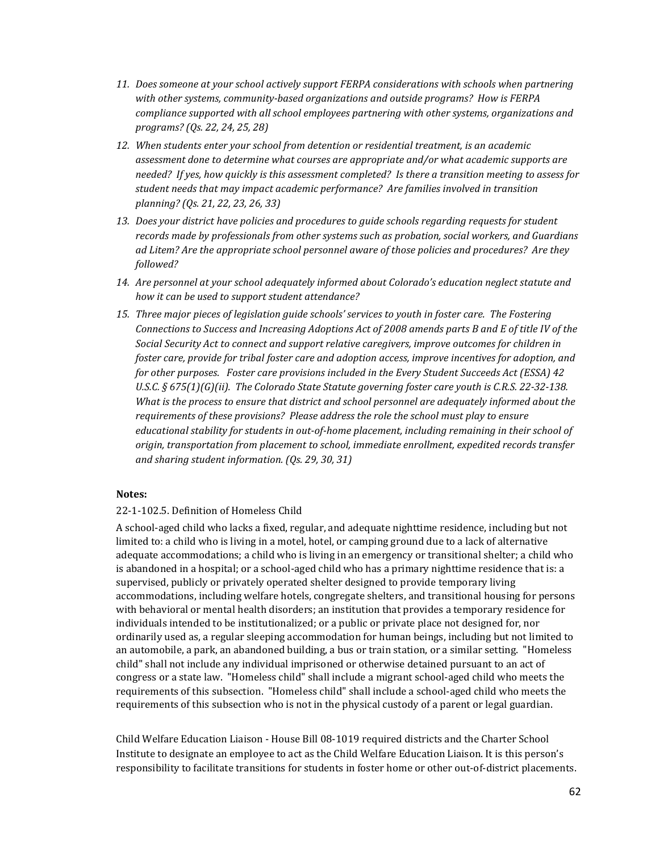- *11. Does someone at your school actively support FERPA considerations with schools when partnering with other systems, community-based organizations and outside programs? How is FERPA compliance supported with all school employees partnering with other systems, organizations and programs? (Qs. 22, 24, 25, 28)*
- *12. When students enter your school from detention or residential treatment, is an academic assessment done to determine what courses are appropriate and/or what academic supports are needed? If yes, how quickly is this assessment completed? Is there a transition meeting to assess for student needs that may impact academic performance? Are families involved in transition planning? (Qs. 21, 22, 23, 26, 33)*
- *13. Does your district have policies and procedures to guide schools regarding requests for student records made by professionals from other systems such as probation, social workers, and Guardians ad Litem? Are the appropriate school personnel aware of those policies and procedures? Are they followed?*
- *14. Are personnel at your school adequately informed about Colorado's education neglect statute and how it can be used to support student attendance?*
- *15. Three major pieces of legislation guide schools' services to youth in foster care. The Fostering Connections to Success and Increasing Adoptions Act of 2008 amends parts B and E of title IV of the Social Security Act to connect and support relative caregivers, improve outcomes for children in foster care, provide for tribal foster care and adoption access, improve incentives for adoption, and for other purposes. Foster care provisions included in the Every Student Succeeds Act (ESSA) 42 U.S.C. § 675(1)(G)(ii). The Colorado State Statute governing foster care youth is C.R.S. 22-32-138. What is the process to ensure that district and school personnel are adequately informed about the requirements of these provisions? Please address the role the school must play to ensure educational stability for students in out-of-home placement, including remaining in their school of origin, transportation from placement to school, immediate enrollment, expedited records transfer and sharing student information. (Qs. 29, 30, 31)*

## **Notes:**

#### 22-1-102.5. Definition of Homeless Child

A school-aged child who lacks a fixed, regular, and adequate nighttime residence, including but not limited to: a child who is living in a motel, hotel, or camping ground due to a lack of alternative adequate accommodations; a child who is living in an emergency or transitional shelter; a child who is abandoned in a hospital; or a school-aged child who has a primary nighttime residence that is: a supervised, publicly or privately operated shelter designed to provide temporary living accommodations, including welfare hotels, congregate shelters, and transitional housing for persons with behavioral or mental health disorders; an institution that provides a temporary residence for individuals intended to be institutionalized; or a public or private place not designed for, nor ordinarily used as, a regular sleeping accommodation for human beings, including but not limited to an automobile, a park, an abandoned building, a bus or train station, or a similar setting. "Homeless child" shall not include any individual imprisoned or otherwise detained pursuant to an act of congress or a state law. "Homeless child" shall include a migrant school-aged child who meets the requirements of this subsection. "Homeless child" shall include a school-aged child who meets the requirements of this subsection who is not in the physical custody of a parent or legal guardian.

Child Welfare Education Liaison - House Bill 08-1019 required districts and the Charter School Institute to designate an employee to act as the Child Welfare Education Liaison. It is this person's responsibility to facilitate transitions for students in foster home or other out-of-district placements.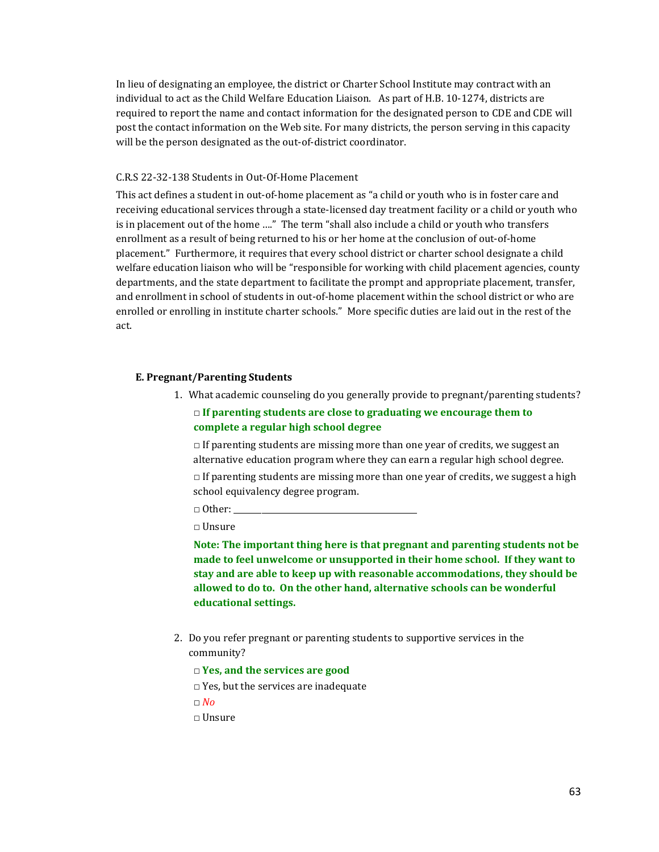In lieu of designating an employee, the district or Charter School Institute may contract with an individual to act as the Child Welfare Education Liaison. As part of H.B. 10-1274, districts are required to report the name and contact information for the designated person to CDE and CDE will post the contact information on the Web site. For many districts, the person serving in this capacity will be the person designated as the out-of-district coordinator.

#### C.R.S 22-32-138 Students in Out-Of-Home Placement

This act defines a student in out-of-home placement as "a child or youth who is in foster care and receiving educational services through a state-licensed day treatment facility or a child or youth who is in placement out of the home …." The term "shall also include a child or youth who transfers enrollment as a result of being returned to his or her home at the conclusion of out-of-home placement." Furthermore, it requires that every school district or charter school designate a child welfare education liaison who will be "responsible for working with child placement agencies, county departments, and the state department to facilitate the prompt and appropriate placement, transfer, and enrollment in school of students in out-of-home placement within the school district or who are enrolled or enrolling in institute charter schools." More specific duties are laid out in the rest of the act.

#### **E. Pregnant/Parenting Students**

- 1. What academic counseling do you generally provide to pregnant/parenting students? □ **If parenting students are close to graduating we encourage them to** 
	- **complete a regular high school degree**

 $\Box$  If parenting students are missing more than one year of credits, we suggest an alternative education program where they can earn a regular high school degree.  $\Box$  If parenting students are missing more than one year of credits, we suggest a high school equivalency degree program.

 $\Box$  Other:

□ Unsure

**Note: The important thing here is that pregnant and parenting students not be made to feel unwelcome or unsupported in their home school. If they want to stay and are able to keep up with reasonable accommodations, they should be allowed to do to. On the other hand, alternative schools can be wonderful educational settings.**

- 2. Do you refer pregnant or parenting students to supportive services in the community?
	- □ **Yes, and the services are good**
	- □ Yes, but the services are inadequate

□ *No*

□ Unsure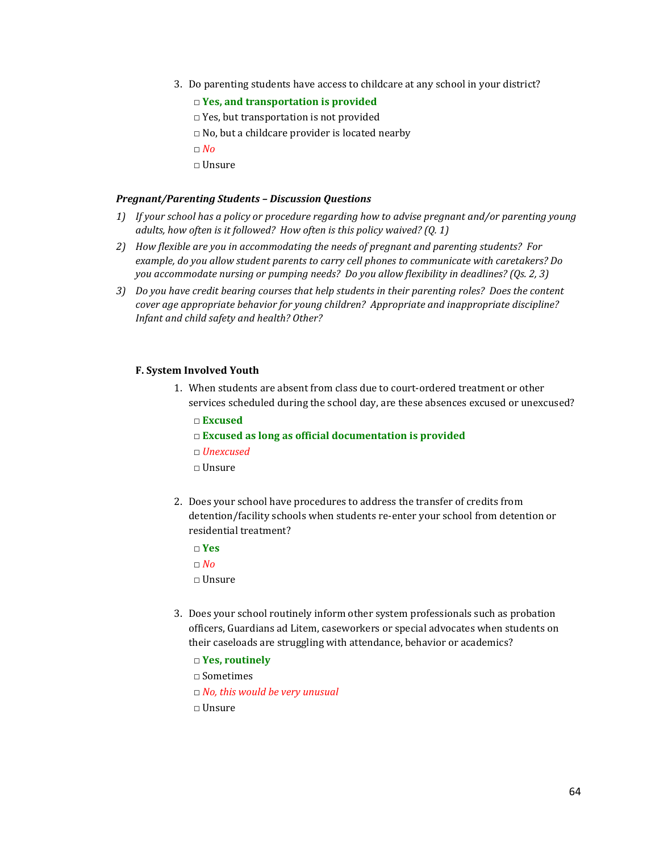- 3. Do parenting students have access to childcare at any school in your district?
	- □ **Yes, and transportation is provided**
	- □ Yes, but transportation is not provided
	- $\Box$  No, but a childcare provider is located nearby
	- □ *No*
	- □ Unsure

#### *Pregnant/Parenting Students – Discussion Questions*

- *1) If your school has a policy or procedure regarding how to advise pregnant and/or parenting young adults, how often is it followed? How often is this policy waived? (Q. 1)*
- *2) How flexible are you in accommodating the needs of pregnant and parenting students? For example, do you allow student parents to carry cell phones to communicate with caretakers? Do you accommodate nursing or pumping needs? Do you allow flexibility in deadlines? (Qs. 2, 3)*
- *3) Do you have credit bearing courses that help students in their parenting roles? Does the content cover age appropriate behavior for young children? Appropriate and inappropriate discipline? Infant and child safety and health? Other?*

#### **F. System Involved Youth**

- 1. When students are absent from class due to court-ordered treatment or other services scheduled during the school day, are these absences excused or unexcused?
	- □ **Excused**
	- □ **Excused as long as official documentation is provided**
	- □ *Unexcused*
	- □ Unsure
- 2. Does your school have procedures to address the transfer of credits from detention/facility schools when students re-enter your school from detention or residential treatment?
	- □ **Yes**
	- $\Box$  *No*
	- □ Unsure
- 3. Does your school routinely inform other system professionals such as probation officers, Guardians ad Litem, caseworkers or special advocates when students on their caseloads are struggling with attendance, behavior or academics?
	- □ **Yes, routinely**
	- □ Sometimes
	- □ *No, this would be very unusual*
	- □ Unsure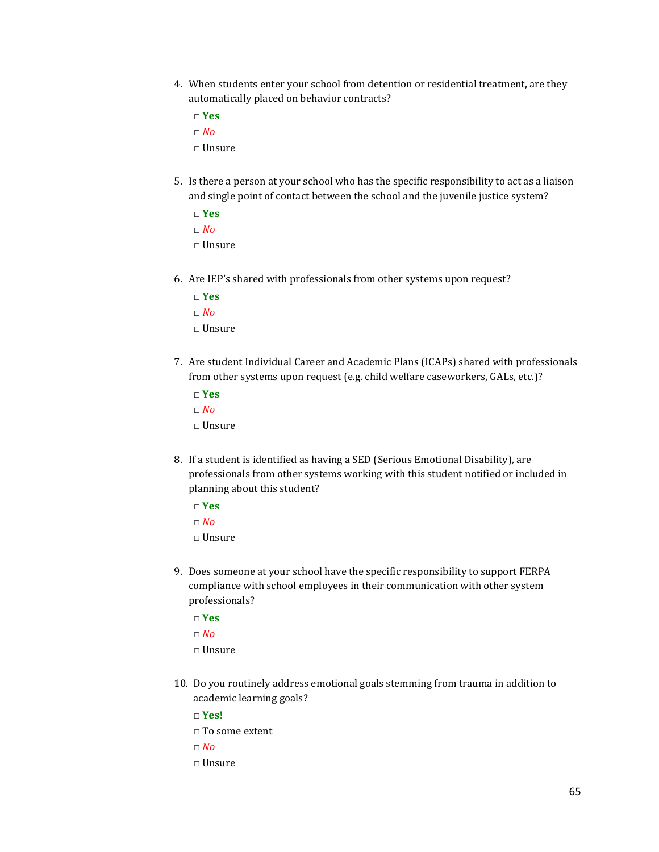- 4. When students enter your school from detention or residential treatment, are they automatically placed on behavior contracts?
	- □ **Yes**

□ *No*

- □ Unsure
- 5. Is there a person at your school who has the specific responsibility to act as a liaison and single point of contact between the school and the juvenile justice system?
	- □ **Yes** □ *No*  $\Box$  Unsure
- 6. Are IEP's shared with professionals from other systems upon request?
	- □ **Yes** □ *No*  $\Box$  Unsure
- 7. Are student Individual Career and Academic Plans (ICAPs) shared with professionals from other systems upon request (e.g. child welfare caseworkers, GALs, etc.)?
	- □ **Yes**  $\Box$  *No* □ Unsure
- 8. If a student is identified as having a SED (Serious Emotional Disability), are professionals from other systems working with this student notified or included in planning about this student?
	- □ **Yes** □ *No*  $\Box$  Unsure
- 9. Does someone at your school have the specific responsibility to support FERPA compliance with school employees in their communication with other system professionals?
	- □ **Yes** □ *No*
	- □ Unsure
- 10. Do you routinely address emotional goals stemming from trauma in addition to academic learning goals?
	- □ **Yes!**
	- □ To some extent
	- □ *No*
	- □ Unsure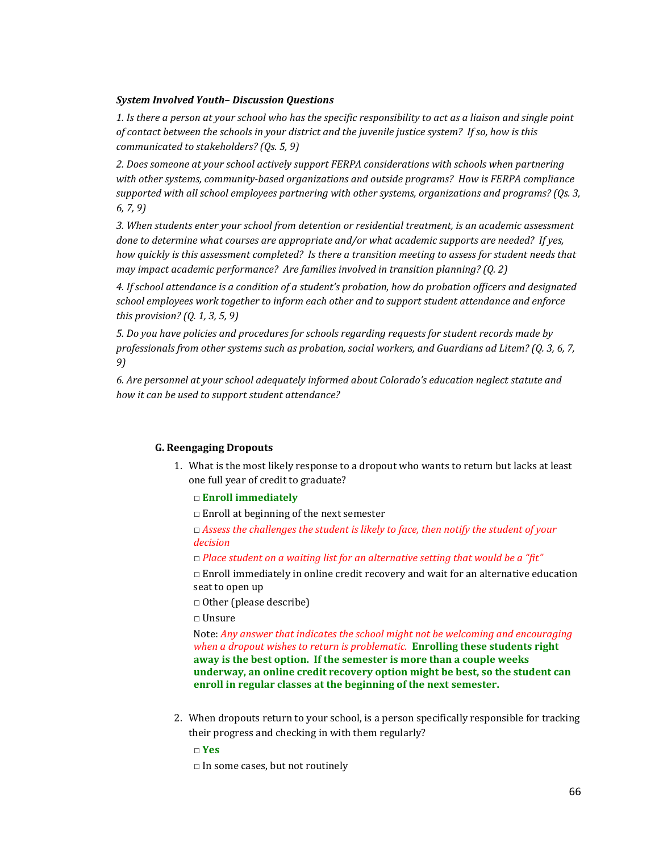## *System Involved Youth– Discussion Questions*

*1. Is there a person at your school who has the specific responsibility to act as a liaison and single point of contact between the schools in your district and the juvenile justice system? If so, how is this communicated to stakeholders? (Qs. 5, 9)*

*2. Does someone at your school actively support FERPA considerations with schools when partnering with other systems, community-based organizations and outside programs? How is FERPA compliance supported with all school employees partnering with other systems, organizations and programs? (Qs. 3, 6, 7, 9)*

*3. When students enter your school from detention or residential treatment, is an academic assessment done to determine what courses are appropriate and/or what academic supports are needed? If yes, how quickly is this assessment completed? Is there a transition meeting to assess for student needs that may impact academic performance? Are families involved in transition planning? (Q. 2)*

*4. If school attendance is a condition of a student's probation, how do probation officers and designated school employees work together to inform each other and to support student attendance and enforce this provision? (Q. 1, 3, 5, 9)*

*5. Do you have policies and procedures for schools regarding requests for student records made by professionals from other systems such as probation, social workers, and Guardians ad Litem? (Q. 3, 6, 7, 9)*

*6. Are personnel at your school adequately informed about Colorado's education neglect statute and how it can be used to support student attendance?*

## **G. Reengaging Dropouts**

1. What is the most likely response to a dropout who wants to return but lacks at least one full year of credit to graduate?

## □ **Enroll immediately**

 $\Box$  Enroll at beginning of the next semester

□ *Assess the challenges the student is likely to face, then notify the student of your decision*

□ *Place student on a waiting list for an alternative setting that would be a "fit"*

 $\Box$  Enroll immediately in online credit recovery and wait for an alternative education seat to open up

□ Other (please describe)

□ Unsure

Note: *Any answer that indicates the school might not be welcoming and encouraging when a dropout wishes to return is problematic.* **Enrolling these students right away is the best option. If the semester is more than a couple weeks underway, an online credit recovery option might be best, so the student can enroll in regular classes at the beginning of the next semester.**

2. When dropouts return to your school, is a person specifically responsible for tracking their progress and checking in with them regularly?

□ **Yes**

 $\Box$  In some cases, but not routinely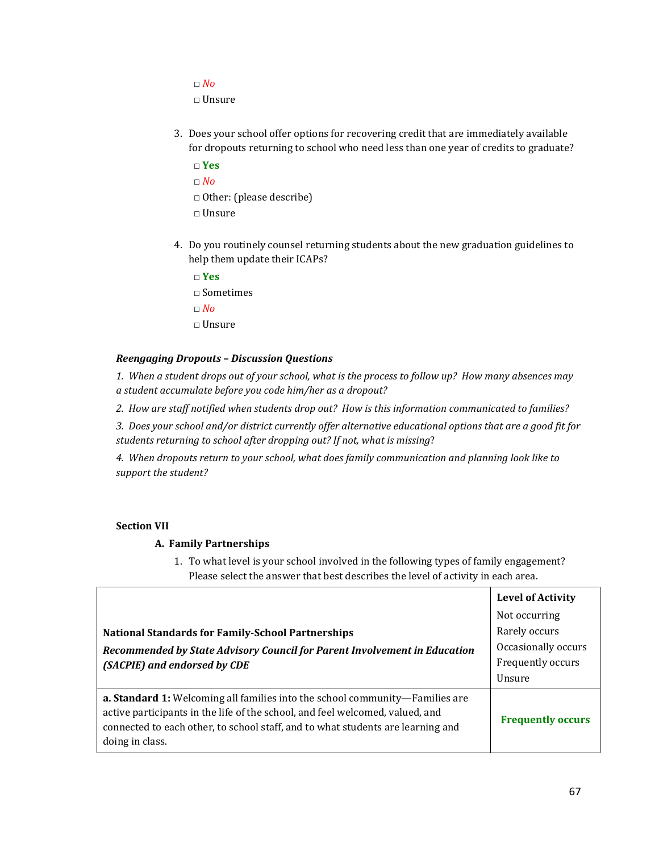$\Box$  *No* □ Unsure

- 3. Does your school offer options for recovering credit that are immediately available for dropouts returning to school who need less than one year of credits to graduate?
	- □ **Yes** □ *No* □ Other: (please describe) □ Unsure
- 4. Do you routinely counsel returning students about the new graduation guidelines to help them update their ICAPs?

□ **Yes**

□ Sometimes

- □ *No*
- □ Unsure

## *Reengaging Dropouts – Discussion Questions*

*1. When a student drops out of your school, what is the process to follow up? How many absences may a student accumulate before you code him/her as a dropout?* 

*2. How are staff notified when students drop out? How is this information communicated to families?*

*3. Does your school and/or district currently offer alternative educational options that are a good fit for students returning to school after dropping out? If not, what is missing*?

*4. When dropouts return to your school, what does family communication and planning look like to support the student?*

## **Section VII**

## **A. Family Partnerships**

1. To what level is your school involved in the following types of family engagement? Please select the answer that best describes the level of activity in each area.

|                                                                                                                                                                                                                                                                     | <b>Level of Activity</b> |
|---------------------------------------------------------------------------------------------------------------------------------------------------------------------------------------------------------------------------------------------------------------------|--------------------------|
|                                                                                                                                                                                                                                                                     | Not occurring            |
| <b>National Standards for Family-School Partnerships</b>                                                                                                                                                                                                            | Rarely occurs            |
| Recommended by State Advisory Council for Parent Involvement in Education                                                                                                                                                                                           | Occasionally occurs      |
| (SACPIE) and endorsed by CDE                                                                                                                                                                                                                                        | Frequently occurs        |
|                                                                                                                                                                                                                                                                     | Unsure                   |
| a. Standard 1: Welcoming all families into the school community-Families are<br>active participants in the life of the school, and feel welcomed, valued, and<br>connected to each other, to school staff, and to what students are learning and<br>doing in class. | <b>Frequently occurs</b> |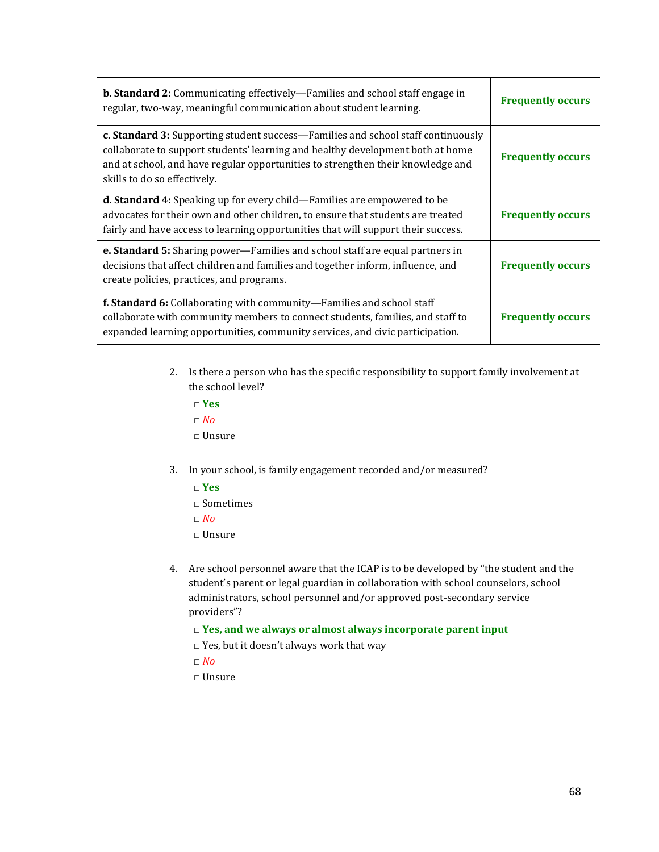| <b>b. Standard 2:</b> Communicating effectively—Families and school staff engage in<br>regular, two-way, meaningful communication about student learning.                                                                                                                             | <b>Frequently occurs</b> |
|---------------------------------------------------------------------------------------------------------------------------------------------------------------------------------------------------------------------------------------------------------------------------------------|--------------------------|
| c. Standard 3: Supporting student success—Families and school staff continuously<br>collaborate to support students' learning and healthy development both at home<br>and at school, and have regular opportunities to strengthen their knowledge and<br>skills to do so effectively. | <b>Frequently occurs</b> |
| d. Standard 4: Speaking up for every child-Families are empowered to be<br>advocates for their own and other children, to ensure that students are treated<br>fairly and have access to learning opportunities that will support their success.                                       | <b>Frequently occurs</b> |
| e. Standard 5: Sharing power-Families and school staff are equal partners in<br>decisions that affect children and families and together inform, influence, and<br>create policies, practices, and programs.                                                                          | <b>Frequently occurs</b> |
| <b>f. Standard 6:</b> Collaborating with community—Families and school staff<br>collaborate with community members to connect students, families, and staff to<br>expanded learning opportunities, community services, and civic participation.                                       | <b>Frequently occurs</b> |

- 2. Is there a person who has the specific responsibility to support family involvement at the school level?
	- □ **Yes** □ *No* □ Unsure
- 3. In your school, is family engagement recorded and/or measured?
	- □ **Yes**
	- □ Sometimes
	- □ *No*
	- □ Unsure
- 4. Are school personnel aware that the ICAP is to be developed by "the student and the student's parent or legal guardian in collaboration with school counselors, school administrators, school personnel and/or approved post-secondary service providers"?
	- □ **Yes, and we always or almost always incorporate parent input**
	- □ Yes, but it doesn't always work that way
	- □ *No*
	- □ Unsure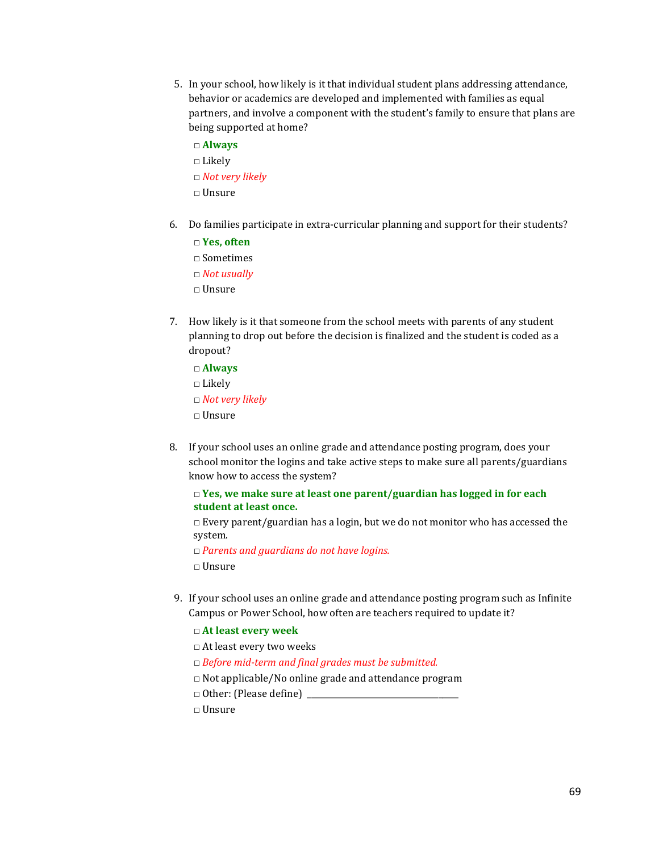- 5. In your school, how likely is it that individual student plans addressing attendance, behavior or academics are developed and implemented with families as equal partners, and involve a component with the student's family to ensure that plans are being supported at home?
	- □ **Always**  $\square$  Likely □ *Not very likely* □ Unsure
- 6. Do families participate in extra-curricular planning and support for their students?
	- □ **Yes, often**
	- □ Sometimes
	- □ *Not usually*
	- □ Unsure
- 7. How likely is it that someone from the school meets with parents of any student planning to drop out before the decision is finalized and the student is coded as a dropout?
	- □ **Always**
	- □ Likely □ *Not very likely*
	- □ Unsure
	-
- 8. If your school uses an online grade and attendance posting program, does your school monitor the logins and take active steps to make sure all parents/guardians know how to access the system?

## □ **Yes, we make sure at least one parent/guardian has logged in for each student at least once.**

 $\Box$  Every parent/guardian has a login, but we do not monitor who has accessed the system.

□ *Parents and guardians do not have logins.*

□ Unsure

- 9. If your school uses an online grade and attendance posting program such as Infinite Campus or Power School, how often are teachers required to update it?
	- □ **At least every week**
	- □ At least every two weeks
	- □ *Before mid-term and final grades must be submitted.*
	- $\Box$  Not applicable/No online grade and attendance program
	- $\Box$  Other: (Please define)
	- □ Unsure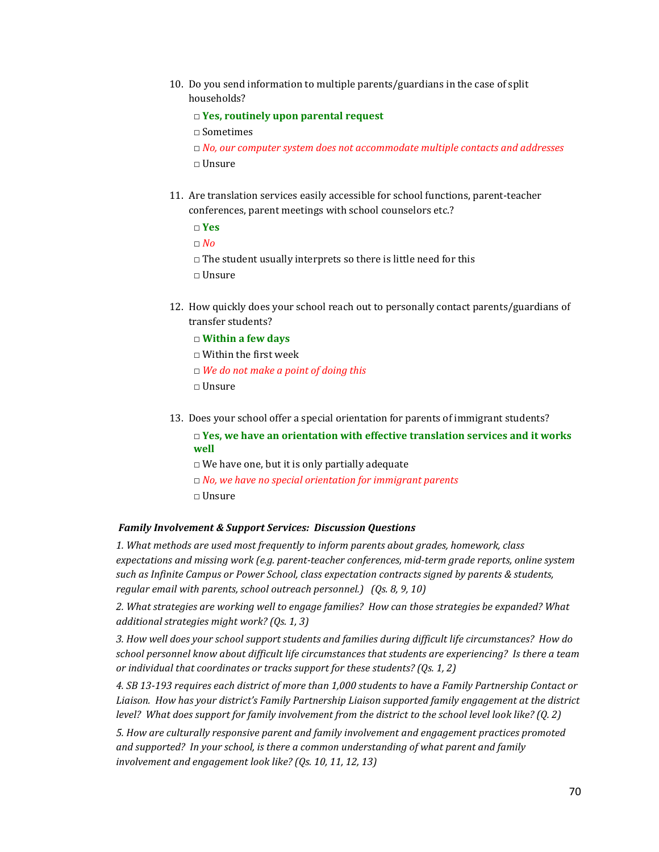10. Do you send information to multiple parents/guardians in the case of split households?

□ **Yes, routinely upon parental request**

□ Sometimes

□ *No, our computer system does not accommodate multiple contacts and addresses* □ Unsure

11. Are translation services easily accessible for school functions, parent-teacher conferences, parent meetings with school counselors etc.?

□ **Yes**

□ *No*

 $\Box$  The student usually interprets so there is little need for this

□ Unsure

12. How quickly does your school reach out to personally contact parents/guardians of transfer students?

□ **Within a few days**

- □ Within the first week
- □ *We do not make a point of doing this*
- □ Unsure
- 13. Does your school offer a special orientation for parents of immigrant students?

□ **Yes, we have an orientation with effective translation services and it works well**

- $\Box$  We have one, but it is only partially adequate
- □ *No, we have no special orientation for immigrant parents*
- □ Unsure

#### *Family Involvement & Support Services: Discussion Questions*

*1. What methods are used most frequently to inform parents about grades, homework, class expectations and missing work (e.g. parent-teacher conferences, mid-term grade reports, online system such as Infinite Campus or Power School, class expectation contracts signed by parents & students, regular email with parents, school outreach personnel.) (Qs. 8, 9, 10)*

*2. What strategies are working well to engage families? How can those strategies be expanded? What additional strategies might work? (Qs. 1, 3)*

*3. How well does your school support students and families during difficult life circumstances? How do school personnel know about difficult life circumstances that students are experiencing? Is there a team or individual that coordinates or tracks support for these students? (Qs. 1, 2)* 

*4. SB 13-193 requires each district of more than 1,000 students to have a Family Partnership Contact or Liaison. How has your district's Family Partnership Liaison supported family engagement at the district level? What does support for family involvement from the district to the school level look like? (Q. 2)*

*5. How are culturally responsive parent and family involvement and engagement practices promoted and supported? In your school, is there a common understanding of what parent and family involvement and engagement look like? (Qs. 10, 11, 12, 13)*